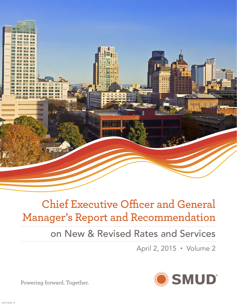

# **Chief Executive Officer and General Manager's Report and Recommendation**

# on New & Revised Rates and Services

April 2, 2015 • Volume 2



Powering forward. Together.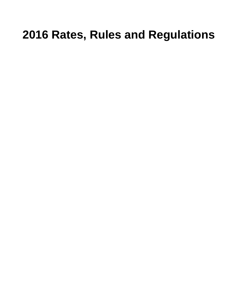# **2016 Rates, Rules and Regulations**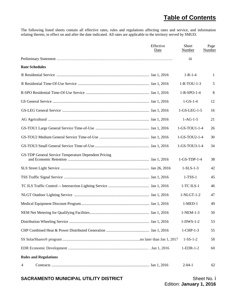# **Table of Contents**

The following listed sheets contain all effective rates, rules and regulations affecting rates and service, and information relating thereto, in effect on and after the date indicated. All rates are applicable to the territory served by SMUD.

|                                                      | Effective<br>Date | Sheet<br>Number       | Page<br>Number |
|------------------------------------------------------|-------------------|-----------------------|----------------|
|                                                      |                   | iii                   |                |
| <b>Rate Schedules</b>                                |                   |                       |                |
|                                                      |                   | $1 - R - 1 - 4$       | 1              |
|                                                      |                   | $1 - R - TOU - 1 - 3$ | 5              |
|                                                      |                   | $1 - R - SPO - 1 - 4$ | 8              |
|                                                      |                   | $1-GS-1-4$            | 12             |
|                                                      |                   | $1-GS-LEG-1-5$        | 16             |
|                                                      |                   | $1-AG-1-5$            | 21             |
|                                                      |                   | 1-GS-TOU1-1-4         | 26             |
|                                                      |                   | 1-GS-TOU2-1-4         | 30             |
|                                                      |                   | 1-GS-TOU3-1-4         | 34             |
| GS-TDP General Service Temperature Dependent Pricing |                   | $1-GS-TDP-1-4$        | 38             |
|                                                      |                   | $1-SLS-1-3$           | 42             |
|                                                      |                   | $1-TSS-1$             | 45             |
|                                                      |                   | $1$ -TC ILS- $1$      | 46             |
|                                                      |                   | $1-NLGT-1-2$          | 47             |
|                                                      |                   | $1-MED-1$             | 49             |
|                                                      |                   | $1-NEM-1-3$           | 50             |
|                                                      |                   | $1-DWS-1-2$           | 53             |
|                                                      |                   | $1$ -CHP- $1-3$       | 55             |
|                                                      |                   | $1-SS-1-2$            | 58             |
|                                                      |                   | $1$ -EDR- $1$ -2      | 60             |
| <b>Rules and Regulations</b>                         |                   |                       |                |
| 4                                                    |                   | $2 - 04 - 1$          | 62             |

# **SACRAMENTO MUNICIPAL UTILITY DISTRICT Sheet No. i** Sheet No. i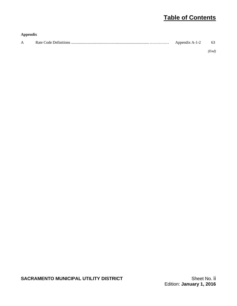# **Table of Contents**

| Appendix     |                |    |
|--------------|----------------|----|
| $\mathbf{A}$ | Appendix A-1-2 | 63 |

*(End)*

**SACRAMENTO MUNICIPAL UTILITY DISTRICT SACRAMENTO MUNICIPAL UTILITY DISTRICT** Sheet No. ii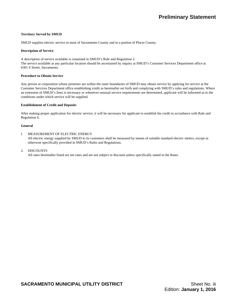# **Territory Served by SMUD**

SMUD supplies electric service in most of Sacramento County and in a portion of Placer County.

#### **Description of Service**

A description of service available is contained in SMUD's Rule and Regulation 2. The service available at any particular location should be ascertained by inquiry at SMUD's Customer Services Department office at 6301 S Street, Sacramento.

#### **Procedure to Obtain Service**

Any person or corporation whose premises are within the outer boundaries of SMUD may obtain service by applying for service at the Customer Services Department office establishing credit as hereinafter set forth and complying with SMUD's rules and regulations. Where an extension of SMUD's lines is necessary or whenever unusual service requirements are determined, applicant will be informed as to the conditions under which service will be supplied.

# **Establishment of Credit and Deposits**

After making proper application for electric service, it will be necessary for applicant to establish his credit in accordance with Rule and Regulation 6.

# **General**

# l. MEASUREMENT OF ELECTRIC ENERGY

 All electric energy supplied by SMUD to its customers shall be measured by means of suitable standard electric meters, except as otherwise specifically provided in SMUD's Rules and Regulations.

# 2. DISCOUNTS

All rates hereinafter listed are net rates and are not subject to discount unless specifically stated in the Rates.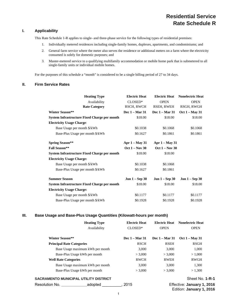# **Residential Service Rate Schedule R**

# **I. Applicability**

This Rate Schedule 1-R applies to single- and three-phase service for the following types of residential premises:

- 1. Individually metered residences including single-family homes, duplexes, apartments, and condominiums; and
- 2. General farm service where the meter also serves the residence or additional meters on a farm where the electricity consumed is solely for domestic purposes; and
- 3. Master-metered service to a qualifying multifamily accommodation or mobile home park that is submetered to all single-family units or individual mobile homes.

For the purposes of this schedule a "month" is considered to be a single billing period of 27 to 34 days.

# **II. Firm Service Rates**

| <b>Heating Type</b>                          | <b>Electric Heat</b> | <b>Electric Heat</b> | <b>Nonelectric Heat</b> |
|----------------------------------------------|----------------------|----------------------|-------------------------|
| Availability                                 | CLOSED*              | <b>OPEN</b>          | <b>OPEN</b>             |
| <b>Rate Category</b>                         | RSCH, RWCH           | RSEH, RWEH           | RSGH, RWGH              |
| <b>Winter Season**</b>                       | Dec 1 – Mar 31       | Dec 1 – Mar 31       | $Oct 1 - May 31$        |
| System Infrastructure Fixed Charge per month | \$18.00              | \$18.00              | \$18.00                 |
| <b>Electricity Usage Charge:</b>             |                      |                      |                         |
| Base Usage per month \$/kWh                  | \$0.1038             | \$0.1068             | \$0.1068                |
| Base-Plus Usage per month \$/kWh             | \$0.1627             | \$0.1861             | \$0.1861                |
| <b>Spring Season**</b>                       | Apr $1 - May 31$     | Apr $1 - May 31$     |                         |
| <b>Fall Season**</b>                         | $Oct 1 - Nov 30$     | $Oct 1 - Nov 30$     |                         |
| System Infrastructure Fixed Charge per month | \$18.00              | \$18.00              |                         |
| <b>Electricity Usage Charge:</b>             |                      |                      |                         |
| Base Usage per month \$/kWh                  | \$0.1038             | \$0.1068             |                         |
| Base-Plus Usage per month \$/kWh             | \$0.1627             | \$0.1861             |                         |
| <b>Summer Season</b>                         | $Jun 1 - Sep 30$     | $Jun 1 - Sep 30$     | $Jun 1 - Sep 30$        |
| System Infrastructure Fixed Charge per month | \$18.00              | \$18.00              | \$18.00                 |
| <b>Electricity Usage Charge:</b>             |                      |                      |                         |
| Base Usage per month \$/kWh                  | \$0.1177             | \$0.1177             | \$0.1177                |
| Base-Plus Usage per month \$/kWh             | \$0.1928             | \$0.1928             | \$0.1928                |

# **III. Base Usage and Base-Plus Usage Quantities (Kilowatt-hours per month)**

|                                              | <b>Heating Type</b>              | <b>Electric Heat</b>  | <b>Electric Heat</b>  | <b>Nonelectric Heat</b>                                |  |
|----------------------------------------------|----------------------------------|-----------------------|-----------------------|--------------------------------------------------------|--|
|                                              | Availability                     | CLOSED*               | <b>OPEN</b>           | <b>OPEN</b>                                            |  |
| <b>Winter Season**</b>                       |                                  | <b>Dec</b> 1 – Mar 31 | <b>Dec</b> 1 – Mar 31 | <b>Oct 1 – May 31</b>                                  |  |
| <b>Principal Rate Categories</b>             |                                  | <b>RSCH</b>           | <b>RSEH</b>           | RSGH                                                   |  |
|                                              | Base Usage maximum kWh per month | 3,000                 | 3,000                 | 1,000                                                  |  |
|                                              | Base-Plus Usage kWh per month    | > 3,000               | > 3,000               | > 1,000                                                |  |
| <b>Well Rate Categories</b>                  |                                  | RWCH                  | RWEH                  | RWGH                                                   |  |
| Base Usage maximum kWh per month             |                                  | 3,000                 | 3,000                 | 1,300                                                  |  |
|                                              | Base-Plus Usage kWh per month    | > 3,000               | > 3.000               | >1.300                                                 |  |
| <b>SACRAMENTO MUNICIPAL UTILITY DISTRICT</b> |                                  |                       |                       | Sheet No. 1-R-1                                        |  |
| Resolution No.                               | adopted                          | . 2015                |                       | Effective: January 1, 2016<br>Edition: January 1, 2016 |  |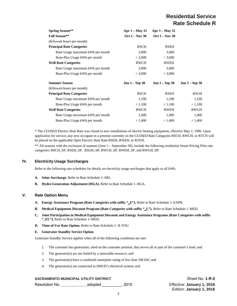# **Residential Service Rate Schedule R**

| <b>Spring Season**</b>           | Apr $1 - May 31$ | Apr $1 - May 31$ |                  |
|----------------------------------|------------------|------------------|------------------|
| <b>Fall Season**</b>             | $Oct 1 - Nov 30$ | Oct $1 - Nov 30$ |                  |
| (Kilowatt-hours per month)       |                  |                  |                  |
| <b>Principal Rate Categories</b> | <b>RSCH</b>      | <b>RSEH</b>      |                  |
| Base Usage maximum kWh per month | 3,000            | 3,000            |                  |
| Base-Plus Usage kWh per month    | > 3,000          | > 3,000          |                  |
| <b>Well Rate Categories</b>      | RWCH             | RWEH             |                  |
| Base Usage maximum kWh per month | 3,000            | 3,000            |                  |
| Base-Plus Usage kWh per month    | > 3,000          | > 3,000          |                  |
| <b>Summer Season</b>             | Jun $1 -$ Sep 30 | $Jun 1 - Sep 30$ | $Jun 1 - Sep 30$ |
| (Kilowatt-hours per month)       |                  |                  |                  |
| <b>Principal Rate Categories</b> | <b>RSCH</b>      | <b>RSEH</b>      | RSGH             |
| Base Usage maximum kWh per month | 1,100            | 1,100            | 1,100            |
| Base-Plus Usage kWh per month    | > 1,100          | > 1,100          | > 1,100          |
| <b>Well Rate Categories</b>      | RWCH             | RWEH             | <b>RWGH</b>      |
| Base Usage maximum kWh per month | 1,400            | 1,400            | 1,400            |
| Base-Plus Usage kWh per month    | > 1,400          | > 1,400          | > 1,400          |
|                                  |                  |                  |                  |

\* The *CLOSED* Electric Heat Rate was closed to new installations of electric heating equipment, effective May 1, 1996. Upon application for service, any new occupant to a premise currently on the *CLOSED* Rate Categories RSCH, RWCH, or RTCH will be placed on the applicable Open Electric Heat Rate RSEH, RWEH, or RTEH.

\*\* All seasons with the exclusion of summer (June 1 – September 30), include the following residential Smart Pricing Pilot rate categories: RSCH\_SP, RSEH\_SP, RSGH\_SP, RWCH\_SP, RWEH\_SP, and RWGH\_SP.

# **IV. Electricity Usage Surcharges**

Refer to the following rate schedules for details on electricity usage surcharges that apply to all kWh.

- **A. Solar Surcharge.** Refer to Rate Schedule 1–SB1.
- **B. Hydro Generation Adjustment (HGA).** Refer to Rate Schedule 1–HGA.

# **V. Rate Option Menu**

- **A. Energy Assistance Program (Rate Categories with suffix "\_E").** Refer to Rate Schedule 1–EAPR.
- **B. Medical Equipment Discount Program (Rate Categories with suffix "\_L").** Refer to Rate Schedule 1–MED.
- **C. Joint Participation in Medical Equipment Discount and Energy Assistance Programs (Rate Categories with suffix "\_EL").** Refer to Rate Schedule 1–MED.
- **D. Time-of-Use Rate Option.** Refer to Rate Schedule 1- R-TOU.

#### **E. Generator Standby Service Option**

Generator Standby Service applies when all of the following conditions are met:

- 1. The customer has generation, sited on the customer premise, that serves all or part of the customer's load; and
- 2. The generator(s) are not fueled by a renewable resource; and
- 3. The generator(s) have a combined nameplate rating of less than 100 kW; and
- 4. The generator(s) are connected to SMUD's electrical system; and

# **SACRAMENTO MUNICIPAL UTILITY DISTRICT SHOW AND SHEET NO. 1-R-2**

Resolution No. **\_\_\_\_\_\_\_\_\_\_\_\_**adopted \_\_\_\_\_\_\_\_\_, 2015 Effective: **January 1, 2016**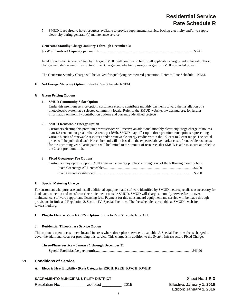5. SMUD is required to have resources available to provide supplemental service, backup electricity and/or to supply electricity during generator(s) maintenance service.

| <b>Generator Standby Charge January 1 through December 31</b> |  |
|---------------------------------------------------------------|--|
|                                                               |  |

In addition to the Generator Standby Charge, SMUD will continue to bill for all applicable charges under this rate. These charges include System Infrastructure Fixed Charges and electricity usage charges for SMUD-provided power.

The Generator Standby Charge will be waived for qualifying net metered generation. Refer to Rate Schedule 1-NEM.

#### **F. Net Energy Metering Option.** Refer to Rate Schedule 1-NEM.

#### **G. Green Pricing Options**

#### **1. SMUD Community Solar Option**

Under this premium service option, customers elect to contribute monthly payments toward the installation of a photoelectric system at a selected community locale. Refer to the SMUD website, www.smud.org, for further information on monthly contribution options and currently identified projects.

#### **2. SMUD Renewable Energy Option**

Customers electing this premium power service will receive an additional monthly electricity usage charge of no less than 1/2 cent and no greater than 2 cents per kWh. SMUD may offer up to three premium rate options representing various blends of renewable resources and/or renewable energy credits within the 1/2 cent to 2 cent range. The actual prices will be published each November and will be based on the expected above market cost of renewable resources for the upcoming year. Participation will be limited to the amount of resources that SMUD is able to secure at or below the 2 cent premium limit.

#### **3. Fixed Greenergy Fee Options**

| Customers may opt to support SMUD renewable energy purchases through one of the following monthly fees: |  |
|---------------------------------------------------------------------------------------------------------|--|
|                                                                                                         |  |
|                                                                                                         |  |

# **H. Special Metering Charge**

For customers who purchase and install additional equipment and software identified by SMUD meter specialists as necessary for load data collection and transfer to electronic media outside SMUD, SMUD will charge a monthly service fee to cover maintenance, software support and licensing fees. Payment for this nonstandard equipment and service will be made through provisions in Rule and Regulation 2, Section IV. Special Facilities. The fee schedule is available at SMUD's website, www.smud.org.

#### **I. Plug-In Electric Vehicle (PEV) Option.** Refer to Rate Schedule 1-R-TOU.

#### **J. Residential Three-Phase Service Option**

This option is open to customers located in areas where three-phase service is available. A Special Facilities fee is charged to cover the additional costs for providing this service. This charge is in addition to the System Infrastructure Fixed Charge.

| Three-Phase Service – January 1 through December 31 |  |
|-----------------------------------------------------|--|
|                                                     |  |

# **VI. Conditions of Service**

# **A. Electric Heat Eligibility (Rate Categories RSCH, RSEH, RWCH, RWEH)**

# **SACRAMENTO MUNICIPAL UTILITY DISTRICT** Shape The Sheet No. 1-R-3

Resolution No. **\_\_\_\_\_\_\_\_\_\_\_\_**adopted \_\_\_\_\_\_\_\_\_, 2015 Effective: **January 1, 2016**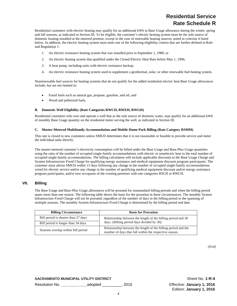# **Residential Service Rate Schedule R**

Residential customers with electric heating may qualify for an additional kWh in Base Usage allowance during the winter, spring and fall seasons, as indicated in Section III. To be eligible, the customer's electric heating system must be the sole source of domestic heating installed at the metered premise, except in the case of renewable heating sources, noted in criterion 4 listed below. In addition, the electric heating system must meet one of the following eligibility criteria that are further defined in Rule and Regulation 1:

- 1. An electric resistance heating system that was installed prior to September 1, 1980; or
- 2. An electric heating system that qualified under the Closed Electric Heat Rate before May 1, 1996;
- 3. A heat pump, including units with electric resistance backup;
- 4. An electric resistance heating system used to supplement a geothermal, solar, or other renewable fuel heating system.

Nonrenewable fuel sources for heating systems that do not qualify for the added residential electric heat Base Usage allowances include, but are not limited to:

- Fossil fuels such as natural gas, propane, gasoline, and oil; and
- Wood and pelletized fuels.

#### **B. Domestic Well Eligibility (Rate Categories RWCH, RWEH, RWGH)**

Residential customers who own and operate a well that as the sole source of domestic water, may qualify for an additional kWh of monthly Base Usage quantity on the residential meter serving the well, as indicated in Section III.

#### **C. Master-Metered Multifamily Accommodation and Mobile Home Park Billing (Rate Category RSMM)**

This rate is closed to new customers unless SMUD determines that it is not reasonable or feasible to provide service and meter the individual units directly.

The master-metered customer's electricity consumption will be billed under the Base Usage and Base-Plus Usage quantities using the ratio of the number of occupied single-family accommodations with electric or nonelectric heat to the total number of occupied single-family accommodations. The billing calculation will include applicable discounts to the Base Usage Charge and System Infrastructure Fixed Charge for qualifying energy assistance and medical equipment discount program participants. The customer must advise SMUD within 15 days following any change in the number of occupied single-family accommodations wired for electric service and/or any change in the number of qualifying medical equipment discount and/or energy assistance program participants, and/or new occupants of the existing premises with rate categories RSCH or RWCH.

# **VII. Billing**

The Base Usage and Base-Plus Usage allowances will be prorated for nonstandard billing periods and when the billing period spans more than one season. The following table shows the basis for the proration in these circumstances. The monthly System Infrastructure Fixed Charge will not be prorated, regardless of the number of days in the billing period or the spanning of multiple seasons. The monthly System Infrastructure Fixed Charge is determined by the billing period end date.

| <b>Billing Circumstance</b>         | <b>Basis for Proration</b>                                                                                              |
|-------------------------------------|-------------------------------------------------------------------------------------------------------------------------|
| Bill period is shorter than 27 days | Relationship between the length of the billing period and 30                                                            |
| Bill period is longer than 34 days  | days. (Billing period days divided by 30).                                                                              |
| Seasons overlap within bill period  | Relationship between the length of the billing period and the<br>number of days that fall within the respective season. |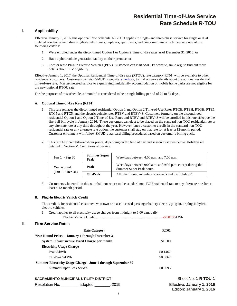# **Residential Time-of-Use Service Rate Schedule R-TOU**

# **I. Applicability**

Effective January 1, 2016, this optional Rate Schedule 1-R-TOU applies to single- and three-phase service for single or dual metered residences including single-family homes, duplexes, apartments, and condominiums which meet any one of the following criteria:

- 1. Were enrolled under the discontinued Option 1 or Option 2 Time-of-Use rates as of December 31, 2015; or
- 2. Have a photovoltaic generation facility on their premise; or
- 3. Own or lease Plug-in Electric Vehicles (PEV). Customers can visit SMUD's website, smud.org, to find out more details about PEV eligibility.

Effective January 1, 2017, the Optional Residential Time-of-Use rate (RTOU), rate category RT01, will be available to other residential customers. Customers can visit SMUD's website, smud.org, to find out more details about the optional residential time-of-use rate. Master-metered service to a qualifying multifamily accommodation or mobile home parks are not eligible for the new optional RTOU rate.

For the purposes of this schedule, a "month" is considered to be a single billing period of 27 to 34 days.

#### **A. Optional Time-of-Use Rate (RT01)**

- 1. This rate replaces the discontinued residential Option 1 and Option 2 Time-of-Use Rates RTCH, RTEH, RTGH, RTE5, RTC5 and RTG5, and the electric vehicle rates RTEV and RTEV4S. Customers formerly on the discontinued residential Option 1 and Option 2 Time-of-Use Rates and RTEV and RTEV4S will be enrolled in this rate effective the first full bill cycle in January 2016. These customers can elect to be placed on the standard non-TOU residential rate or any alternate rate at any time throughout the year. However, once a customer enrolls in the standard non-TOU residential rate or any alternate rate option, the customer shall stay on that rate for at least a 12-month period. Customer enrollment will follow SMUD's standard billing procedures based on customer's billing cycle.
- 2. This rate has three kilowatt-hour prices, depending on the time of day and season as shown below. Holidays are detailed in Section V. Conditions of Service.

| <b>Jun 1</b> - Sep 30 | <b>Summer Super</b><br>Peak | Weekdays between 4:00 p.m. and 7:00 p.m.                                               |
|-----------------------|-----------------------------|----------------------------------------------------------------------------------------|
| <b>Year-round</b>     | Peak                        | Weekdays between 9:00 a.m. and 9:00 p.m. except during the<br>Summer Super Peak hours. |
| $(Jan 1 - Dec 31)$    | <b>Off-Peak</b>             | All other hours, including weekends and the holidays <sup>1</sup> .                    |

3. Customers who enroll in this rate shall not return to the standard non-TOU residential rate or any alternate rate for at least a 12-month period.

#### **B. Plug-In Electric Vehicle Credit**

This credit is for residential customers who own or lease licensed passenger battery electric, plug-in, or plug-in hybrid electric vehicles.

1. Credit applies to all electricity usage charges from midnight to 6:00 a.m. daily

Electric Vehicle Credit………………………………….……………… -\$0.0150/kWh

#### **II. Firm Service Rates**

| <b>Rate Category</b>                                          | <b>RT01</b> |
|---------------------------------------------------------------|-------------|
| <b>Year Round Prices – January 1 through December 31</b>      |             |
| System Infrastructure Fixed Charge per month                  | \$18.00     |
| <b>Electricity Usage Charge</b>                               |             |
| Peak \$/kWh                                                   | \$0.1467    |
| Off-Peak \$/kWh                                               | \$0.0867    |
| Summer Electricity Usage Charge - June 1 through September 30 |             |
| Summer Super Peak \$/kWh                                      | \$0.3093    |
|                                                               |             |

# **SACRAMENTO MUNICIPAL UTILITY DISTRICT SHOW SHOW SHEET SHEET NO. 1-R-TOU-1**

| Resolution No. | adopted | , 2015 |  |  |
|----------------|---------|--------|--|--|
|----------------|---------|--------|--|--|

**Effective: January 1, 2016** Edition: **January 1, 2016**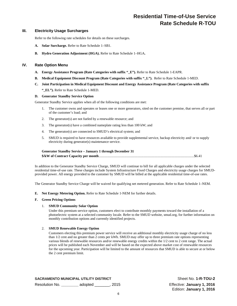# **Residential Time-of-Use Service Rate Schedule R-TOU**

# **III. Electricity Usage Surcharges**

Refer to the following rate schedules for details on these surcharges.

- **A. Solar Surcharge.** Refer to Rate Schedule 1–SB1.
- **B. Hydro Generation Adjustment (HGA).** Refer to Rate Schedule 1–HGA**.**

# **IV. Rate Option Menu**

- **A. Energy Assistance Program (Rate Categories with suffix "\_E").** Refer to Rate Schedule 1-EAPR.
- **B. Medical Equipment Discount Program (Rate Categories with suffix "\_L").** Refer to Rate Schedule 1-MED.
- **C. Joint Participation in Medical Equipment Discount and Energy Assistance Program (Rate Categories with suffix "\_EL").** Refer to Rate Schedule 1-MED.

#### **D. Generator Standby Service Option**

Generator Standby Service applies when all of the following conditions are met:

- 1. The customer owns and operates or leases one or more generators, sited on the customer premise, that serves all or part of the customer's load; and
- 2. The generator(s) are not fueled by a renewable resource; and
- 3. The generator(s) have a combined nameplate rating less than 100 kW; and
- 4. The generator(s) are connected to SMUD's electrical system; and
- 5. SMUD is required to have resources available to provide supplemental service, backup electricity and/ or to supply electricity during generator(s) maintenance service.

| <b>Generator Standby Service - January 1 through December 31</b> |  |
|------------------------------------------------------------------|--|
|                                                                  |  |

In addition to the Generator Standby Service Charge, SMUD will continue to bill for all applicable charges under the selected residential time-of-use rate. These charges include System Infrastructure Fixed Charges and electricity usage charges for SMUDprovided power. All energy provided to the customer by SMUD will be billed at the applicable residential time-of-use rates.

The Generator Standby Service Charge will be waived for qualifying net metered generation. Refer to Rate Schedule 1–NEM.

**E. Net Energy Metering Option.** Refer to Rate Schedule 1-NEM for further details.

#### **F. Green Pricing Options**

#### 1. **SMUD Community Solar Option**

Under this premium service option, customers elect to contribute monthly payments toward the installation of a photoelectric system at a selected community locale. Refer to the SMUD website, smud.org, for further information on monthly contribution options and currently identified projects.

#### 2. **SMUD Renewable Energy Option**

Customers electing this premium power service will receive an additional monthly electricity usage charge of no less than 1/2 cent and no greater than 2 cents per kWh. SMUD may offer up to three premium rate options representing various blends of renewable resources and/or renewable energy credits within the 1/2 cent to 2 cent range. The actual prices will be published each November and will be based on the expected above market cost of renewable resources for the upcoming year. Participation will be limited to the amount of resources that SMUD is able to secure at or below the 2 cent premium limit.

**SACRAMENTO MUNICIPAL UTILITY DISTRICT SHEET NO SHEET NO. 1-R-TOU-2** Resolution No. **\_\_\_\_\_\_\_\_** adopted \_\_\_\_\_\_\_, 2015 Effective: **January 1, 2016**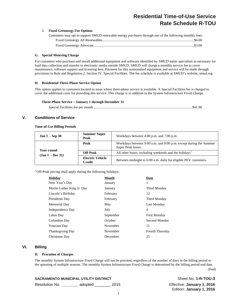# **Residential Time-of-Use Service Rate Schedule R-TOU**

#### 3. **Fixed Greenergy Fee Options**

| Customers may opt to support SMUD renewable energy purchases through one of the following monthly fees: |  |
|---------------------------------------------------------------------------------------------------------|--|
|                                                                                                         |  |
|                                                                                                         |  |

#### **G. Special Metering Charge**

For customers who purchase and install additional equipment and software identified by SMUD meter specialists as necessary for load data collection and transfer to electronic media outside SMUD, SMUD will charge a monthly service fee to cover maintenance, software support and licensing fees. Payment for this nonstandard equipment and service will be made through provisions in Rule and Regulation 2, Section IV. Special Facilities. The fee schedule is available at SMUD's website, smud.org.

#### **H. Residential Three-Phase Service Option**

This option applies to customers located in areas where three-phase service is available. A Special Facilities fee is charged to cover the additional costs for providing this service. This charge is in addition to the System Infrastructure Fixed Charge.

#### **Three-Phase Service – January 1 through December 31**

Special Facilities fee per month ................................................................................................................ \$41.90

# **V. Conditions of Service**

#### **Time-of-Use Billing Periods**

| <b>Jun 1</b> - Sep 30            | <b>Summer Super</b><br>Peak              | Weekdays between 4:00 p.m. and 7:00 p.m.                                               |
|----------------------------------|------------------------------------------|----------------------------------------------------------------------------------------|
|                                  | Peak                                     | Weekdays between 9:00 a.m. and 9:00 p.m. except during the Summer<br>Super Peak hours. |
| Year-round<br>$(Jan 1 - Dec 31)$ | <b>Off-Peak</b>                          | All other hours, including weekends and the holidays <sup>1</sup>                      |
|                                  | <b>Electric Vehicle</b><br><b>Credit</b> | Between midnight to 6:00 a.m. daily for eligible PEV customers.                        |

<sup>1</sup> Off-Peak pricing shall apply during the following holidays:

| Holidav                    | Month     | Date                   |
|----------------------------|-----------|------------------------|
| New Year's Day             | January   | 1                      |
| Martin Luther King Jr. Day | January   | Third Monday           |
| Lincoln's Birthday         | February  | 12                     |
| Presidents Day             | February  | Third Monday           |
| Memorial Day               | May       | Last Monday            |
| Independence Day           | July      | 4                      |
| Labor Day                  | September | <b>First Monday</b>    |
| Columbus Day               | October   | Second Monday          |
| Veterans Day               | November  | 11                     |
| <b>Thanksgiving Day</b>    | November  | <b>Fourth Thursday</b> |
| Christmas Day              | December  | 25                     |

# **VI. Billing**

#### **D. Proration of Charges**

The monthly System Infrastructure Fixed Charge will not be prorated, regardless of the number of days in the billing period or the spanning of multiple seasons. The monthly System Infrastructure Fixed Charge is determined by the billing period end date.

*(End)* 

**Sheet No. 1-R-TOU-3** 

| <b>SACRAMENTO MUNICIPAL UTILITY DISTRICT</b> |           |       |
|----------------------------------------------|-----------|-------|
| Desalution No.                               | اممنسمامم | 0.01F |

Resolution No. **\_\_\_\_\_\_\_\_** adopted \_\_\_\_\_\_\_, 2015 Effective: **January 1, 2016**  Edition: **January 1, 2016**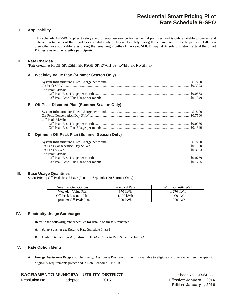# **Residential Smart Pricing Pilot Rate Schedule R-SPO**

# **I. Applicability**

This schedule 1-R-SPO applies to single and three-phase service for residential premises, and is only available to current and deferred participants of the Smart Pricing pilot study. They apply solely during the summer season. Participants are billed on their otherwise applicable rates during the remaining months of the year. SMUD may, at its sole discretion, extend the Smart Pricing rates to other eligible participants.

# **II. Rate Charges**

(Rate categories RSCH\_SP, RSEH\_SP, RSGH\_SP, RWCH\_SP, RWEH\_SP, RWGH\_SP)

# **A. Weekday Value Plan (Summer Season Only)**

| Off-Peak \$/kWh: |  |
|------------------|--|
|                  |  |
|                  |  |

# **B. Off-Peak Discount Plan (Summer Season Only)**

| Off-Peak \$/kWh: |  |
|------------------|--|
|                  |  |
|                  |  |
|                  |  |

# **C. Optimum Off-Peak Plan (Summer Season Only)**

| Off-Peak \$/kWh: |  |
|------------------|--|
|                  |  |
|                  |  |

# **III. Base Usage Quantities**

Smart Pricing Off-Peak Base Usage (June 1 – September 30 Summer Only)

| <b>Smart Pricing Options</b> | <b>Standard Rate</b> | With Domestic Well |
|------------------------------|----------------------|--------------------|
| Weekday Value Plan           | 970 kWh              | 1.270 kWh          |
| Off-Peak Discount Plan       | $100$ kWh            | 1.400 kWh          |
| Optimum Off-Peak Plan        | 970 kWh              | 1.270 kWh          |

# **IV. Electricity Usage Surcharges**

Refer to the following rate schedules for details on these surcharges.

- **A. Solar Surcharge.** Refer to Rate Schedule 1–SB1.
- **B. Hydro Generation Adjustment (HGA).** Refer to Rate Schedule 1–HGA**.**

# **V. Rate Option Menu**

**A. Energy Assistance Program.** The Energy Assistance Program discount is available to eligible customers who meet the specific eligibility requirements prescribed in Rate Schedule 1-EAPR.

# **SACRAMENTO MUNICIPAL UTILITY DISTRICT** Sheet No. 1-R-SPO-1

Resolution No. **\_\_\_\_\_\_\_\_** adopted \_\_\_\_\_\_\_\_\_, 2015 Effective: **January 1, 2016**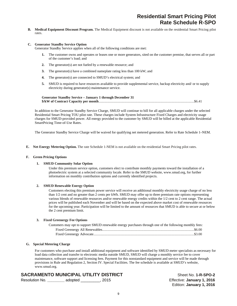**B. Medical Equipment Discount Program.** The Medical Equipment discount is not available on the residential Smart Pricing pilot rates.

#### **C. Generator Standby Service Option**

Generator Standby Service applies when all of the following conditions are met:

- **1.** The customer owns and operates or leases one or more generators, sited on the customer premise, that serves all or part of the customer's load; and
- **2.** The generator(s) are not fueled by a renewable resource; and
- **3.** The generator(s) have a combined nameplate rating less than 100 kW; and
- **4.** The generator(s) are connected to SMUD's electrical system; and
- **5.** SMUD is required to have resources available to provide supplemental service, backup electricity and/ or to supply electricity during generator(s) maintenance service.

**Generator Standby Service – January 1 through December 31 \$/kW of Contract Capacity per month** ............................................................................................................ \$6.41

In addition to the Generator Standby Service Charge, SMUD will continue to bill for all applicable charges under the selected Residential Smart Pricing TOU pilot rate. These charges include System Infrastructure Fixed Charges and electricity usage charges for SMUD-provided power. All energy provided to the customer by SMUD will be billed at the applicable Residential SmartPricing Time-of-Use Rates.

The Generator Standby Service Charge will be waived for qualifying net metered generation. Refer to Rate Schedule 1–NEM.

**E. Net Energy Metering Option.** The rate Schedule 1-NEM is not available on the residential Smart Pricing pilot rates.

#### **F. Green Pricing Options**

#### **1. SMUD Community Solar Option**

Under this premium service option, customers elect to contribute monthly payments toward the installation of a photoelectric system at a selected community locale. Refer to the SMUD website, www.smud.org, for further information on monthly contribution options and currently identified projects.

#### **2. SMUD Renewable Energy Option**

Customers electing this premium power service will receive an additional monthly electricity usage charge of no less than 1/2 cent and no greater than 2 cents per kWh. SMUD may offer up to three premium rate options representing various blends of renewable resources and/or renewable energy credits within the 1/2 cent to 2 cent range. The actual prices will be published each November and will be based on the expected above market cost of renewable resources for the upcoming year. Participation will be limited to the amount of resources that SMUD is able to secure at or below the 2 cent premium limit.

#### **3. Fixed Greenergy Fee Options**

| Customers may opt to support SMUD renewable energy purchases through one of the following monthly fees: |  |
|---------------------------------------------------------------------------------------------------------|--|
|                                                                                                         |  |
|                                                                                                         |  |

### **G. Special Metering Charge**

For customers who purchase and install additional equipment and software identified by SMUD meter specialists as necessary for load data collection and transfer to electronic media outside SMUD, SMUD will charge a monthly service fee to cover maintenance, software support and licensing fees. Payment for this nonstandard equipment and service will be made through provisions in Rule and Regulation 2, Section IV. Special Facilities. The fee schedule is available at SMUD's website, www.smud.org.

# **SACRAMENTO MUNICIPAL UTILITY DISTRICT** Sheet No. 1-R-SPO-2

| Resolution No. | adopted | . 2015 |
|----------------|---------|--------|
|----------------|---------|--------|

Effective: January 1, 2016 Edition: **January 1, 2016**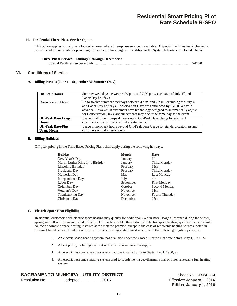# **Residential Smart Pricing Pilot Rate Schedule R-SPO**

#### **H. Residential Three-Phase Service Option**

This option applies to customers located in areas where three-phase service is available. A Special Facilities fee is charged to cover the additional costs for providing this service. This charge is in addition to the System Infrastructure Fixed Charge.

#### **Three-Phase Service – January 1 through December 31**

|--|--|--|

# **VI. Conditions of Service**

#### **A. Billing Periods (June 1 – September 30 Summer Only)**

| <b>On-Peak Hours</b>       | Summer weekdays between 4:00 p.m. and 7:00 p.m., exclusive of July $4th$ and    |  |  |
|----------------------------|---------------------------------------------------------------------------------|--|--|
|                            | Labor Day holidays.                                                             |  |  |
| <b>Conservation Days</b>   | Up to twelve summer weekdays between 4 p.m. and 7 p.m., excluding the July 4    |  |  |
|                            | and Labor Day holidays. Conservation Days are announced by SMUD a day in        |  |  |
|                            | advance. However, if customers have technology designed to automatically adjust |  |  |
|                            | for Conservation Days, announcements may occur the same day as the event.       |  |  |
| <b>Off-Peak Base Usage</b> | Usage in all other non-peak hours up to Off-Peak Base Usage for standard        |  |  |
| <b>Hours</b>               | customers and customers with domestic wells.                                    |  |  |
| <b>Off-Peak Base-Plus</b>  | Usage in non-peak hours beyond Off-Peak Base Usage for standard customers and   |  |  |
| <b>Usage Hours</b>         | customers with domestic wells                                                   |  |  |

#### **B. Billing Holidays**

Off-peak pricing in the Time Based Pricing Plans shall apply during the following holidays:

| <b>Holiday</b>                    | <b>Month</b> | Date                |
|-----------------------------------|--------------|---------------------|
| New Year's Day                    | January      | 1 <sup>st</sup>     |
| Martin Luther King Jr.'s Birthday | January      | Third Monday        |
| Lincoln's Birthday                | February     | 12th                |
| Presidents Day                    | February     | Third Monday        |
| Memorial Day                      | May          | Last Monday         |
| Independence Day                  | July         | 4th                 |
| Labor Day                         | September    | <b>First Monday</b> |
| Columbus Day                      | October      | Second Monday       |
| Veteran's Day                     | November     | 11th                |
| <b>Thanksgiving Day</b>           | November     | Fourth Thursday     |
| Christmas Day                     | December     | 25 <sub>th</sub>    |

#### **C. Electric Space Heat Eligibility**

Residential customers with electric space heating may qualify for additional kWh in Base Usage allowance during the winter, spring and fall seasons as indicated in section III. To be eligible, the customer's electric space heating system must be the sole source of domestic space heating installed at the metered premise, except in the case of renewable heating sources, noted in criteria 4 listed below. In addition the electric space heating system must meet one of the following eligibility criteria:

- 1. An electric space heating system that qualified under the Closed Electric Heat rate before May 1, 1996, **or**
- 2. A heat pump, including any unit with electric resistance backup, **or**
- 3. An electric resistance heating system that was installed prior to September 1, 1980, **or**
- 4. An electric resistance heating system used to supplement a geo-thermal, solar or other renewable fuel heating system.

# **SACRAMENTO MUNICIPAL UTILITY DISTRICT** Sheet No. 1-R-SPO-3

| Resolution No. | adopted | .2015 |
|----------------|---------|-------|
|                |         |       |

Effective: January 1, 2016 Edition: **January 1, 2016**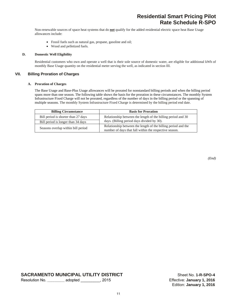Non-renewable sources of space heat systems that do **not** qualify for the added residential electric space heat Base Usage allowances include:

- Fossil fuels such as natural gas, propane, gasoline and oil;
- Wood and pelletized fuels.

#### **D. Domestic Well Eligibility**

 Residential customers who own and operate a well that is their sole source of domestic water, are eligible for additional kWh of monthly Base Usage quantity on the residential meter serving the well, as indicated in section III.

# **VII. Billing Proration of Charges**

#### **A. Proration of Charges**

The Base Usage and Base-Plus Usage allowances will be prorated for nonstandard billing periods and when the billing period spans more than one season. The following table shows the basis for the proration in these circumstances. The monthly System Infrastructure Fixed Charge will not be prorated, regardless of the number of days in the billing period or the spanning of multiple seasons. The monthly System Infrastructure Fixed Charge is determined by the billing period end date.

| <b>Billing Circumstance</b>         | <b>Basis for Proration</b>                                                                                              |
|-------------------------------------|-------------------------------------------------------------------------------------------------------------------------|
| Bill period is shorter than 27 days | Relationship between the length of the billing period and 30                                                            |
| Bill period is longer than 34 days  | days. (Billing period days divided by 30).                                                                              |
| Seasons overlap within bill period  | Relationship between the length of the billing period and the<br>number of days that fall within the respective season. |

*(End)* 

**SACRAMENTO MUNICIPAL UTILITY DISTRICT** Sheet No. 1-R-SPO-4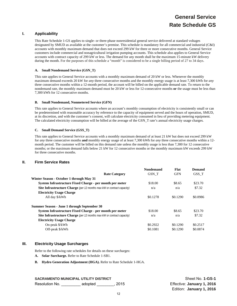# **General Service Rate Schedule GS**

# **I. Applicability**

This Rate Schedule 1-GS applies to single- or three-phase nonresidential general service delivered at standard voltages designated by SMUD as available at the customer's premise. This schedule is mandatory for all commercial and industrial (C&I) accounts with monthly maximum demand that does not exceed 299 kW for three or more consecutive months. General Service customers include commercial and nonagricultural irrigation pumping accounts. This schedule also applies to General Service accounts with contract capacity of 299 kW or less. The demand for any month shall be the maximum 15-minute kW delivery during the month. For the purposes of this schedule a "month" is considered to be a single billing period of 27 to 34 days.

#### **A. Small Nondemand Service (GSN\_T)**

This rate applies to General Service accounts with a monthly maximum demand of 20 kW or less. Whenever the monthly maximum demand exceeds 20 kW for *any* three consecutive months and the monthly energy usage is at least 7,300 kWh for *any* three consecutive months within a 12-month period, the account will be billed on the applicable demand rate. To return to the nondemand rate, the monthly maximum demand must be 20 kW or less for 12-consecutive months **or** the usage must be less than 7,300 kWh for 12 consecutive months.

#### **B. Small Nondemand, Nonmetered Service (GFN)**

This rate applies to General Service accounts where an account's monthly consumption of electricity is consistently small or can be predetermined with reasonable accuracy by reference to the capacity of equipment served and the hours of operation, SMUD, at its discretion, and with the customer's consent, will calculate electricity consumed in lieu of providing metering equipment. The calculated electricity consumption will be billed at the average of the GSN\_T rate's annual electricity usage charges.

#### **C. Small Demand Service (GSS\_T)**

This rate applies to General Service accounts with a monthly maximum demand of at least 21 kW but does not exceed 299 kW for *any* three consecutive months **and** monthly energy usage of at least 7,300 kWh for *any* three consecutive months within a 12 month period. The customer will be billed on this demand rate unless the monthly usage is less than 7,300 for 12 consecutive months; or the maximum demand falls below 21 kW for 12 consecutive months or the monthly maximum kW exceeds 299 kW for three consecutive months.

# **II. Firm Service Rates**

|                                                                               | <b>Nondemand</b> | Flat       | Demand   |
|-------------------------------------------------------------------------------|------------------|------------|----------|
| <b>Rate Category</b>                                                          | GSN T            | <b>GFN</b> | GSS T    |
| Winter Season - October 1 through May 31                                      |                  |            |          |
| System Infrastructure Fixed Charge - per month per meter                      | \$18.00          | \$8.65     | \$23.70  |
| <b>Site Infrastructure Charge</b> (per 12 months max kW or contract capacity) | n/a              | n/a        | \$7.32   |
| <b>Electricity Usage Charge</b>                                               |                  |            |          |
| All day \$/kWh                                                                | \$0.1278         | \$0.1290   | \$0.0986 |
| Summer Season - June 1 through September 30                                   |                  |            |          |
| System Infrastructure Fixed Charge - per month per meter                      | \$18.00          | \$8.65     | \$23.70  |
| <b>Site Infrastructure Charge</b> (per 12 months max kW or contract capacity) | n/a              | n/a        | \$7.32   |
| <b>Electricity Usage Charge</b>                                               |                  |            |          |
| On-peak \$/kWh                                                                | \$0.2922         | \$0.1290   | \$0.2517 |
| Off-peak \$/kWh                                                               | \$0.1081         | \$0.1290   | \$0.0874 |

# **III. Electricity Usage Surcharges**

Refer to the following rate schedules for details on these surcharges:

- **A. Solar Surcharge.** Refer to Rate Schedule 1-SB1.
- **B. Hydro Generation Adjustment (HGA).** Refer to Rate Schedule 1-HGA.

#### **SACRAMENTO MUNICIPAL UTILITY DISTRICT SHEET NO SHEET NO. 1-GS-1**

Resolution No. \_\_\_\_\_\_\_\_\_ adopted \_\_\_\_\_\_\_\_, 2015 Effective: **January 1, 2016**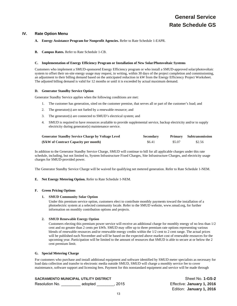# **IV. Rate Option Menu**

#### **A. Energy Assistance Program for Nonprofit Agencies.** Refer to Rate Schedule 1-EAPR.

**B. Campus Rates.** Refer to Rate Schedule 1-CB.

#### **C. Implementation of Energy Efficiency Program or Installation of New Solar/Photovoltaic Systems**

Customers who implement a SMUD-sponsored Energy Efficiency program or who install a SMUD-approved solar/photovoltaic system to offset their on-site energy usage may request, in writing, within 30 days of the project completion and commissioning, an adjustment to their billing demand based on the anticipated reduction in kW from the Energy Efficiency Project Worksheet. The adjusted billing demand is valid for 12 months or until it is exceeded by actual maximum demand.

#### **D. Generator Standby Service Option**

Generator Standby Service applies when the following conditions are met:

- 1. The customer has generation, sited on the customer premise, that serves all or part of the customer's load; and
- 2. The generator(s) are not fueled by a renewable resource; and
- 3. The generator(s) are connected to SMUD's electrical system; and
- 4. SMUD is required to have resources available to provide supplemental service, backup electricity and/or to supply electricity during generator(s) maintenance service.

| <b>Generator Standby Service Charge by Voltage Level</b> | <b>Secondary</b> |        | <b>Primary</b> Subtransmission |
|----------------------------------------------------------|------------------|--------|--------------------------------|
| (\$/kW of Contract Capacity per month)                   | \$6.41           | \$5.07 | \$2.56                         |

In addition to the Generator Standby Service Charge, SMUD will continue to bill for all applicable charges under this rate schedule, including, but not limited to, System Infrastructure Fixed Charges, Site Infrastructure Charges, and electricity usage charges for SMUD-provided power.

The Generator Standby Service Charge will be waived for qualifying net metered generation. Refer to Rate Schedule 1-NEM.

# **E. Net Energy Metering Option.** Refer to Rate Schedule 1-NEM.

# **F. Green Pricing Options**

# **1. SMUD Community Solar Option**

Under this premium service option, customers elect to contribute monthly payments toward the installation of a photoelectric system at a selected community locale. Refer to the SMUD website, www.smud.org, for further information on monthly contribution options and projects.

# **2. SMUD Renewable Energy Option**

Customers electing this premium power service will receive an additional charge for monthly energy of no less than 1/2 cent and no greater than 2 cents per kWh. SMUD may offer up to three premium rate options representing various blends of renewable resources and/or renewable energy credits within the 1/2 cent to 2 cent range. The actual prices will be published each November and will be based on the expected above market cost of renewable resources for the upcoming year. Participation will be limited to the amount of resources that SMUD is able to secure at or below the 2 cent premium limit.

#### **G. Special Metering Charge**

For customers who purchase and install additional equipment and software identified by SMUD meter specialists as necessary for load data collection and transfer to electronic media outside SMUD, SMUD will charge a monthly service fee to cover maintenance, software support and licensing fees. Payment for this nonstandard equipment and service will be made through

# **SACRAMENTO MUNICIPAL UTILITY DISTRICT SHEET NO SHEET NO 1-GS-2**

Resolution No. \_\_\_\_\_\_\_\_\_ adopted \_\_\_\_\_\_\_\_, 2015 Effective: **January 1, 2016**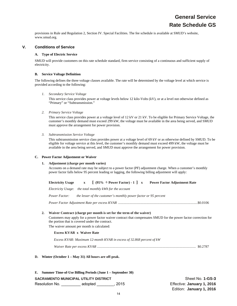provisions in Rule and Regulation 2, Section IV. Special Facilities. The fee schedule is available at SMUD's website, www.smud.org.

# **V. Conditions of Service**

#### **A. Type of Electric Service**

SMUD will provide customers on this rate schedule standard, firm service consisting of a continuous and sufficient supply of electricity.

#### **B. Service Voltage Definition**

The following defines the three voltage classes available. The rate will be determined by the voltage level at which service is provided according to the following:

*1. Secondary Service Voltage* 

This service class provides power at voltage levels below 12 kilo-Volts (kV), or at a level not otherwise defined as "Primary" or "Subtransmission."

*2. Primary Service Voltage* 

This service class provides power at a voltage level of 12 kV or 21 kV. To be eligible for Primary Service Voltage, the customer's monthly demand must exceed 299 kW, the voltage must be available in the area being served, and SMUD must approve the arrangement for power provision.

*3. Subtransmission Service Voltage* 

This subtransmission service class provides power at a voltage level of 69 kV or as otherwise defined by SMUD. To be eligible for voltage service at this level, the customer's monthly demand must exceed 499 kW, the voltage must be available in the area being served, and SMUD must approve the arrangement for power provision.

# **C. Power Factor Adjustment or Waiver**

# **1. Adjustment (charge per month varies)**

Accounts on a demand rate may be subject to a power factor (PF) adjustment charge. When a customer's monthly power factor falls below 95 percent leading or lagging, the following billing adjustment will apply:

| <b>Electricity Usage</b> |  | $[$ (95% $\div$ Power Factor) - 1 ] x | <b>Power Factor Adjustment Rate</b> |
|--------------------------|--|---------------------------------------|-------------------------------------|
|--------------------------|--|---------------------------------------|-------------------------------------|

*Electricity Usage*: *the total monthly kWh for the account* 

*Power Factor: the lesser of the customer's monthly power factor or 95 percent* 

*Power Factor Adjustment Rate per excess KVAR* .......................................................................................... \$0.0106

# **2. Waiver Contract (charge per month is set for the term of the waiver)**

Customers may apply for a power factor waiver contract that compensates SMUD for the power factor correction for the portion that is covered under the contract.

The waiver amount per month is calculated:

# **Excess KVAR x Waiver Rate**

*Excess KVAR: Maximum 12-month KVAR in excess of 32.868 percent of kW* 

*Waiver Rate per excess KVAR* ................................................................................................................ \$0.2787

**D. Winter (October 1 – May 31) All hours are off-peak.** 

**SACRAMENTO MUNICIPAL UTILITY DISTRICT SHEET NO SHEET NO 1-GS-3** Resolution No. \_\_\_\_\_\_\_\_\_ adopted \_\_\_\_\_\_\_\_, 2015 Effective: **January 1, 2016 E. Summer Time-of-Use Billing Periods (June 1 – September 30)**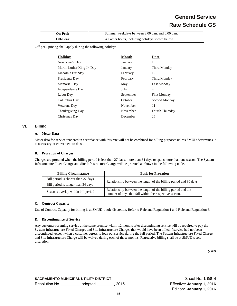# **General Service Rate Schedule GS**

| <b>On-Peak</b>  | Summer weekdays between 3:00 p.m. and 6:00 p.m. |
|-----------------|-------------------------------------------------|
| <b>Off-Peak</b> | All other hours, including holidays shown below |

Off-peak pricing shall apply during the following holidays:

| <b>Holiday</b>             | <b>Month</b> | Date                |
|----------------------------|--------------|---------------------|
| New Year's Day             | January      | 1                   |
| Martin Luther King Jr. Day | January      | Third Monday        |
| Lincoln's Birthday         | February     | 12                  |
| Presidents Day             | February     | Third Monday        |
| Memorial Day               | May          | Last Monday         |
| Independence Day           | July         | 4                   |
| Labor Day                  | September    | <b>First Monday</b> |
| Columbus Day               | October      | Second Monday       |
| Veterans Day               | November     | 11                  |
| <b>Thanksgiving Day</b>    | November     | Fourth Thursday     |
| Christmas Day              | December     | 25                  |

# **VI. Billing**

#### **A. Meter Data**

Meter data for service rendered in accordance with this rate will not be combined for billing purposes unless SMUD determines it is necessary or convenient to do so.

#### **B. Proration of Charges**

Charges are prorated when the billing period is less than 27 days, more than 34 days or spans more than one season. The System Infrastructure Fixed Charge and Site Infrastructure Charge will be prorated as shown in the following table.

| <b>Billing Circumstance</b>         | <b>Basis for Proration</b>                                                                                              |  |  |
|-------------------------------------|-------------------------------------------------------------------------------------------------------------------------|--|--|
| Bill period is shorter than 27 days | Relationship between the length of the billing period and 30 days.                                                      |  |  |
| Bill period is longer than 34 days  |                                                                                                                         |  |  |
| Seasons overlap within bill period  | Relationship between the length of the billing period and the<br>number of days that fall within the respective season. |  |  |

# **C. Contract Capacity**

Use of Contract Capacity for billing is at SMUD's sole discretion. Refer to Rule and Regulation 1 and Rule and Regulation 6.

#### **D. Discontinuance of Service**

Any customer resuming service at the same premise within 12 months after discontinuing service will be required to pay the System Infrastructure Fixed Charges and Site Infrastructure Charges that would have been billed if service had not been discontinued, except when a customer agrees to lock out service during the full period. The System Infrastructure Fixed Charge and Site Infrastructure Charge will be waived during each of those months. Retroactive billing shall be at SMUD's sole discretion.

*(End)*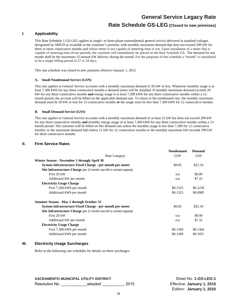# **Rate Schedule GS-LEG (Closed to new premises)**

# **I. Applicability**

This Rate Schedule 1-GS-LEG applies to single- or three-phase nonresidential general service delivered at standard voltages designated by SMUD as available at the customer's premise; with monthly maximum demand that does not exceed 299 kW for three or more consecutive months and whose meter is not capable of metering time of use. Upon installation of a meter that is capable of metering time-of-use periods, the customer will immediately be placed on the Rate Schedule GS. The demand for any month shall be the maximum 15-minute kW delivery during the month. For the purposes of this schedule a "month" is considered to be a single billing period of 27 to 34 days.

This rate schedule was closed to new premises effective January 1, 2012.

#### **A. Small Nondemand Service (GSN)**

This rate applies to General Service accounts with a monthly maximum demand of 20 kW or less. Whenever monthly usage is at least 7,300 kWh for *any* three consecutive months a demand meter will be installed. If monthly maximum demand exceeds 20 kW for *any* three consecutive months **and** energy usage is at least 7,300 kWh for *any* three consecutive months within a 12 month period, the account will be billed on the applicable demand rate. To return to the nondemand rate, the monthly maximum demand must be 20 kW or less for 12-consecutive months **or** the usage must be less than 7,300 kWh for 12 consecutive months.

#### **B. Small Demand Service (GSS)**

This rate applies to General Service accounts with a monthly maximum demand of at least 21 kW but does not exceed 299 kW for *any* three consecutive months **and** monthly energy usage of at least 7,300 kWh for *any* three consecutive months within a 12 month period. The customer will be billed on this demand rate unless the monthly usage is less than 7,300 for 12 consecutive months; or the maximum demand falls below 21 kW for 12 consecutive months or the monthly maximum kW exceeds 299 kW for three consecutive months.

# **II. Firm Service Rates**

|                                                                               | <b>Nondemand</b> | <b>Demand</b> |
|-------------------------------------------------------------------------------|------------------|---------------|
| <b>Rate Category</b>                                                          | <b>GSN</b>       | <b>GSS</b>    |
| Winter Season - November 1 through April 30                                   |                  |               |
| System Infrastructure Fixed Charge - per month per meter                      | \$8.85           | \$22.10       |
| Site Infrastructure Charge (per 12 months max kW or contract capacity)        |                  |               |
| First 20 kW                                                                   | n/a              | \$0.00        |
| Additional kW per month                                                       | n/a              | \$7.32        |
| <b>Electricity Usage Charge</b>                                               |                  |               |
| First 7,300 kWh per month                                                     | \$0.1325         | \$0.1236      |
| Additional kWh per month                                                      | \$0.1325         | \$0.0985      |
| Summer Season - May 1 through October 31                                      |                  |               |
| System Infrastructure Fixed Charge - per month per meter                      | \$8.85           | \$22.10       |
| <b>Site Infrastructure Charge</b> (per 12 months max kW or contract capacity) |                  |               |
| First 20 kW                                                                   | n/a              | \$0.00        |
| Additional kW per month                                                       | n/a              | \$7.32        |
| <b>Electricity Usage Charge</b>                                               |                  |               |
| First 7,300 kWh per month                                                     | \$0.1369         | \$0.1364      |
| Additional kWh per month                                                      | \$0.1369         | \$0.1051      |
|                                                                               |                  |               |

# **III. Electricity Usage Surcharges**

Refer to the following rate schedules for details on these surcharges:

**SACRAMENTO MUNICIPAL UTILITY DISTRICT SHOW AND SHEET ASSESSMENT OF SHEET ASSESSMENT OF SHEET ASSESSMENT OF SHEET ASSESSMENT OF SHEET ASSESSMENT OF SHEET ASSESSMENT OF SHEET ASSESSMENT OF SHEET ASSESSMENT OF SHEET ASSESSME** 

Resolution No. **Effective: January 1, 2016** Alesolution No.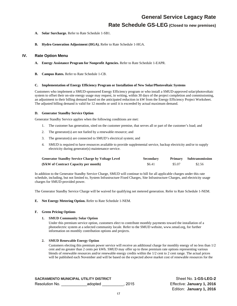# **Rate Schedule GS-LEG (Closed to new premises)**

- **A. Solar Surcharge.** Refer to Rate Schedule 1-SB1.
- **B. Hydro Generation Adjustment (HGA).** Refer to Rate Schedule 1-HGA.

# **IV. Rate Option Menu**

- **A. Energy Assistance Program for Nonprofit Agencies.** Refer to Rate Schedule 1-EAPR.
- **B. Campus Rates.** Refer to Rate Schedule 1-CB.

#### **C. Implementation of Energy Efficiency Program or Installation of New Solar/Photovoltaic Systems**

Customers who implement a SMUD-sponsored Energy Efficiency program or who install a SMUD-approved solar/photovoltaic system to offset their on-site energy usage may request, in writing, within 30 days of the project completion and commissioning, an adjustment to their billing demand based on the anticipated reduction in kW from the Energy Efficiency Project Worksheet. The adjusted billing demand is valid for 12 months or until it is exceeded by actual maximum demand.

#### **D. Generator Standby Service Option**

Generator Standby Service applies when the following conditions are met:

- 1. The customer has generation, sited on the customer premise, that serves all or part of the customer's load; and
- 2. The generator(s) are not fueled by a renewable resource; and
- 3. The generator(s) are connected to SMUD's electrical system; and
- 4. SMUD is required to have resources available to provide supplemental service, backup electricity and/or to supply electricity during generator(s) maintenance service.

| <b>Generator Standby Service Charge by Voltage Level</b> | <b>Secondary</b> |        | Primary Subtransmission |
|----------------------------------------------------------|------------------|--------|-------------------------|
| (\$/kW of Contract Capacity per month)                   | \$6.41           | \$5.07 | \$2.56                  |

In addition to the Generator Standby Service Charge, SMUD will continue to bill for all applicable charges under this rate schedule, including, but not limited to, System Infrastructure Fixed Charges, Site Infrastructure Charges, and electricity usage charges for SMUD-provided power.

The Generator Standby Service Charge will be waived for qualifying net metered generation. Refer to Rate Schedule 1-NEM.

# **E. Net Energy Metering Option.** Refer to Rate Schedule 1-NEM.

#### **F. Green Pricing Options**

# **1. SMUD Community Solar Option**

Under this premium service option, customers elect to contribute monthly payments toward the installation of a photoelectric system at a selected community locale. Refer to the SMUD website, www.smud.org, for further information on monthly contribution options and projects.

# **2. SMUD Renewable Energy Option**

Customers electing this premium power service will receive an additional charge for monthly energy of no less than 1/2 cent and no greater than 2 cents per kWh. SMUD may offer up to three premium rate options representing various blends of renewable resources and/or renewable energy credits within the 1/2 cent to 2 cent range. The actual prices will be published each November and will be based on the expected above market cost of renewable resources for the

**SACRAMENTO MUNICIPAL UTILITY DISTRICT SHOW SHOW SHEET SHEET SHOW SHEET ASSAULT ASSAULT ASSAULT ASSAULT ASSAULT** 

Resolution No. **Effective: January 1, 2016** Alesolution No.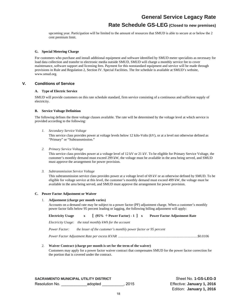# **Rate Schedule GS-LEG (Closed to new premises)**

upcoming year. Participation will be limited to the amount of resources that SMUD is able to secure at or below the 2 cent premium limit.

#### **G. Special Metering Charge**

For customers who purchase and install additional equipment and software identified by SMUD meter specialists as necessary for load data collection and transfer to electronic media outside SMUD, SMUD will charge a monthly service fee to cover maintenance, software support and licensing fees. Payment for this nonstandard equipment and service will be made through provisions in Rule and Regulation 2, Section IV. Special Facilities. The fee schedule is available at SMUD's website, www.smud.org.

# **V. Conditions of Service**

# **A. Type of Electric Service**

SMUD will provide customers on this rate schedule standard, firm service consisting of a continuous and sufficient supply of electricity.

#### **B. Service Voltage Definition**

The following defines the three voltage classes available. The rate will be determined by the voltage level at which service is provided according to the following:

*1. Secondary Service Voltage* 

This service class provides power at voltage levels below 12 kilo-Volts (kV), or at a level not otherwise defined as "Primary" or "Subtransmission."

*2. Primary Service Voltage* 

This service class provides power at a voltage level of 12 kV or 21 kV. To be eligible for Primary Service Voltage, the customer's monthly demand must exceed 299 kW, the voltage must be available in the area being served, and SMUD must approve the arrangement for power provision.

*3. Subtransmission Service Voltage* 

This subtransmission service class provides power at a voltage level of 69 kV or as otherwise defined by SMUD. To be eligible for voltage service at this level, the customer's monthly demand must exceed 499 kW, the voltage must be available in the area being served, and SMUD must approve the arrangement for power provision.

#### **C. Power Factor Adjustment or Waiver**

#### 1. **Adjustment (charge per month varies)**

Accounts on a demand rate may be subject to a power factor (PF) adjustment charge. When a customer's monthly power factor falls below 95 percent leading or lagging, the following billing adjustment will apply:

**Electricity Usage x [ (95% ÷ Power Factor) - 1 ] x Power Factor Adjustment Rate** 

*Electricity Usage*: *the total monthly kWh for the account* 

*Power Factor: the lesser of the customer's monthly power factor or 95 percent* 

*Power Factor Adjustment Rate per excess KVAR* .......................................................................................... \$0.0106

#### 2. **Waiver Contract (charge per month is set for the term of the waiver)**

Customers may apply for a power factor waiver contract that compensates SMUD for the power factor correction for the portion that is covered under the contract.

**SACRAMENTO MUNICIPAL UTILITY DISTRICT SHOW SHEET SHEET SHEET SHEET SHEET SHEET SHEET SHEET SHEET SHEET SHEET SHEET SHEET SHEET SHEET SHEET SHEET SHEET SHEET SHEET SHEET SHEET SHEET SHEET SHEET SHEET SHEET SHEET SHEET SHEE** Resolution No. \_\_\_\_\_\_\_\_\_\_\_\_adopted \_\_\_\_\_\_\_\_\_\_, 2015 Effective: **January 1, 2016**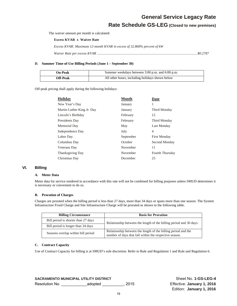**Rate Schedule GS-LEG (Closed to new premises)**

The waiver amount per month is calculated:

**Excess KVAR x Waiver Rate** 

*Excess KVAR: Maximum 12-month KVAR in excess of 32.868% percent of kW* 

*Waiver Rate per excess KVAR* .................................................................................................................. \$0.2787

#### **D. Summer Time-of-Use Billing Periods (June 1 – September 30)**

| <b>On-Peak</b>  | Summer weekdays between 3:00 p.m. and 6:00 p.m. |
|-----------------|-------------------------------------------------|
| <b>Off-Peak</b> | All other hours, including holidays shown below |

Off-peak pricing shall apply during the following holidays:

| <b>Holiday</b>             | <b>Month</b> | Date                |
|----------------------------|--------------|---------------------|
| New Year's Day             | January      |                     |
| Martin Luther King Jr. Day | January      | Third Monday        |
| Lincoln's Birthday         | February     | 12                  |
| Presidents Day             | February     | Third Monday        |
| Memorial Day               | May          | Last Monday         |
| Independence Day           | July         | 4                   |
| Labor Day                  | September    | <b>First Monday</b> |
| Columbus Day               | October      | Second Monday       |
| <b>Veterans</b> Day        | November     | 11                  |
| <b>Thanksgiving Day</b>    | November     | Fourth Thursday     |
| Christmas Day              | December     | 25                  |

# **VI. Billing**

# **A. Meter Data**

Meter data for service rendered in accordance with this rate will not be combined for billing purposes unless SMUD determines it is necessary or convenient to do so.

#### **B. Proration of Charges**

Charges are prorated when the billing period is less than 27 days, more than 34 days or spans more than one season. The System Infrastructure Fixed Charge and Site Infrastructure Charge will be prorated as shown in the following table.

| <b>Billing Circumstance</b>         | <b>Basis for Proration</b>                                                                                              |
|-------------------------------------|-------------------------------------------------------------------------------------------------------------------------|
| Bill period is shorter than 27 days | Relationship between the length of the billing period and 30 days.                                                      |
| Bill period is longer than 34 days  |                                                                                                                         |
| Seasons overlap within bill period  | Relationship between the length of the billing period and the<br>number of days that fall within the respective season. |

# **C. Contract Capacity**

Use of Contract Capacity for billing is at SMUD's sole discretion. Refer to Rule and Regulation 1 and Rule and Regulation 6.

**SACRAMENTO MUNICIPAL UTILITY DISTRICT** Sheet No. **1-GS-LEG-4** Resolution No. **Effective: January 1, 2016** Alesolution No.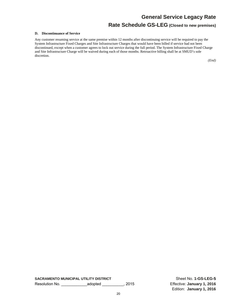# **Rate Schedule GS-LEG (Closed to new premises)**

#### **D. Discontinuance of Service**

Any customer resuming service at the same premise within 12 months after discontinuing service will be required to pay the System Infrastructure Fixed Charges and Site Infrastructure Charges that would have been billed if service had not been discontinued, except when a customer agrees to lock out service during the full period. The System Infrastructure Fixed Charge and Site Infrastructure Charge will be waived during each of those months. Retroactive billing shall be at SMUD's sole discretion.

*(End)*

**SACRAMENTO MUNICIPAL UTILITY DISTRICT** Sheet No. **1-GS-LEG-5** Resolution No. \_\_\_\_\_\_\_\_\_\_\_\_adopted \_\_\_\_\_\_\_\_\_\_, 2015 Effective: **January 1, 2016**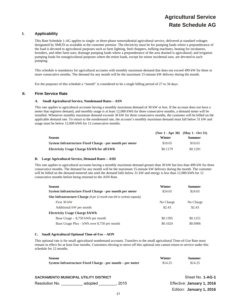# **Agricultural Service Rate Schedule AG**

# **I. Applicability**

This Rate Schedule 1-AG applies to single- or three-phase nonresidential agricultural service, delivered at standard voltages designated by SMUD as available at the customer premise. The electricity must be for pumping loads where a preponderance of the load is devoted to agricultural purposes such as farm lighting, feed choppers, milking machines, heating for incubators, brooders, and other farm uses; drainage pumping loads where a preponderance of the area drained is agricultural; and irrigation pumping loads for nonagricultural purposes where the entire loads, except for minor incidental uses, are devoted to such pumping.

This schedule is mandatory for agricultural accounts with monthly maximum demand that does not exceed 499 kW for three or more consecutive months. The demand for any month will be the maximum 15-minute kW delivery during the month.

For the purposes of this schedule a "month" is considered to be a single billing period of 27 to 34 days.

# **II. Firm Service Rate**

#### **A. Small Agricultural Service, Nondemand Rates – ASN**

This rate applies to agricultural accounts having a monthly maximum demand of 30 kW or less. If the account does not have a meter that registers demand, and monthly usage is at least 12,000 kWh for three consecutive months, a demand meter will be installed. Whenever monthly maximum demand exceeds 30 kW for three consecutive months, the customer will be billed on the applicable demand rate. To return to the nondemand rate, the account's monthly maximum demand must fall below 31 kW and usage must be below 12,000 kWh for 12 consecutive months.

|                                                          |          | $(Nov 1 - Apr 30)$ $(Mav 1 - Oct 31)$ |
|----------------------------------------------------------|----------|---------------------------------------|
| <b>Season</b>                                            | Winter   | <b>Summer</b>                         |
| System Infrastructure Fixed Charge - per month per meter | \$10.65  | \$10.65                               |
| Electricity Usage Charge \$/kWh for all kWh              | \$0.1179 | \$0.1291                              |

#### **B. Large Agricultural Service, Demand Rates – ASD**

This rate applies to agricultural accounts having a monthly maximum demand greater than 30 kW but less than 499 kW for three consecutive months. The demand for any month will be the maximum 15-minute kW delivery during the month. The customer will be billed on the demand-metered rate until the demand falls below 31 kW and energy is less than 12,000 kWh for 12 consecutive months before being returned to the ASN Rate.

| <b>Season</b>                                                                   | Winter    | Summer    |
|---------------------------------------------------------------------------------|-----------|-----------|
| System Infrastructure Fixed Charge - per month per meter                        | \$24.65   | \$24.65   |
| <b>Site Infrastructure Charge</b> (\$ per 12-month max kW or contract capacity) |           |           |
| First 30 kW                                                                     | No Charge | No Charge |
| Additional kW per month                                                         | \$2.43    | \$2.43    |
| <b>Electricity Usage Charge \$/kWh</b>                                          |           |           |
| Base Usage $-8,750$ kWh per month                                               | \$0.1305  | \$0.1251  |
| Base Usage Plus – kWh over $8,750$ per month                                    | \$0.1024  | \$0.0906  |

#### **C. Small Agricultural Optional Time-of-Use – AON**

This optional rate is for small agricultural nondemand accounts. Transfers to the small agricultural Time-of-Use Rate must remain in effect for at least four months. Customers electing to move off this optional rate cannot return to service under this schedule for 12 months.

| Season                                                     | Winter  | Summer  |
|------------------------------------------------------------|---------|---------|
| System Infrastructure Fixed Charge - per month – per meter | \$14.25 | \$14.25 |
|                                                            |         |         |

| SACRAMENTO MUNICIPAL UTILITY DISTRICT |                | Sheet No. 1-AG-1           |
|---------------------------------------|----------------|----------------------------|
| Resolution No.                        | adopted . 2015 | Effective: January 1, 2016 |
|                                       |                | Edition: January 1, 2016   |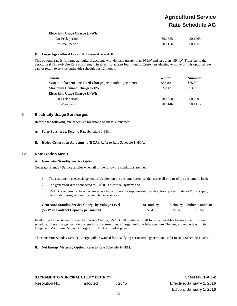# **Agricultural Service Rate Schedule AG**

#### **Electricity Usage Charge \$/kWh**

| On-Peak period  | \$0.1355 | \$0.1965 |
|-----------------|----------|----------|
| Off-Peak period | \$0.1156 | \$0.1057 |

#### **D. Large Agricultural Optional Time-of-Use – AOD**

This optional rate is for large agricultural accounts with demand greater than 30 kW and less than 499 kW. Transfers to the agricultural Time-of-Use Rate must remain in effect for at least four months. Customers electing to move off this optional rate cannot return to service under this schedule for 12 months.

| <b>Season</b>                                            | Winter   | <b>Summer</b> |
|----------------------------------------------------------|----------|---------------|
| System Infrastructure Fixed Charge per month – per meter | \$85.80  | \$85.80       |
| <b>Maximum Demand Charge \$/ kW</b>                      | \$2.43   | \$3.39        |
| <b>Electricity Usage Charge \$/kWh</b>                   |          |               |
| On-Peak period                                           | \$0.1350 | \$0.2091      |
| Off-Peak period                                          | \$0.1146 | \$0.1115      |

# **III. Electricity Usage Surcharges**

Refer to the following rate schedules for details on these surcharges:

- **A. Solar Surcharge.** Refer to Rate Schedule 1-SB1.
- **B. Hydro Generation Adjustment (HGA).** Refer to Rate Schedule 1-HGA.

# **IV. Rate Option Menu**

# **A. Generator Standby Service Option**

Generator Standby Service applies when all of the following conditions are met:

- 1. The customer has electric generator(s), sited on the customer premise, that serve all or part of the customer's load;
- 2. The generator(s) are connected to SMUD's electrical system; and
- 3. SMUD is required to have resources available to provide supplemental service, backup electricity and/or to supply electricity during generator(s) maintenance service.

| <b>Generator Standby Service Charge by Voltage Level</b> | <b>Secondary</b> |        | <b>Primary</b> Subtransmission |
|----------------------------------------------------------|------------------|--------|--------------------------------|
| (\$/kW of Contract Capacity per month)                   | \$6.41           | \$5.07 | \$2.56                         |

In addition to the Generator Standby Service Charge, SMUD will continue to bill for all applicable charges under this rate schedule. These charges include System Infrastructure Fixed Charges and Site Infrastructure Charges, as well as Electricity Usage and Maximum Demand Charges for SMUD-provided power.

The Generator Standby Service Charge will be waived for qualifying net metered generation. Refer to Rate Schedule 1-NEM.

**B. Net Energy Metering Option.** Refer to Rate Schedule 1-NEM.

**SACRAMENTO MUNICIPAL UTILITY DISTRICT SHOTTLE SHEET NO. 1-AG-2** Sheet No. 1-AG-2 Resolution No. \_\_\_\_\_\_\_\_\_\_ adopted \_\_\_\_\_\_\_\_, 2015 Effective: **January 1, 2016**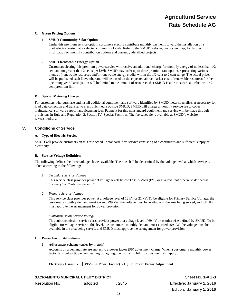#### **C. Green Pricing Options**

#### **1. SMUD Community Solar Option**

Under this premium service option, customers elect to contribute monthly payments toward the installation of a photoelectric system at a selected community locale. Refer to the SMUD website, www.smud.org, for further information on monthly contribution options and currently identified projects.

#### **2. SMUD Renewable Energy Option**

Customers electing this premium power service will receive an additional charge for monthly energy of no less than 1/2 cent and no greater than 2 cents per kWh. SMUD may offer up to three premium rate options representing various blends of renewable resources and/or renewable energy credits within the 1/2 cent to 2 cent range. The actual prices will be published each November and will be based on the expected above market cost of renewable resources for the upcoming year. Participation will be limited to the amount of resources that SMUD is able to secure at or below the 2 cent premium limit.

#### **D. Special Metering Charge**

For customers who purchase and install additional equipment and software identified by SMUD meter specialists as necessary for load data collection and transfer to electronic media outside SMUD, SMUD will charge a monthly service fee to cover maintenance, software support and licensing fees. Payment for this nonstandard equipment and service will be made through provisions in Rule and Regulation 2, Section IV. Special Facilities. The fee schedule is available at SMUD's website, www.smud.org.

# **V. Conditions of Service**

# **A. Type of Electric Service**

SMUD will provide customers on this rate schedule standard, firm service consisting of a continuous and sufficient supply of electricity.

# **B. Service Voltage Definition**

The following defines the three voltage classes available. The rate shall be determined by the voltage level at which service is taken according to the following:

*1. Secondary Service Voltage* 

This service class provides power at voltage levels below 12 kilo-Volts (kV), or at a level not otherwise defined as "Primary" or "Subtransmission."

*2. Primary Service Voltage* 

This service class provides power at a voltage level of 12 kV or 21 kV. To be eligible for Primary Service Voltage, the customer's monthly demand must exceed 299 kW, the voltage must be available in the area being served, and SMUD must approve the arrangement for power provision.

*3. Subtransmission Service Voltage* 

This subtransmission service class provides power at a voltage level of 69 kV or as otherwise defined by SMUD. To be eligible for voltage service at this level, the customer's monthly demand must exceed 499 kW, the voltage must be available in the area being served, and SMUD must approve the arrangement for power provision.

# **C. Power Factor Adjustment**

# **1. Adjustment (charge varies by month)**

Accounts on a demand rate are subject to a power factor (PF) adjustment charge. When a customer's monthly power factor falls below 95 percent leading or lagging, the following billing adjustment will apply:

**Electricity Usage x [ (95% Power Factor) - 1 ] x Power Factor Adjustment** 

# **SACRAMENTO MUNICIPAL UTILITY DISTRICT SHOW SHOW SHEET NO. 1-AG-3**

Resolution No. \_\_\_\_\_\_\_\_\_\_ adopted \_\_\_\_\_\_\_\_, 2015 Effective: **January 1, 2016**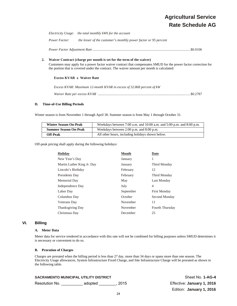# **Agricultural Service Rate Schedule AG**

*Electricity Usage*: *the total monthly kWh for the account*

*Power Factor: the lesser of the customer's monthly power factor or 95 percent*

*Power Factor Adjustment Rate* ............................................................................................................... \$0.0106

#### **2. Waiver Contract (charge per month is set for the term of the waiver)**

Customers may apply for a power factor waiver contract that compensates SMUD for the power factor correction for the portion that is covered under the contract. The waiver amount per month is calculated:

#### **Excess KVAR x Waiver Rate**

| Excess KVAR: Maximum 12-month KVAR in excess of 32.868 percent of kW |
|----------------------------------------------------------------------|
|                                                                      |

#### **D. Time-of-Use Billing Periods**

Winter season is from November 1 through April 30. Summer season is from May 1 through October 31.

| <b>Winter Season On-Peak</b> | Weekdays between 7:00 a.m. and $10:00$ a.m. and $5:00$ p.m. and $8:00$ p.m. |
|------------------------------|-----------------------------------------------------------------------------|
| <b>Summer Season On-Peak</b> | Weekdays between 2:00 p.m. and 8:00 p.m.                                    |
| <b>Off-Peak</b>              | All other hours, including holidays shown below.                            |

Off-peak pricing shall apply during the following holidays:

| Holiday                    | <b>Month</b> | <b>Date</b>         |
|----------------------------|--------------|---------------------|
| New Year's Day             | January      | 1                   |
| Martin Luther King Jr. Day | January      | Third Monday        |
| Lincoln's Birthday         | February     | 12                  |
| Presidents Day             | February     | Third Monday        |
| Memorial Day               | May          | Last Monday         |
| Independence Day           | July         | 4                   |
| Labor Day                  | September    | <b>First Monday</b> |
| Columbus Day               | October      | Second Monday       |
| Veterans Day               | November     | 11                  |
| <b>Thanksgiving Day</b>    | November     | Fourth Thursday     |
| Christmas Day              | December     | 25                  |

# **VI. Billing**

### **A. Meter Data**

Meter data for service rendered in accordance with this rate will not be combined for billing purposes unless SMUD determines it is necessary or convenient to do so.

#### **B. Proration of Charges**

Charges are prorated when the billing period is less than 27 day, more than 34 days or spans more than one season. The Electricity Usage allowances, System Infrastructure Fixed Charge, and Site Infrastructure Charge will be prorated as shown in the following table.

| <b>SACRAMENTO MUNICIPAL UTILITY DISTRICT</b> |         |      | Sheet No. 1-AG-4           |
|----------------------------------------------|---------|------|----------------------------|
| Resolution No.                               | adopted | 2015 | Effective: January 1, 2016 |
|                                              |         |      | Edition: January 1, 2016   |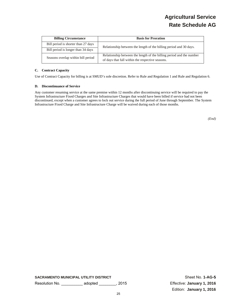| <b>Billing Circumstance</b>         | <b>Basis for Proration</b>                                                                                               |
|-------------------------------------|--------------------------------------------------------------------------------------------------------------------------|
| Bill period is shorter than 27 days | Relationship between the length of the billing period and 30 days.                                                       |
| Bill period is longer than 34 days  |                                                                                                                          |
| Seasons overlap within bill period  | Relationship between the length of the billing period and the number<br>of days that fall within the respective seasons. |

# **C. Contract Capacity**

Use of Contract Capacity for billing is at SMUD's sole discretion. Refer to Rule and Regulation 1 and Rule and Regulation 6.

#### **D. Discontinuance of Service**

Any customer resuming service at the same premise within 12 months after discontinuing service will be required to pay the System Infrastructure Fixed Charges and Site Infrastructure Charges that would have been billed if service had not been discontinued, except when a customer agrees to lock out service during the full period of June through September. The System Infrastructure Fixed Charge and Site Infrastructure Charge will be waived during each of those months.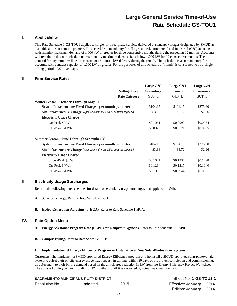# **I. Applicability**

This Rate Schedule 1-GS-TOU1 applies to single- or three-phase service, delivered at standard voltages designated by SMUD as available at the customer's premise. This schedule is mandatory for all agricultural, commercial and industrial (C&I) accounts with monthly maximum demand of 1,000 kW or greater for three consecutive months during the preceding 12 months. Accounts will remain on this rate schedule unless monthly maximum demand falls below 1,000 kW for 12 consecutive months. The demand for any month will be the maximum 15-minute kW delivery during the month. This schedule is also mandatory for accounts with contract capacity of 1,000 kW or greater. For the purposes of this schedule a "month" is considered to be a single billing period of 27 to 34 days.

# **II. Firm Service Rates**

|                                                                                 |                      | Large C&I        | Large C&I      | Large C&I              |
|---------------------------------------------------------------------------------|----------------------|------------------|----------------|------------------------|
|                                                                                 | <b>Voltage Level</b> | <b>Secondary</b> | <b>Primary</b> | <b>Subtransmission</b> |
|                                                                                 | <b>Rate Category</b> | GUS L            | <b>GUP L</b>   | GUT L                  |
| Winter Season - October 1 through May 31                                        |                      |                  |                |                        |
| System Infrastructure Fixed Charge - per month per meter                        |                      | \$104.15         | \$104.15       | \$275.90               |
| <b>Site Infrastructure Charge</b> (\$ per 12 month max kW or contract capacity) |                      | \$3.88           | \$3.72         | \$2.96                 |
| <b>Electricity Usage Charge</b>                                                 |                      |                  |                |                        |
| On-Peak \$/kWh                                                                  |                      | \$0.1041         | \$0.0990       | \$0.0954               |
| Off-Peak \$/kWh                                                                 |                      | \$0.0825         | \$0.0771       | \$0.0755               |
| Summer Season - June 1 through September 30                                     |                      |                  |                |                        |
| System Infrastructure Fixed Charge – per month per meter                        |                      | \$104.15         | \$104.15       | \$275.90               |
| <b>Site Infrastructure Charge</b> (\$ per 12 month max kW or contract capacity) |                      | \$3.88           | \$3.72         | \$2.96                 |
| <b>Electricity Usage Charge</b>                                                 |                      |                  |                |                        |
| Super-Peak \$/kWh                                                               |                      | \$0.1621         | \$0.1336       | \$0.1298               |
| On-Peak \$/kWh                                                                  |                      | \$0.1294         | \$0.1217       | \$0.1140               |
| Off-Peak \$/kWh                                                                 |                      | \$0.1036         | \$0.0944       | \$0.0931               |

# **III. Electricity Usage Surcharges**

Refer to the following rate schedules for details on electricity usage surcharges that apply to all kWh.

- **A. Solar Surcharge.** Refer to Rate Schedule 1-SB1.
- **B. Hydro Generation Adjustment (HGA).** Refer to Rate Schedule 1-HGA.

# **IV. Rate Option Menu**

- **A. Energy Assistance Program Rate (EAPR) for Nonprofit Agencies.** Refer to Rate Schedule 1-EAPR.
- **B. Campus Billing.** Refer to Rate Schedule 1-CB.

#### **C. Implementation of Energy Efficiency Program or Installation of New Solar/Photovoltaic Systems**

Customers who implement a SMUD-sponsored Energy Efficiency program or who install a SMUD-approved solar/photovoltaic system to offset their on-site energy usage may request, in writing, within 30 days of the project completion and commissioning, an adjustment to their billing demand based on the anticipated reduction in kW from the Energy Efficiency Project Worksheet. The adjusted billing demand is valid for 12 months or until it is exceeded by actual maximum demand.

|                | <b>SACRAMENTO MUNICIPAL UTILITY DISTRICT</b> |        | Sheet No. 1-GS-TOU1-1      |
|----------------|----------------------------------------------|--------|----------------------------|
| Resolution No. | adopted                                      | . 2015 | Effective: January 1, 2016 |
|                |                                              |        | Edition: January 1, 2016   |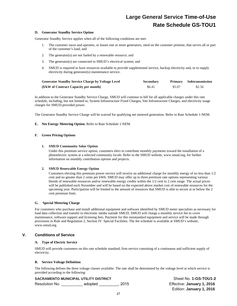#### **D. Generator Standby Service Option**

Generator Standby Service applies when all of the following conditions are met:

- 1. The customer owns and operates, or leases one or more generators, sited on the customer premise, that serves all or part of the customer's load; and
- 2. The generator(s) are not fueled by a renewable resource; and
- 3. The generator(s) are connected to SMUD's electrical system; and
- 4. SMUD is required to have resources available to provide supplemental service, backup electricity and, or to supply electricity during generator(s) maintenance service.

| <b>Generator Standby Service Charge by Voltage Level</b> | <b>Secondary</b> |        | Primary Subtransmission |
|----------------------------------------------------------|------------------|--------|-------------------------|
| (\$/kW of Contract Capacity per month)                   | \$6.41           | \$5.07 | \$2.56                  |

In addition to the Generator Standby Service Charge, SMUD will continue to bill for all applicable charges under this rate schedule, including, but not limited to, System Infrastructure Fixed Charges, Site Infrastructure Charges, and electricity usage charges for SMUD-provided power.

The Generator Standby Service Charge will be waived for qualifying net metered generation. Refer to Rate Schedule 1-NEM.

# **E. Net Energy Metering Option.** Refer to Rate Schedule 1-NEM.

#### **F. Green Pricing Options**

#### **1. SMUD Community Solar Option**

Under this premium service option, customers elect to contribute monthly payments toward the installation of a photoelectric system at a selected community locale. Refer to the SMUD website, www.smud.org, for further information on monthly contribution options and projects.

#### **2. SMUD Renewable Energy Option**

Customers electing this premium power service will receive an additional charge for monthly energy of no less than 1/2 cent and no greater than 2 cents per kWh. SMUD may offer up to three premium rate options representing various blends of renewable resources and/or renewable energy credits within the 1/2 cent to 2 cent range. The actual prices will be published each November and will be based on the expected above market cost of renewable resources for the upcoming year. Participation will be limited to the amount of resources that SMUD is able to secure at or below the 2 cent premium limit.

# **G. Special Metering Charge**

For customers who purchase and install additional equipment and software identified by SMUD meter specialists as necessary for load data collection and transfer to electronic media outside SMUD, SMUD will charge a monthly service fee to cover maintenance, software support and licensing fees. Payment for this nonstandard equipment and service will be made through provisions in Rule and Regulation 2, Section IV. Special Facilities. The fee schedule is available at SMUD's website, www.smud.org.

# **V. Conditions of Service**

#### **A. Type of Electric Service**

SMUD will provide customers on this rate schedule standard, firm service consisting of a continuous and sufficient supply of electricity.

#### **B. Service Voltage Definition**

The following defines the three voltage classes available. The rate shall be determined by the voltage level at which service is provided according to the following:

# **SACRAMENTO MUNICIPAL UTILITY DISTRICT SHEET NO SHEET NO SHEET NO. 1-GS-TOU1-2**

Resolution No. \_\_\_\_\_\_\_\_\_\_ adopted \_\_\_\_\_\_\_\_\_, 2015 Effective: **January 1, 2016**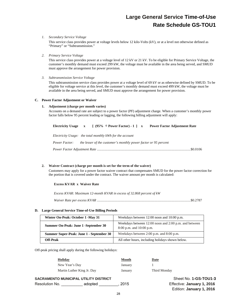#### *1. Secondary Service Voltage*

This service class provides power at voltage levels below 12 kilo-Volts (kV), or at a level not otherwise defined as "Primary" or "Subtransmission."

#### *2. Primary Service Voltage*

This service class provides power at a voltage level of 12 kV or 21 kV. To be eligible for Primary Service Voltage, the customer's monthly demand must exceed 299 kW, the voltage must be available in the area being served, and SMUD must approve the arrangement for power provision.

#### *3. Subtransmission Service Voltage*

This subtransmission service class provides power at a voltage level of 69 kV or as otherwise defined by SMUD. To be eligible for voltage service at this level, the customer's monthly demand must exceed 499 kW, the voltage must be available in the area being served, and SMUD must approve the arrangement for power provision.

#### **C. Power Factor Adjustment or Waiver**

#### **1. Adjustment (charge per month varies)**

Accounts on a demand rate are subject to a power factor (PF) adjustment charge. When a customer's monthly power factor falls below 95 percent leading or lagging, the following billing adjustment will apply:

|                                                          |  |  | Electricity Usage $x \in (95\% \div Power$ Factor $-1 \in x$ Power Factor Adjustment Rate |
|----------------------------------------------------------|--|--|-------------------------------------------------------------------------------------------|
| Electricity Usage: the total monthly kWh for the account |  |  |                                                                                           |
| <i>Power Factor:</i>                                     |  |  | the lesser of the customer's monthly power factor or 95 percent                           |
|                                                          |  |  |                                                                                           |

# **2. Waiver Contract (charge per month is set for the term of the waiver)**

Customers may apply for a power factor waiver contract that compensates SMUD for the power factor correction for the portion that is covered under the contract. The waiver amount per month is calculated:

# **Excess KVAR x Waiver Rate**

*Excess KVAR: Maximum 12-month KVAR in excess of 32.868 percent of kW* 

*Waiver Rate per excess KVAR* .......................................................................................................... \$0.2787

# **D. Large General Service Time-of-Use Billing Periods**

| Winter On-Peak: October 1 -May 31        | Weekdays between 12:00 noon and 10:00 p.m.                                            |
|------------------------------------------|---------------------------------------------------------------------------------------|
| Summer On-Peak: June 1 - September 30    | Weekdays between 12:00 noon and 2:00 p.m. and between<br>$8:00$ p.m. and $10:00$ p.m. |
| Summer Super-Peak: June 1 - September 30 | Weekdays between 2:00 p.m. and 8:00 p.m.                                              |
| <b>Off-Peak</b>                          | All other hours, including holidays shown below.                                      |

Off-peak pricing shall apply during the following holidays:

| <b>Holiday</b>             | <b>Month</b> | <b>Date</b>  |  |
|----------------------------|--------------|--------------|--|
| New Year's Day             | January      |              |  |
| Martin Luther King Jr. Day | January      | Third Monday |  |

# **SACRAMENTO MUNICIPAL UTILITY DISTRICT SHEET NO SHEET NO 1-GS-TOU1-3**

Resolution No. \_\_\_\_\_\_\_\_\_\_ adopted \_\_\_\_\_\_\_\_\_, 2015 Effective: **January 1, 2016**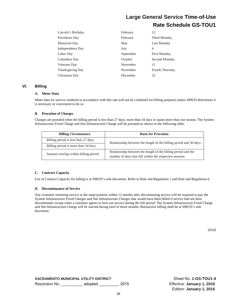| Lincoln's Birthday      | February  | 12                  |
|-------------------------|-----------|---------------------|
| Presidents Day          | February  | Third Monday        |
| Memorial Day            | May       | Last Monday         |
| Independence Day        | July      | 4                   |
| Labor Day               | September | <b>First Monday</b> |
| Columbus Day            | October   | Second Monday       |
| Veterans Day            | November  | 11                  |
| <b>Thanksgiving Day</b> | November  | Fourth Thursday     |
| Christmas Day           | December  | 25                  |

# **VI. Billing**

#### **A. Meter Data**

Meter data for service rendered in accordance with this rate will not be combined for billing purposes unless SMUD determines it is necessary or convenient to do so.

# **B. Proration of Charges**

Charges are prorated when the billing period is less than 27 days, more than 34 days or spans more than one season. The System Infrastructure Fixed Charge and Site Infrastructure Charge will be prorated as shown in the following table.

| <b>Billing Circumstance</b>           | <b>Basis for Proration</b>                                                                                               |
|---------------------------------------|--------------------------------------------------------------------------------------------------------------------------|
| Billing period is less than 27 days   | Relationship between the length of the billing period and 30 days.                                                       |
| Billing period is more than 34 days   |                                                                                                                          |
| Seasons overlap within billing period | Relationship between the length of the billing period and the<br>number of days that fall within the respective seasons. |

# **C. Contract Capacity**

Use of Contract Capacity for billing is at SMUD's sole discretion. Refer to Rule and Regulation 1 and Rule and Regulation 6.

# **D. Discontinuance of Service**

Any customer resuming service at the same premise within 12 months after discontinuing service will be required to pay the System Infrastructure Fixed Charges and Site Infrastructure Charges that would have been billed if service had not been discontinued, except when a customer agrees to lock out service during the full period. The System Infrastructure Fixed Charge and Site Infrastructure Charge will be waived during each of those months. Retroactive billing shall be at SMUD's sole discretion.

*(End)*

**SACRAMENTO MUNICIPAL UTILITY DISTRICT SHEET NO SHEET NO SHEET NO. 1-GS-TOU1-4** Resolution No. \_\_\_\_\_\_\_\_\_\_ adopted \_\_\_\_\_\_\_\_\_, 2015 Effective: **January 1, 2016**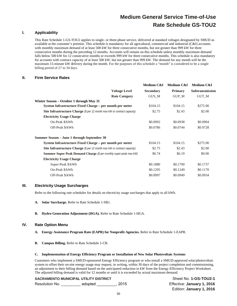# **I. Applicability**

This Rate Schedule 1-GS-TOU2 applies to single- or three-phase service, delivered at standard voltages designated by SMUD as available at the customer's premise. This schedule is mandatory for all agricultural, commercial and industrial (C&I) accounts with monthly maximum demand of at least 500 kW for three consecutive months, but not greater than 999 kW for three consecutive months during the preceding 12 months. Accounts will remain on this schedule unless monthly maximum demand falls below 500 kW for 12 consecutive months or exceeds 999 kW for three consecutive months. This schedule is also mandatory for accounts with contract capacity of at least 500 kW, but not greater than 999 kW. The demand for any month will be the maximum 15-minute kW delivery during the month. For the purposes of this schedule a "month" is considered to be a single billing period of 27 to 34 days.

# **II. Firm Service Rates**

|                                                                                 |                      | Medium C&I       | Medium C&I     | Medium C&I      |
|---------------------------------------------------------------------------------|----------------------|------------------|----------------|-----------------|
|                                                                                 | <b>Voltage Level</b> | <b>Secondary</b> | <b>Primary</b> | Subtransmission |
|                                                                                 | <b>Rate Category</b> | GUS M            | <b>GUP M</b>   | <b>GUT M</b>    |
| Winter Season – October 1 through May 31                                        |                      |                  |                |                 |
| System Infrastructure Fixed Charge – per month per meter                        |                      | \$104.15         | \$104.15       | \$275.90        |
| <b>Site Infrastructure Charge</b> (\$ per 12 month max kW or contract capacity) |                      | \$2.75           | \$2.43         | \$2.00          |
| <b>Electricity Usage Charge</b>                                                 |                      |                  |                |                 |
| On-Peak \$/kWh                                                                  |                      | \$0.0992         | \$0.0938       | \$0.0904        |
| Off-Peak \$/kWh                                                                 |                      | \$0.0786         | \$0.0744       | \$0.0728        |
| Summer Season - June 1 through September 30                                     |                      |                  |                |                 |
| System Infrastructure Fixed Charge - per month per meter                        |                      | \$104.15         | \$104.15       | \$275.90        |
| Site Infrastructure Charge (\$ per 12 month max kW or contract capacity)        |                      | \$2.75           | \$2.43         | \$2.00          |
| <b>Summer Super Peak Demand Charge</b> (\$ per monthly super-peak max kW)       |                      | \$6.74           | \$6.19         | \$0.00          |
| <b>Electricity Usage Charge</b>                                                 |                      |                  |                |                 |
| Super-Peak \$/kWh                                                               |                      | \$0.1880         | \$0.1790       | \$0.1737        |
| On-Peak \$/kWh                                                                  |                      | \$0.1295         | \$0.1249       | \$0.1170        |
| Off-Peak \$/kWh                                                                 |                      | \$0.0997         | \$0.0949       | \$0.0934        |

# **III. Electricity Usage Surcharges**

Refer to the following rate schedules for details on electricity usage surcharges that apply to all kWh.

- **A. Solar Surcharge.** Refer to Rate Schedule 1-SB1.
- **B. Hydro Generation Adjustment (HGA).** Refer to Rate Schedule 1-HGA.

# **IV. Rate Option Menu**

- **A. Energy Assistance Program Rate (EAPR) for Nonprofit Agencies.** Refer to Rate Schedule 1-EAPR.
- **B. Campus Billing.** Refer to Rate Schedule 1-CB.

#### **C. Implementation of Energy Efficiency Program or Installation of New Solar Photovoltaic Systems**

Customers who implement a SMUD-sponsored Energy Efficiency program or who install a SMUD-approved solar/photovoltaic system to offset their on-site energy usage may request, in writing, within 30 days of the project completion and commissioning, an adjustment to their billing demand based on the anticipated reduction in kW from the Energy Efficiency Project Worksheet. The adjusted billing demand is valid for 12 months or until it is exceeded by actual maximum demand.

# **SACRAMENTO MUNICIPAL UTILITY DISTRICT NEXT ASSET ASSAULT ASSET ON A SHEET NO. 1-GS-TOU2-1**

Resolution No. \_\_\_\_\_\_\_\_\_ adopted \_\_\_\_\_\_\_\_\_, 2015 Effective: **January 1, 2016**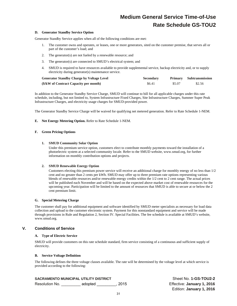#### **D. Generator Standby Service Option**

Generator Standby Service applies when all of the following conditions are met:

- 1. The customer owns and operates, or leases, one or more generators, sited on the customer premise, that serves all or part of the customer's load; and
- 2. The generator(s) are not fueled by a renewable resource; and
- 3. The generator(s) are connected to SMUD's electrical system; and
- 4. SMUD is required to have resources available to provide supplemental service, backup electricity and, or to supply electricity during generator(s) maintenance service.

| <b>Generator Standby Charge by Voltage Level</b> | <b>Secondary</b> |        | <b>Primary</b> Subtransmission |
|--------------------------------------------------|------------------|--------|--------------------------------|
| (\$/kW of Contract Capacity per month)           | \$6.41           | \$5.07 | \$2.56                         |

In addition to the Generator Standby Service Charge, SMUD will continue to bill for all applicable charges under this rate schedule, including, but not limited to, System Infrastructure Fixed Charges, Site Infrastructure Charges, Summer Super Peak Infrastructure Charges, and electricity usage charges for SMUD-provided power.

The Generator Standby Service Charge will be waived for qualifying net metered generation. Refer to Rate Schedule 1-NEM.

#### **E. Net Energy Metering Option.** Refer to Rate Schedule 1-NEM.

#### **F. Green Pricing Options**

#### **1. SMUD Community Solar Option**

Under this premium service option, customers elect to contribute monthly payments toward the installation of a photoelectric system at a selected community locale. Refer to the SMUD website, www.smud.org, for further information on monthly contribution options and projects.

#### **2. SMUD Renewable Energy Option**

Customers electing this premium power service will receive an additional charge for monthly energy of no less than 1/2 cent and no greater than 2 cents per kWh. SMUD may offer up to three premium rate options representing various blends of renewable resources and/or renewable energy credits within the 1/2 cent to 2 cent range. The actual prices will be published each November and will be based on the expected above market cost of renewable resources for the upcoming year. Participation will be limited to the amount of resources that SMUD is able to secure at or below the 2 cent premium limit.

#### **G. Special Metering Charge**

The customer shall pay for additional equipment and software identified by SMUD meter specialists as necessary for load data collection and upload to the customer electronic system. Payment for this nonstandard equipment and service will be made through provisions in Rule and Regulation 2, Section IV. Special Facilities. The fee schedule is available at SMUD's website, www.smud.org.

# **V. Conditions of Service**

#### **A. Type of Electric Service**

SMUD will provide customers on this rate schedule standard, firm service consisting of a continuous and sufficient supply of electricity.

#### **B. Service Voltage Definition**

The following defines the three voltage classes available. The rate will be determined by the voltage level at which service is provided according to the following:

# **SACRAMENTO MUNICIPAL UTILITY DISTRICT** Sheet No. **1-GS-TOU2-2**

Resolution No. \_\_\_\_\_\_\_\_\_ adopted \_\_\_\_\_\_\_\_\_, 2015 Effective: **January 1, 2016**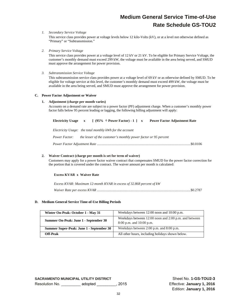#### *1. Secondary Service Voltage*

This service class provides power at voltage levels below 12 kilo-Volts (kV), or at a level not otherwise defined as "Primary" or "Subtransmission."

*2. Primary Service Voltage* 

This service class provides power at a voltage level of 12 kV or 21 kV. To be eligible for Primary Service Voltage, the customer's monthly demand must exceed 299 kW, the voltage must be available in the area being served, and SMUD must approve the arrangement for power provision.

*3. Subtransmission Service Voltage* 

This subtransmission service class provides power at a voltage level of 69 kV or as otherwise defined by SMUD. To be eligible for voltage service at this level, the customer's monthly demand must exceed 499 kW, the voltage must be available in the area being served, and SMUD must approve the arrangement for power provision.

#### **C. Power Factor Adjustment or Waiver**

#### **1. Adjustment (charge per month varies)**

Accounts on a demand rate are subject to a power factor (PF) adjustment charge. When a customer's monthly power factor falls below 95 percent leading or lagging, the following billing adjustment will apply:

|                                                          |  |  | Electricity Usage $x \in (95\% \div Power Factor) - 1$   x Power Factor Adjustment Rate |  |
|----------------------------------------------------------|--|--|-----------------------------------------------------------------------------------------|--|
| Electricity Usage: the total monthly kWh for the account |  |  |                                                                                         |  |
| <i>Power Factor:</i>                                     |  |  | the lesser of the customer's monthly power factor or 95 percent                         |  |
|                                                          |  |  |                                                                                         |  |

#### **2. Waiver Contract (charge per month is set for term of waiver)**

Customers may apply for a power factor waiver contract that compensates SMUD for the power factor correction for the portion that is covered under the contract. The waiver amount per month is calculated:

#### **Excess KVAR x Waiver Rate**

| Excess KVAR: Maximum 12-month KVAR in excess of 32.868 percent of kW |  |
|----------------------------------------------------------------------|--|
|                                                                      |  |

#### **D. Medium General Service Time-of-Use Billing Periods**

| Winter On-Peak: October 1 - May 31       | Weekdays between 12:00 noon and 10:00 p.m.                                            |  |
|------------------------------------------|---------------------------------------------------------------------------------------|--|
| Summer On-Peak: June 1 - September 30    | Weekdays between 12:00 noon and 2:00 p.m. and between<br>$8:00$ p.m. and $10:00$ p.m. |  |
| Summer Super-Peak: June 1 - September 30 | Weekdays between 2:00 p.m. and 8:00 p.m.                                              |  |
| Off-Peak                                 | All other hours, including holidays shown below.                                      |  |

**SACRAMENTO MUNICIPAL UTILITY DISTRICT SHEET NO SHEET NO. 1-GS-TOU2-3** Resolution No. \_\_\_\_\_\_\_\_\_ adopted \_\_\_\_\_\_\_\_\_, 2015 Effective: **January 1, 2016**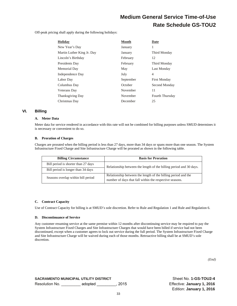Off-peak pricing shall apply during the following holidays:

| Holiday                    | <b>Month</b> | Date                   |
|----------------------------|--------------|------------------------|
| New Year's Day             | January      | 1                      |
| Martin Luther King Jr. Day | January      | Third Monday           |
| Lincoln's Birthday         | February     | 12                     |
| Presidents Day             | February     | Third Monday           |
| Memorial Day               | May          | Last Monday            |
| Independence Day           | July         | 4                      |
| Labor Day                  | September    | <b>First Monday</b>    |
| Columbus Day               | October      | Second Monday          |
| <b>Veterans</b> Day        | November     | 11                     |
| <b>Thanksgiving Day</b>    | November     | <b>Fourth Thursday</b> |
| Christmas Day              | December     | 25                     |

#### **VI. Billing**

#### **A. Meter Data**

Meter data for service rendered in accordance with this rate will not be combined for billing purposes unless SMUD determines it is necessary or convenient to do so.

#### **B. Proration of Charges**

Charges are prorated when the billing period is less than 27 days, more than 34 days or spans more than one season. The System Infrastructure Fixed Charge and Site Infrastructure Charge will be prorated as shown in the following table.

| <b>Billing Circumstance</b>         | <b>Basis for Proration</b>                                                                                               |  |  |
|-------------------------------------|--------------------------------------------------------------------------------------------------------------------------|--|--|
| Bill period is shorter than 27 days | Relationship between the length of the billing period and 30 days.                                                       |  |  |
| Bill period is longer than 34 days  |                                                                                                                          |  |  |
| Seasons overlap within bill period  | Relationship between the length of the billing period and the<br>number of days that fall within the respective seasons. |  |  |

#### **C. Contract Capacity**

Use of Contract Capacity for billing is at SMUD's sole discretion. Refer to Rule and Regulation 1 and Rule and Regulation 6.

#### **D. Discontinuance of Service**

Any customer resuming service at the same premise within 12 months after discontinuing service may be required to pay the System Infrastructure Fixed Charges and Site Infrastructure Charges that would have been billed if service had not been discontinued, except when a customer agrees to lock out service during the full period. The System Infrastructure Fixed Charge and Site Infrastructure Charge will be waived during each of those months. Retroactive billing shall be at SMUD's sole discretion.

*(End)*

**SACRAMENTO MUNICIPAL UTILITY DISTRICT NEXT ASSET ASSET ON A SHEET NO. 1-GS-TOU2-4** Resolution No. \_\_\_\_\_\_\_\_\_ adopted \_\_\_\_\_\_\_\_\_, 2015 Effective: **January 1, 2016**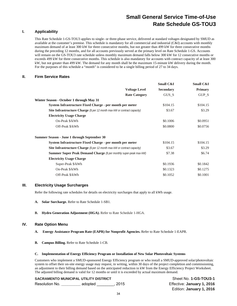#### **I. Applicability**

This Rate Schedule 1-GS-TOU3 applies to single- or three-phase service, delivered at standard voltages designated by SMUD as available at the customer's premise. This schedule is mandatory for all commercial and industrial (C&I) accounts with monthly maximum demand of at least 300 kW for three consecutive months, but not greater than 499 kW for three consecutive months during the preceding 12 months, and for all accounts previously served at the primary level on Rate Schedule 1-GS. Accounts will remain on the GS-TOU3 rate schedule unless monthly maximum demand falls below 300 kW for 12 consecutive months or exceeds 499 kW for three consecutive months. This schedule is also mandatory for accounts with contract capacity of at least 300 kW, but not greater than 499 kW. The demand for any month shall be the maximum 15-minute kW delivery during the month. For the purposes of this schedule a "month" is considered to be a single billing period of 27 to 34 days.

#### **II. Firm Service Rates**

| Small C&I        | Small C&I      |
|------------------|----------------|
| <b>Secondary</b> | <b>Primary</b> |
| GUS S            | GUP_S          |
|                  |                |
| \$104.15         | \$104.15       |
| \$3.67           | \$3.29         |
|                  |                |
| \$0.1006         | \$0.0951       |
| \$0.0800         | \$0.0756       |
|                  |                |
| \$104.15         | \$104.15       |
| \$3.67           | \$3.29         |
| \$7.38           | \$6.74         |
|                  |                |
| \$0.1936         | \$0.1842       |
| \$0.1323         | \$0.1275       |
| \$0.1052         | \$0.1001       |
|                  |                |

#### **III. Electricity Usage Surcharges**

Refer the following rate schedules for details on electricity surcharges that apply to all kWh usage.

- **A. Solar Surcharge.** Refer to Rate Schedule 1-SB1.
- **B. Hydro Generation Adjustment (HGA).** Refer to Rate Schedule 1-HGA.

#### **IV. Rate Option Menu**

- **A. Energy Assistance Program Rate (EAPR) for Nonprofit Agencies.** Refer to Rate Schedule 1-EAPR.
- **B. Campus Billing.** Refer to Rate Schedule 1-CB.

#### **C. Implementation of Energy Efficiency Program or Installation of New Solar Photovoltaic Systems**

Customers who implement a SMUD-sponsored Energy Efficiency program or who install a SMUD-approved solar/photovoltaic system to offset their on-site energy usage may request, in writing, within 30 days of the project completion and commissioning, an adjustment to their billing demand based on the anticipated reduction in kW from the Energy Efficiency Project Worksheet. The adjusted billing demand is valid for 12 months or until it is exceeded by actual maximum demand.

#### **SACRAMENTO MUNICIPAL UTILITY DISTRICT SHEET NO SHEET NO. 1-GS-TOU3-1**

| Resolution No.<br>adopted |
|---------------------------|
|---------------------------|

Effective: January 1, 2016 Edition: **January 1, 2016**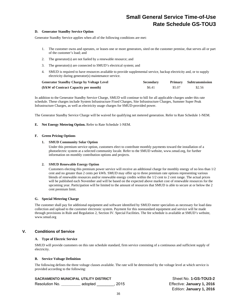#### **D. Generator Standby Service Option**

Generator Standby Service applies when all of the following conditions are met:

- 1. The customer owns and operates, or leases one or more generators, sited on the customer premise, that serves all or part of the customer's load; and
- 2. The generator(s) are not fueled by a renewable resource; and
- 3. The generator(s) are connected to SMUD's electrical system; and
- 4. SMUD is required to have resources available to provide supplemental service, backup electricity and, or to supply electricity during generator(s) maintenance service.

| <b>Generator Standby Charge by Voltage Level</b> | <b>Secondary</b> |        | Primary Subtransmission |
|--------------------------------------------------|------------------|--------|-------------------------|
| (\$/kW of Contract Capacity per month)           | \$6.41           | \$5.07 | \$2.56                  |

In addition to the Generator Standby Service Charge, SMUD will continue to bill for all applicable charges under this rate schedule. These charges include System Infrastructure Fixed Charges, Site Infrastructure Charges, Summer Super Peak Infrastructure Charges, as well as electricity usage charges for SMUD-provided power.

The Generator Standby Service Charge will be waived for qualifying net metered generation. Refer to Rate Schedule 1-NEM.

#### **E. Net Energy Metering Option.** Refer to Rate Schedule 1-NEM.

#### **F. Green Pricing Options**

#### **1. SMUD Community Solar Option**

Under this premium service option, customers elect to contribute monthly payments toward the installation of a photoelectric system at a selected community locale. Refer to the SMUD website, www.smud.org, for further information on monthly contribution options and projects.

#### **2. SMUD Renewable Energy Option**

Customers electing this premium power service will receive an additional charge for monthly energy of no less than 1/2 cent and no greater than 2 cents per kWh. SMUD may offer up to three premium rate options representing various blends of renewable resources and/or renewable energy credits within the 1/2 cent to 2 cent range. The actual prices will be published each November and will be based on the expected above market cost of renewable resources for the upcoming year. Participation will be limited to the amount of resources that SMUD is able to secure at or below the 2 cent premium limit.

#### **G. Special Metering Charge**

The customer shall pay for additional equipment and software identified by SMUD meter specialists as necessary for load data collection and upload to the customer electronic system. Payment for this nonstandard equipment and service will be made through provisions in Rule and Regulation 2, Section IV. Special Facilities. The fee schedule is available at SMUD's website, www.smud.org

#### **V. Conditions of Service**

#### **A. Type of Electric Service**

SMUD will provide customers on this rate schedule standard, firm service consisting of a continuous and sufficient supply of electricity.

#### **B. Service Voltage Definition**

The following defines the three voltage classes available. The rate will be determined by the voltage level at which service is provided according to the following:

#### **SACRAMENTO MUNICIPAL UTILITY DISTRICT** Sheet No. **1-GS-TOU3-2**

Resolution No. **\_\_\_\_\_\_\_\_\_** adopted \_\_\_\_\_\_\_\_, 2015 Effective: **January 1, 2016**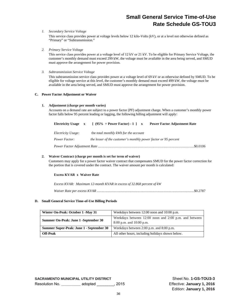#### *1. Secondary Service Voltage*

This service class provides power at voltage levels below 12 kilo-Volts (kV), or at a level not otherwise defined as "Primary" or "Subtransmission."

*2. Primary Service Voltage* 

This service class provides power at a voltage level of 12 kV or 21 kV. To be eligible for Primary Service Voltage, the customer's monthly demand must exceed 299 kW, the voltage must be available in the area being served, and SMUD must approve the arrangement for power provision.

*3. Subtransmission Service Voltage* 

This subtransmission service class provides power at a voltage level of 69 kV or as otherwise defined by SMUD. To be eligible for voltage service at this level, the customer's monthly demand must exceed 499 kW, the voltage must be available in the area being served, and SMUD must approve the arrangement for power provision.

#### **C. Power Factor Adjustment or Waiver**

#### **1. Adjustment (charge per month varies)**

Accounts on a demand rate are subject to a power factor (PF) adjustment charge. When a customer's monthly power factor falls below 95 percent leading or lagging, the following billing adjustment will apply:

| Electricity Usage x | $\lceil$ (95% ÷ Power Factor) - 1 ] x                           | <b>Power Factor Adjustment Rate</b> |
|---------------------|-----------------------------------------------------------------|-------------------------------------|
| Electricity Usage:  | the <i>total monthly kWh for the account</i>                    |                                     |
| Power Factor:       | the lesser of the customer's monthly power factor or 95 percent |                                     |
|                     |                                                                 | \$0.0106                            |

#### **2. Waiver Contract (charge per month is set for term of waiver)**

Customers may apply for a power factor waiver contract that compensates SMUD for the power factor correction for the portion that is covered under the contract. The waiver amount per month is calculated:

#### **Excess KVAR x Waiver Rate**

*Excess KVAR: Maximum 12-month KVAR in excess of 32.868 percent of kW* 

*Waiver Rate per excess KVAR* .............................................................................................................. \$0.2787

#### **D. Small General Service Time-of-Use Billing Periods**

| Winter On-Peak: October 1 -May 31        | Weekdays between 12:00 noon and 10:00 p.m.                                            |
|------------------------------------------|---------------------------------------------------------------------------------------|
| Summer On-Peak: June 1 - September 30    | Weekdays between 12:00 noon and 2:00 p.m. and between<br>$8:00$ p.m. and $10:00$ p.m. |
| Summer Super-Peak: June 1 - September 30 | Weekdays between 2:00 p.m. and 8:00 p.m.                                              |
| <b>Off-Peak</b>                          | All other hours, including holidays shown below.                                      |

**SACRAMENTO MUNICIPAL UTILITY DISTRICT** Sheet No. **1-GS-TOU3-3** Resolution No. **\_\_\_\_\_\_\_\_\_** adopted \_\_\_\_\_\_\_\_, 2015 Effective: **January 1, 2016**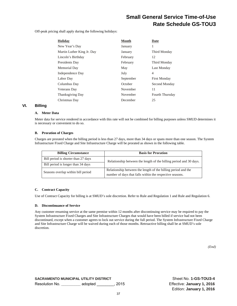Off-peak pricing shall apply during the following holidays:

| <b>Holiday</b>             | <b>Month</b> | Date                   |
|----------------------------|--------------|------------------------|
| New Year's Day             | January      | 1                      |
| Martin Luther King Jr. Day | January      | Third Monday           |
| Lincoln's Birthday         | February     | 12                     |
| Presidents Day             | February     | Third Monday           |
| Memorial Day               | May          | Last Monday            |
| Independence Day           | July         | 4                      |
| Labor Day                  | September    | <b>First Monday</b>    |
| Columbus Day               | October      | Second Monday          |
| Veterans Day               | November     | 11                     |
| <b>Thanksgiving Day</b>    | November     | <b>Fourth Thursday</b> |
| Christmas Day              | December     | 25                     |

#### **VI. Billing**

#### **A. Meter Data**

Meter data for service rendered in accordance with this rate will not be combined for billing purposes unless SMUD determines it is necessary or convenient to do so.

#### **B. Proration of Charges**

Charges are prorated when the billing period is less than 27 days, more than 34 days or spans more than one season. The System Infrastructure Fixed Charge and Site Infrastructure Charge will be prorated as shown in the following table.

| <b>Billing Circumstance</b>         | <b>Basis for Proration</b>                                                                                                |  |  |
|-------------------------------------|---------------------------------------------------------------------------------------------------------------------------|--|--|
| Bill period is shorter than 27 days | Relationship between the length of the billing period and 30 days.                                                        |  |  |
| Bill period is longer than 34 days  |                                                                                                                           |  |  |
| Seasons overlap within bill period  | Relationship between the length of the billing period and the<br>number of days that falls within the respective seasons. |  |  |

#### **C. Contract Capacity**

Use of Contract Capacity for billing is at SMUD's sole discretion. Refer to Rule and Regulation 1 and Rule and Regulation 6.

#### **D. Discontinuance of Service**

Any customer resuming service at the same premise within 12 months after discontinuing service may be required to pay the System Infrastructure Fixed Charges and Site Infrastructure Charges that would have been billed if service had not been discontinued, except when a customer agrees to lock out service during the full period. The System Infrastructure Fixed Charge and Site Infrastructure Charge will be waived during each of those months. Retroactive billing shall be at SMUD's sole discretion.

*(End)*

**SACRAMENTO MUNICIPAL UTILITY DISTRICT NEXT ASSET ASSET ON SHEET NO. 1-GS-TOU3-4** Resolution No. **\_\_\_\_\_\_\_\_\_** adopted \_\_\_\_\_\_\_\_, 2015 Effective: **January 1, 2016**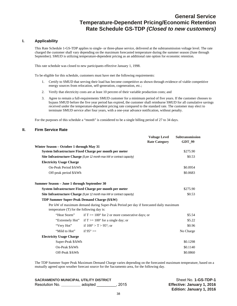### **General Service Temperature-Dependent Pricing/Economic Retention Rate Schedule GS-TDP** *(Closed to new customers)*

#### **I. Applicability**

This Rate Schedule 1-GS-TDP applies to single- or three-phase service, delivered at the subtransmission voltage level. The rate charged the customer shall vary depending on the maximum forecasted temperature during the summer season (June through September). SMUD is utilizing temperature-dependent pricing as an additional rate option for economic retention.

This rate schedule was closed to new participants effective January 1, 1998.

To be eligible for this schedule, customers must have met the following requirements:

- 1. Certify to SMUD that serving their load has become competitive as shown through evidence of viable competitive energy sources from relocation, self-generation, cogeneration, etc.;
- 2. Verify that electricity costs are at least 10 percent of their variable production costs; and
- 3. Agree to remain a full-requirements SMUD customer for a minimum period of five years. If the customer chooses to bypass SMUD before the five year period has expired, the customer shall reimburse SMUD for all cumulative savings received under the temperature-dependent pricing rate compared to the standard rate. The customer may elect to terminate SMUD service after four years, with a one-year advance notification, without penalty.

For the purposes of this schedule a "month" is considered to be a single billing period of 27 to 34 days.

#### **II. Firm Service Rate**

|                                                                                 |                                                                                       | <b>Voltage Level</b> | <b>Subtransmission</b> |
|---------------------------------------------------------------------------------|---------------------------------------------------------------------------------------|----------------------|------------------------|
|                                                                                 |                                                                                       | <b>Rate Category</b> | <b>GDT_99</b>          |
| Winter Season – October 1 through May 31                                        |                                                                                       |                      |                        |
|                                                                                 | System Infrastructure Fixed Charge per month per meter                                |                      | \$275.90               |
|                                                                                 | <b>Site Infrastructure Charge</b> (\$ per 12 month max kW or contract capacity)       |                      | \$0.53                 |
| <b>Electricity Usage Charge</b>                                                 |                                                                                       |                      |                        |
| On-Peak Period \$/kWh                                                           |                                                                                       |                      | \$0.0954               |
|                                                                                 | Off-peak period \$/kWh                                                                |                      | \$0.0683               |
| Summer Season - June 1 through September 30                                     |                                                                                       |                      |                        |
|                                                                                 | System Infrastructure Fixed Charge per month per meter                                |                      | \$275.90               |
| <b>Site Infrastructure Charge</b> (\$ per 12 month max kW or contract capacity) |                                                                                       |                      | \$0.53                 |
| TDP Summer Super-Peak Demand Charge (\$/kW)                                     |                                                                                       |                      |                        |
| temperature $(T)$ for the following day is:                                     | Per kW of maximum demand during Super-Peak Period per day if forecasted daily maximum |                      |                        |
| "Heat Storm"                                                                    | if $T \geq 100^{\circ}$ for 2 or more consecutive days; or                            |                      | \$5.54                 |
| "Extremely Hot"                                                                 | if $T \ge 100^{\circ}$ for a single day; or                                           |                      | \$5.22                 |
| "Very Hot"                                                                      | if $100^{\circ} > T > 95^{\circ}$ ; or                                                |                      | \$0.96                 |
| "Mild to Hot"                                                                   | if $95^\circ \geq$                                                                    |                      | No Charge              |
| <b>Electricity Usage Charge</b>                                                 |                                                                                       |                      |                        |
| Super-Peak \$/kWh                                                               |                                                                                       |                      | \$0.1298               |
| On-Peak \$/kWh                                                                  |                                                                                       |                      | \$0.1140               |
| Off-Peak \$/kWh                                                                 |                                                                                       |                      | \$0.0860               |

The TDP Summer Super Peak Maximum Demand Charge varies depending on the forecasted maximum temperature, based on a mutually agreed upon weather forecast source for the Sacramento area, for the following day.

**SACRAMENTO MUNICIPAL UTILITY DISTRICT SHEET NO SHEET NO Sheet No. 1-GS-TDP-1** Resolution No. **\_\_\_\_\_\_\_\_\_** adopted \_\_\_\_\_\_\_\_\_, 2015 **Effective: January 1, 2016**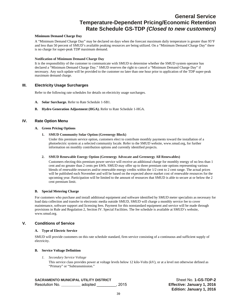### **General Service Temperature-Dependent Pricing/Economic Retention Rate Schedule GS-TDP** *(Closed to new customers)*

#### **Minimum Demand Charge Day**

A "Minimum Demand Charge Day" may be declared on days when the forecast maximum daily temperature is greater than 95°F and less than 50 percent of SMUD's available peaking resources are being utilized. On a "Minimum Demand Charge Day" there is no charge for super-peak TDP maximum demand.

#### **Notification of Minimum Demand Charge Day**

It is the responsibility of the customer to communicate with SMUD to determine whether the SMUD system operator has declared a "Minimum Demand Charge Day." SMUD reserves the right to cancel a "Minimum Demand Charge Day" if necessary. Any such update will be provided to the customer no later than one hour prior to application of the TDP super-peak maximum demand charge.

#### **III. Electricity Usage Surcharges**

Refer to the following rate schedules for details on electricity usage surcharges.

- **A. Solar Surcharge.** Refer to Rate Schedule 1-SB1.
- **B. Hydro Generation Adjustment (HGA).** Refer to Rate Schedule 1-HGA.

#### **IV. Rate Option Menu**

#### **A. Green Pricing Options**

**1. SMUD Community Solar Option (Greenergy Block)** 

Under this premium service option, customers elect to contribute monthly payments toward the installation of a photoelectric system at a selected community locale. Refer to the SMUD website, www.smud.org, for further information on monthly contribution options and currently identified projects.

#### **2. SMUD Renewable Energy Option (Greenergy Advocate and Greenergy All Renewables)**

Customers electing this premium power service will receive an additional charge for monthly energy of no less than 1 cent and no greater than 2 cents per kWh. SMUD may offer up to three premium rate options representing various blends of renewable resources and/or renewable energy credits within the 1/2 cent to 2 cent range. The actual prices will be published each November and will be based on the expected above market cost of renewable resources for the upcoming year. Participation will be limited to the amount of resources that SMUD is able to secure at or below the 2 cent premium limit.

#### **B. Special Metering Charge**

For customers who purchase and install additional equipment and software identified by SMUD meter specialists as necessary for load data collection and transfer to electronic media outside SMUD, SMUD will charge a monthly service fee to cover maintenance, software support and licensing fees. Payment for this nonstandard equipment and service will be made through provisions in Rule and Regulation 2, Section IV. Special Facilities. The fee schedule is available at SMUD's website, www.smud.org.

#### **V. Conditions of Service**

#### **A. Type of Electric Service**

SMUD will provide customers on this rate schedule standard, firm service consisting of a continuous and sufficient supply of electricity.

#### **B. Service Voltage Definition**

*1. Secondary Service Voltage* 

This service class provides power at voltage levels below 12 kilo-Volts (kV), or at a level not otherwise defined as "Primary" or "Subtransmission."

#### **SACRAMENTO MUNICIPAL UTILITY DISTRICT SHEET NO SHEET NO. 1-GS-TDP-2**

Resolution No. **\_\_\_\_\_\_\_\_\_** adopted \_\_\_\_\_\_\_\_\_, 2015 **Effective: January 1, 2016**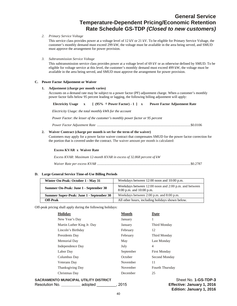### **General Service Temperature-Dependent Pricing/Economic Retention Rate Schedule GS-TDP** *(Closed to new customers)*

#### *2. Primary Service Voltage*

This service class provides power at a voltage level of 12 kV or 21 kV. To be eligible for Primary Service Voltage, the customer's monthly demand must exceed 299 kW, the voltage must be available in the area being served, and SMUD must approve the arrangement for power provision.

*3. Subtransmission Service Voltage* 

This subtransmission service class provides power at a voltage level of 69 kV or as otherwise defined by SMUD. To be eligible for voltage service at this level, the customer's monthly demand must exceed 499 kW, the voltage must be available in the area being served, and SMUD must approve the arrangement for power provision.

#### **C. Power Factor Adjustment or Waiver**

#### **1. Adjustment (charge per month varies)**

Accounts on a demand rate may be subject to a power factor (PF) adjustment charge. When a customer's monthly power factor falls below 95 percent leading or lagging, the following billing adjustment will apply:

*Electricity Usage: the total monthly kWh for the account*

*Power Factor*: *the lesser of the customer's monthly power factor or 95 percent* 

*Power Factor Adjustment Rate* .......................................................................................................... \$0.0106

#### **2. Waiver Contract (charge per month is set for the term of the waiver)**

Customers may apply for a power factor waiver contract that compensates SMUD for the power factor correction for the portion that is covered under the contract. The waiver amount per month is calculated:

#### **Excess KVAR x Waiver Rate**

*Excess KVAR: Maximum 12-month KVAR in excess of 32.868 percent of kW* 

*Waiver Rate per excess KVAR* .......................................................................................................... \$0.2787

#### **D. Large General Service Time-of-Use Billing Periods**

| Winter On-Peak: October 1 - May 31       | Weekdays between 12:00 noon and 10:00 p.m.                                            |
|------------------------------------------|---------------------------------------------------------------------------------------|
| Summer On-Peak: June 1 - September 30    | Weekdays between 12:00 noon and 2:00 p.m. and between<br>$8:00$ p.m. and $10:00$ p.m. |
| Summer Super-Peak: June 1 - September 30 | Weekdays between 2:00 p.m. and 8:00 p.m.                                              |
| Off-Peak                                 | All other hours, including holidays shown below.                                      |

Off-peak pricing shall apply during the following holidays:

| <b>Holiday</b>             | <b>Month</b> | Date                |
|----------------------------|--------------|---------------------|
| New Year's Day             | January      | 1                   |
| Martin Luther King Jr. Day | January      | Third Monday        |
| Lincoln's Birthday         | February     | 12                  |
| Presidents Day             | February     | Third Monday        |
| Memorial Day               | May          | Last Monday         |
| Independence Day           | July         | $\overline{4}$      |
| Labor Day                  | September    | <b>First Monday</b> |
| Columbus Day               | October      | Second Monday       |
| Veterans Day               | November     | 11                  |
| <b>Thanksgiving Day</b>    | November     | Fourth Thursday     |
| Christmas Day              | December     | 25                  |
|                            |              |                     |

**SACRAMENTO MUNICIPAL UTILITY DISTRICT SHEET NO SHEET NO. 1-GS-TDP-3** 

Resolution No. **\_\_\_\_\_\_\_\_\_** adopted \_\_\_\_\_\_\_\_\_, 2015 **Effective: January 1, 2016**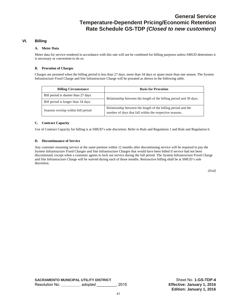#### **VI. Billing**

#### **A. Meter Data**

Meter data for service rendered in accordance with this rate will not be combined for billing purposes unless SMUD determines it is necessary or convenient to do so.

#### **B. Proration of Charges**

Charges are prorated when the billing period is less than 27 days, more than 34 days or spans more than one season. The System Infrastructure Fixed Charge and Site Infrastructure Charge will be prorated as shown in the following table.

| <b>Billing Circumstance</b>         | <b>Basis for Proration</b>                                                                                               |  |
|-------------------------------------|--------------------------------------------------------------------------------------------------------------------------|--|
| Bill period is shorter than 27 days | Relationship between the length of the billing period and 30 days.                                                       |  |
| Bill period is longer than 34 days  |                                                                                                                          |  |
| Seasons overlap within bill period  | Relationship between the length of the billing period and the<br>number of days that fall within the respective seasons. |  |

#### **C. Contract Capacity**

Use of Contract Capacity for billing is at SMUD's sole discretion. Refer to Rule and Regulation 1 and Rule and Regulation 6.

#### **D. Discontinuance of Service**

Any customer resuming service at the same premise within 12 months after discontinuing service will be required to pay the System Infrastructure Fixed Charges and Site Infrastructure Charges that would have been billed if service had not been discontinued, except when a customer agrees to lock out service during the full period. The System Infrastructure Fixed Charge and Site Infrastructure Charge will be waived during each of those months. Retroactive billing shall be at SMUD's sole discretion.

*(End)*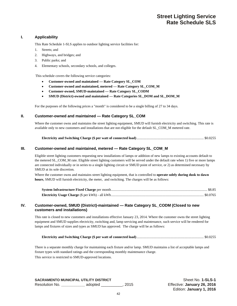#### **I. Applicability**

This Rate Schedule 1-SLS applies to outdoor lighting service facilities for:

- 1. Streets; and
- 2. Highways, and bridges; and
- 3. Public parks; and
- 4. Elementary schools, secondary schools, and colleges.

This schedule covers the following service categories:

- **Customer-owned and maintained Rate Category SL\_COM**
- **Customer-owned and maintained, metered Rate Category SL\_COM\_M**
- **Customer-owned, SMUD-maintained Rate Category SL\_CODM**
- **SMUD (District)-owned and maintained Rate Categories SL\_DOM and SL\_DOM\_M**

For the purposes of the following prices a "month" is considered to be a single billing of 27 to 34 days.

#### **II. Customer-owned and maintained — Rate Category SL\_COM**

Where the customer owns and maintains the street lighting equipment, SMUD will furnish electricity and switching. This rate is available only to new customers and installations that are not eligible for the default SL\_COM\_M metered rate.

|--|--|--|--|

#### **III. Customer-owned and maintained, metered — Rate Category SL\_COM\_M**

Eligible street lighting customers requesting new installations of lamps or addition of new lamps to existing accounts default to the metered SL\_COM\_M rate. Eligible street lighting customers will be served under the default rate when 1) five or more lamps are connected individually or in series to a single lighting circuit or SMUD point of service, or 2) as determined necessary by SMUD at its sole discretion.

Where the customer owns and maintains street lighting equipment, that is controlled to **operate solely during dusk to dawn hours**, SMUD will furnish electricity, the meter, and switching. The charges will be as follows:

#### **IV. Customer-owned, SMUD (District)-maintained — Rate Category SL\_CODM (Closed to new customers and installations)**

This rate is closed to new customers and installations effective January 23, 2014. Where the customer owns the street lighting equipment and SMUD supplies electricity, switching and, lamp servicing and maintenance, such service will be rendered for lamps and fixtures of sizes and types as SMUD has approved. The charge will be as follows:

|--|--|

There is a separate monthly charge for maintaining each fixture and/or lamp. SMUD maintains a list of acceptable lamps and fixture types with standard ratings and the corresponding monthly maintenance charge. This service is restricted to SMUD-approved locations.

**SACRAMENTO MUNICIPAL UTILITY DISTRICT SHOW SHOW SHEET SHEET NO. 1-SLS-1** Resolution No. **\_\_\_\_\_\_\_\_\_\_\_** adopted \_\_\_\_\_\_\_\_\_\_, 2015 Effective: **January 26, 2016**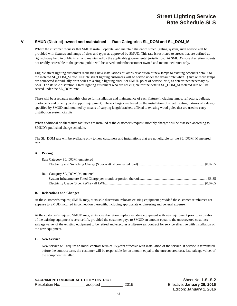#### **V. SMUD (District)-owned and maintained — Rate Categories SL\_DOM and SL\_DOM\_M**

Where the customer requests that SMUD install, operate, and maintain the entire street lighting system, such service will be provided with fixtures and lamps of sizes and types as approved by SMUD. This rate is restricted to streets that are defined as right-of-way held in public trust, and maintained by the applicable governmental jurisdiction. At SMUD's sole discretion, streets not readily accessible to the general public will be served under the customer owned and maintained rates only.

Eligible street lighting customers requesting new installations of lamps or addition of new lamps to existing accounts default to the metered SL\_DOM\_M rate. Eligible street lighting customers will be served under the default rate when 1) five or more lamps are connected individually or in series to a single lighting circuit or SMUD point of service, or 2) as determined necessary by SMUD on its sole discretion. Street lighting customers who are not eligible for the default SL\_DOM\_M metered rate will be served under the SL\_DOM rate.

There will be a separate monthly charge for installation and maintenance of each fixture (including lamps, refractors, ballasts, photo cells and other typical support equipment). These charges are based on the installation of street lighting fixtures of a design specified by SMUD and mounted by means of varying length brackets affixed to existing wood poles that are used to carry distribution system circuits.

When additional or alternative facilities are installed at the customer's request, monthly charges will be assessed according to SMUD's published charge schedule.

The SL\_DOM rate will be available only to new customers and installations that are not eligible for the SL\_DOM\_M metered rate.

#### **A. Pricing**

| Rate Category SL DOM, unmetered |  |
|---------------------------------|--|
|                                 |  |
|                                 |  |
| Rate Category SL DOM M, metered |  |
|                                 |  |
|                                 |  |

#### **B. Relocations and Changes**

At the customer's request, SMUD may, at its sole discretion, relocate existing equipment provided the customer reimburses net expense to SMUD incurred in connection therewith, including appropriate engineering and general expense.

At the customer's request, SMUD may, at its sole discretion, replace existing equipment with new equipment prior to expiration of the existing equipment's service life, provided the customer pays to SMUD an amount equal to the unrecovered cost, less salvage value, of the existing equipment to be retired and executes a fifteen-year contract for service effective with installation of the new equipment.

#### **C. New Service**

New service will require an initial contract term of 15 years effective with installation of the service. If service is terminated before the contract term, the customer will be responsible for an amount equal to the unrecovered cost, less salvage value, of the equipment installed.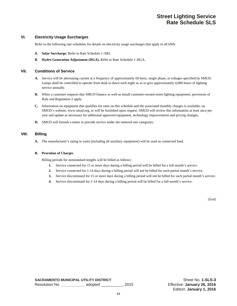### **Street Lighting Service Rate Schedule SLS**

#### **VI. Electricity Usage Surcharges**

Refer to the following rate schedules for details on electricity usage surcharges that apply to all kWh.

- **A. Solar Surcharge.** Refer to Rate Schedule 1–SB1.
- **B. Hydro Generation Adjustment (HGA).** Refer to Rate Schedule 1–HGA.

#### **VII. Conditions of Service**

- **A.** Service will be alternating current at a frequency of approximately 60 hertz, single phase, at voltages specified by SMUD. Lamps shall be controlled to operate from dusk to dawn each night so as to give approximately 4,000 hours of lighting service annually.
- **B.** When a customer requests that SMUD finance as well as install customer-owned street lighting equipment, provisions of Rule and Regulation 2 apply.
- **C.** Information on equipment that qualifies for rates on this schedule and the associated monthly charges is available, on SMUD's website, www.smud.org, or will be furnished upon request. SMUD will review this information at least once per year and update as necessary for additional approved equipment, technology improvements and pricing changes.
- **D.** SMUD will furnish a meter to provide service under the metered rate categories.

#### **VIII. Billing**

**A.** The manufacturer's rating in watts (including all auxiliary equipment) will be used as connected load**.** 

#### **B. Proration of Charges**

Billing periods for nonstandard lengths will be billed as follows:

- **1.** Service connected for 15 or more days during a billing period will be billed for a full month's service.
- **2.** Service connected for 1-14 days during a billing period will not be billed for such partial month's service.
- **3.** Service discontinued for 15 or more days during a billing period will not be billed for such partial month's service.
- **4.** Service discontinued for 1-14 days during a billing period will be billed for a full month's service.

*(End)*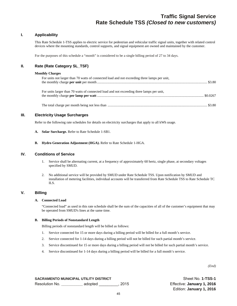### **Traffic Signal Service Rate Schedule TSS** *(Closed to new customers)*

#### **I. Applicability**

This Rate Schedule 1-TSS applies to electric service for pedestrian and vehicular traffic signal units, together with related control devices where the mounting standards, control supports, and signal equipment are owned and maintained by the customer.

For the purposes of this schedule a "month" is considered to be a single billing period of 27 to 34 days.

#### **II. Rate (Rate Category SL\_TSF)**

#### **Monthly Charges**

| For units not larger than 70 watts of connected load and not exceeding three lamps per unit, |  |
|----------------------------------------------------------------------------------------------|--|
| For units larger than 70 watts of connected load and not exceeding three lamps per unit,     |  |
|                                                                                              |  |

#### **III. Electricity Usage Surcharges**

Refer to the following rate schedules for details on electricity surcharges that apply to all kWh usage.

- **A. Solar Surcharge.** Refer to Rate Schedule 1-SB1.
- **B. Hydro Generation Adjustment (HGA).** Refer to Rate Schedule 1-HGA.

#### **IV. Conditions of Service**

- 1. Service shall be alternating current, at a frequency of approximately 60 hertz, single phase, at secondary voltages specified by SMUD.
- 2. No additional service will be provided by SMUD under Rate Schedule TSS. Upon notification by SMUD and installation of metering facilities, individual accounts will be transferred from Rate Schedule TSS to Rate Schedule TC ILS.

#### **V. Billing**

#### **A. Connected Load**

"Connected load" as used in this rate schedule shall be the sum of the capacities of all of the customer's equipment that may be operated from SMUD's lines at the same time.

#### **B. Billing Periods of Nonstandard Length**

Billing periods of nonstandard length will be billed as follows:

- 1. Service connected for 15 or more days during a billing period will be billed for a full month's service.
- 2. Service connected for 1-14 days during a billing period will not be billed for such partial month's service.
- 3. Service discontinued for 15 or more days during a billing period will not be billed for such partial month's service.
- 4. Service discontinued for 1-14 days during a billing period will be billed for a full month's service.

*(End)*

**SACRAMENTO MUNICIPAL UTILITY DISTRICT SHOW AND SHEET SHEET NO. 1-TSS-1** Resolution No. **\_\_\_\_\_\_\_\_\_\_** adopted \_\_\_\_\_\_\_\_\_, 2015 Effective: **January 1, 2016**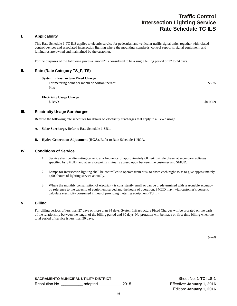### **Traffic Control Intersection Lighting Service Rate Schedule TC ILS**

#### **I. Applicability**

This Rate Schedule 1-TC ILS applies to electric service for pedestrian and vehicular traffic signal units, together with related control devices and associated intersection lighting where the mounting, standards, control supports, signal equipment, and luminaires are owned and maintained by the customer.

For the purposes of the following prices a "month" is considered to be a single billing period of 27 to 34 days.

#### **II. Rate (Rate Category TS\_F, TS)**

| <b>System Infrastructure Fixed Charge</b> |          |
|-------------------------------------------|----------|
|                                           | \$5.25   |
| Plus                                      |          |
| <b>Electricity Usage Charge</b>           |          |
| $\frac{1}{2}$ / kWh                       | \$0.0959 |

#### **III. Electricity Usage Surcharges**

Refer to the following rate schedules for details on electricity surcharges that apply to all kWh usage.

- **A. Solar Surcharge.** Refer to Rate Schedule 1-SB1.
- **B. Hydro Generation Adjustment (HGA**)**.** Refer to Rate Schedule 1-HGA.

#### **IV. Conditions of Service**

- 1. Service shall be alternating current, at a frequency of approximately 60 hertz, single phase, at secondary voltages specified by SMUD, and at service points mutually agreed upon between the customer and SMUD.
- 2. Lamps for intersection lighting shall be controlled to operate from dusk to dawn each night so as to give approximately 4,000 hours of lighting service annually.
- 3. Where the monthly consumption of electricity is consistently small or can be predetermined with reasonable accuracy by reference to the capacity of equipment served and the hours of operation, SMUD may, with customer's consent, calculate electricity consumed in lieu of providing metering equipment (TS\_F).

#### **V. Billing**

For billing periods of less than 27 days or more than 34 days, System Infrastructure Fixed Charges will be prorated on the basis of the relationship between the length of the billing period and 30 days. No proration will be made on first-time billing when the total period of service is less than 30 days.

*(End)*

**SACRAMENTO MUNICIPAL UTILITY DISTRICT SHOW SHOW SHEET SHEET NO. 1-TC ILS-1** Resolution No. **\_\_\_\_\_\_\_\_\_\_** adopted \_\_\_\_\_\_\_\_\_\_, 2015 Effective: **January 1, 2016**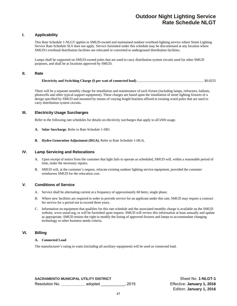### **Outdoor Night Lighting Service Rate Schedule NLGT**

#### **I. Applicability**

This Rate Schedule 1-NLGT applies to SMUD-owned and maintained outdoor overhead lighting service where Street Lighting Service Rate Schedule SLS does not apply. Service furnished under this schedule may be discontinued at any location where SMUD's overhead distribution facilities are relocated or converted to underground distribution facilities.

Lamps shall be supported on SMUD-owned poles that are used to carry distribution system circuits used for other SMUD purposes, and shall be at locations approved by SMUD.

#### **II. Rate**

There will be a separate monthly charge for installation and maintenance of each fixture (including lamps, refractors, ballasts, photocells and other typical support equipment). These charges are based upon the installation of street lighting fixtures of a design specified by SMUD and mounted by means of varying length brackets affixed to existing wood poles that are used to carry distribution system circuits.

#### **III. Electricity Usage Surcharges**

Refer to the following rate schedules for details on electricity surcharges that apply to all kWh usage.

- **A. Solar Surcharge.** Refer to Rate Schedule 1-SB1.
- **B. Hydro Generation Adjustment (HGA).** Refer to Rate Schedule 1-HGA.

#### **IV. Lamp Servicing and Relocations**

- A. Upon receipt of notice from the customer that light fails to operate as scheduled, SMUD will, within a reasonable period of time, make the necessary repairs.
- B. SMUD will, at the customer's request, relocate existing outdoor lighting service equipment, provided the customer reimburses SMUD for the relocation cost.

#### **V. Conditions of Service**

- A. Service shall be alternating current at a frequency of approximately 60 hertz, single phase.
- B. Where new facilities are required in order to provide service for an applicant under this rate, SMUD may require a contract for service for a period not to exceed three years.
- C. Information on equipment that qualifies for this rate schedule and the associated monthly charge is available on the SMUD website, www.smud.org, or will be furnished upon request. SMUD will review this information at least annually and update as appropriate. SMUD retains the right to modify the listing of approved fixtures and lamps to accommodate changing technology or other business needs criteria.

#### **VI. Billing**

#### **A. Connected Load**

The manufacturer's rating in watts (including all auxiliary equipment) will be used as connected load.

**SACRAMENTO MUNICIPAL UTILITY DISTRICT SHOW AND SHEET ASSESSMENT OF A SHOW SHEET OF SHEET OF SHEET AND SHOW AND SHEET ASSESSMENT OF A SHEET OF A SHEET OF SHEET AND SHEET ASSESSMENT OF A SHEET OF A SHEET OF A SHEET OF A SHE** Resolution No. **\_\_\_\_\_\_\_\_\_\_\_** adopted \_\_\_\_\_\_\_\_\_\_\_, 2015 Effective: **January 1, 2016**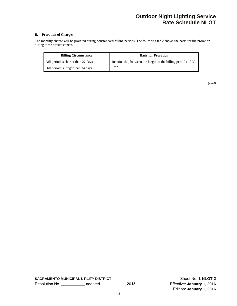### **Outdoor Night Lighting Service Rate Schedule NLGT**

#### **B. Proration of Charges**

The monthly charge will be prorated during nonstandard billing periods. The following table shows the basis for the proration during these circumstances.

| <b>Billing Circumstance</b>         | <b>Basis for Proration</b>                                   |
|-------------------------------------|--------------------------------------------------------------|
| Bill period is shorter than 27 days | Relationship between the length of the billing period and 30 |
| Bill period is longer than 34 days  | days                                                         |

**SACRAMENTO MUNICIPAL UTILITY DISTRICT** SACRAMENTO MUNICIPAL UTILITY DISTRICT Resolution No. **\_\_\_\_\_\_\_\_\_\_\_** adopted \_\_\_\_\_\_\_\_\_\_\_, 2015 Effective: **January 1, 2016**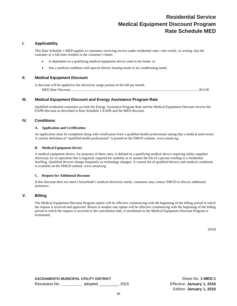# **Residential Service Medical Equipment Discount Program Rate Schedule MED**

#### **I. Applicability**

This Rate Schedule 1-MED applies to customers receiving service under residential rates, who certify, in writing, that the customer or a full-time resident in the customer's home:

- Is dependent on a qualifying medical equipment device used in the home; or
- Has a medical condition with special electric heating needs or air conditioning needs.

#### **II. Medical Equipment Discount**

A discount will be applied to the electricity usage portion of the bill per month. MED Rate Discount ..................................................................................................................................................\$15.00

#### **III. Medical Equipment Discount and Energy Assistance Program Rate**

Qualified residential customers on both the Energy Assistance Program Rate and the Medical Equipment Discount receive the EAPR discount as described in Rate Schedule 1-EAPR and the MED discount.

#### **IV. Conditions**

#### **A. Application and Certification**

An application must be completed along with certification from a qualified health professional stating that a medical need exists. A current definition of "qualified health professional" is posted on the SMUD website, www.smud.org.

#### **B. Medical Equipment Device**

A medical equipment device, for purposes of these rates, is defined as a qualifying medical device requiring utility-supplied electricity for its operation that is regularly required for mobility or to sustain the life of a person residing in a residential dwelling. Qualified devices change frequently as technology changes. A current list of qualified devices and medical conditions is available on the SMUD website, www.smud.org.

#### **C. Request for Additional Discount**

If this discount does not meet a household's medical-electricity needs, customers may contact SMUD to discuss additional assistance.

#### **V. Billing**

The Medical Equipment Discount Program option will be effective commencing with the beginning of the billing period in which the request is received and approved. Return to another rate option will be effective commencing with the beginning of the billing period in which the request is received or the cancellation date, if enrollment in the Medical Equipment Discount Program is terminated.

*(End)*

**SACRAMENTO MUNICIPAL UTILITY DISTRICT SHOW SHOW SHEET SHEET SHEET SHOW SHEET SHOW SHEET SHOW SHEET SHOW SHEET** Resolution No. **\_\_\_\_\_\_\_\_\_\_** adopted \_\_\_\_\_\_\_\_\_, 2015 Effective: **January 1, 2016**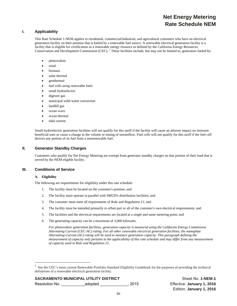# **Net Energy Metering Rate Schedule NEM**

#### **I. Applicability**

This Rate Schedule 1-NEM applies to residential, commercial/industrial, and agricultural customers who have an electrical generation facility on their premise that is fueled by a renewable fuel source. A renewable electrical generation facility is a facility that is eligible for certification as a renewable energy resource as defined by the California Energy Resources Conservation and Development Commission (CEC). <sup>1</sup> These facilities include, but may not be limited to, generators fueled by:

- photovoltaic
- wind
- biomass
- solar thermal
- geothermal
- fuel cells using renewable fuels
- small hydroelectric
- digester gas
- municipal solid waste conversion
- landfill gas
- ocean wave
- ocean thermal
- tidal current

Small hydroelectric generation facilities will not qualify for this tariff if the facility will cause an adverse impact on instream beneficial uses or cause a change in the volume or timing of streamflow. Fuel cells will not qualify for this tariff if the fuel cell derives any portion of its fuel from a nonrenewable fuel.

#### **II. Generator Standby Charges**

Customers who qualify for Net Energy Metering are exempt from generator standby charges on that portion of their load that is served by the NEM eligible facility.

#### **III. Conditions of Service**

#### **A. Eligibility**

 $\overline{a}$ 

The following are requirements for eligibility under this rate schedule:

- 1. The facility must be located on the customer's premise; and
- 2. The facility must operate in parallel with SMUD's distribution facilities; and
- 3. The customer must meet all requirements of Rule and Regulation 21; and
- 4. The facility must be intended primarily to offset part or all of the customer's own electrical requirements; and
- 5. The facilities and the electrical requirements are located at a single and same metering point; and
- 6. The generating capacity can be a maximum of 3,000 kilowatts.

*For photovoltaic generation facilities, generation capacity is measured using the California Energy Commission Alternating Current (CEC-AC) rating. For all other renewable electrical generation facilities, the nameplate Alternating Current (AC) rating will be used to measure generation capacity. This paragraph defining the measurement of capacity only pertains to the applicability of this rate schedule and may differ from any measurement of capacity used in Rule and Regulation 21.* 

#### **SACRAMENTO MUNICIPAL UTILITY DISTRICT SHEET SHEET SHEET SHEET SHEET SHEET SHEET SHEET SHEET SHEET SHEET SHEET SHEET SHEET SHEET SHEET SHEET SHEET SHEET SHEET SHEET SHEET SHEET SHEET SHEET SHEET SHEET SHEET SHEET SHEET SHE**

Resolution No. \_\_\_\_\_\_\_\_\_\_\_adopted \_\_\_\_\_\_\_\_\_\_\_\_\_, 2015 Effective: **January 1, 2016** 

<sup>1</sup> See the CEC's most current Renewable Portfolio Standard Eligibility Guidebook for the purposes of providing the technical definitions of a renewable electrical generation facility.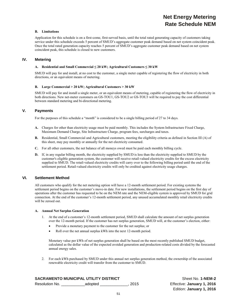# **Net Energy Metering Rate Schedule NEM**

#### **B. Limitations**

Application for this schedule is on a first-come, first-served basis, until the total rated generating capacity of customers taking service under this schedule exceeds 5 percent of SMUD's aggregate customer peak demand based on net system coincident peak. Once the total rated generation capacity reaches 5 percent of SMUD's aggregate customer peak demand based on net system coincident peak, this schedule is closed to new customers.

#### **IV. Metering**

#### A. Residential and Small Commercial  $\leq 20$  kW; Agricultural Customers  $\leq 30$  kW

SMUD will pay for and install, at no cost to the customer, a single meter capable of registering the flow of electricity in both directions, or an equivalent means of metering.

#### **B. Large Commercial > 20 kW; Agricultural Customers > 30 kW**

SMUD will pay for and install a single meter, or an equivalent means of metering, capable of registering the flow of electricity in both directions. New net-meter customers on GS-TOU1, GS-TOU2 or GS-TOU3 will be required to pay the cost differential between standard metering and bi-directional metering.

#### **V. Payments**

For the purposes of this schedule a "month" is considered to be a single billing period of 27 to 34 days.

- **A.** Charges for other than electricity usage must be paid monthly. This includes the System Infrastructure Fixed Charge, Maximum Demand Charge, Site Infrastructure Charge, program fees, surcharges and taxes.
- **B.** Residential, Small Commercial and Agricultural customers, meeting the eligibility criteria as defined in Section III (A) of this sheet, may pay monthly or annually for the net electricity consumed.
- **C.** For all other customers, the net balance of all moneys owed must be paid each monthly billing cycle.
- **D.** If, in any regular billing month, the electricity supplied by SMUD is less than the electricity supplied to SMUD by the customer's eligible generation system, the customer will receive retail-valued electricity credits for the excess electricity supplied to SMUD. The retail-valued electricity credits will carry over to the following billing period until the end of the settlement period. Retail-valued electricity credits will only be credited against electricity usage charges.

#### **VI. Settlement Method**

All customers who qualify for the net metering option will have a 12-month settlement period. For existing systems the settlement period begins on the customer's move-in date. For new installations, the settlement period begins on the first day of operations after the customer has requested to be on the NEM rate and the NEM-eligible system is approved by SMUD for grid connection. At the end of the customer's 12-month settlement period, any unused accumulated monthly retail electricity credits will be zeroed out.

#### **A. Annual Net Surplus Generation**

- 1. At the end of a customer's 12-month settlement period, SMUD shall calculate the amount of net surplus generation over the 12-month period. If the customer has net surplus generation, SMUD will, at the customer's election, either:
	- Provide a monetary payment to the customer for the net surplus; or
	- Roll over the net annual surplus kWh into the next 12-month period.

Monetary value per kWh of net surplus generation shall be based on the most recently published SMUD budget, calculated as the dollar value of the expected avoided generation and production-related costs divided by the forecasted annual energy sales.

2. For each kWh purchased by SMUD under this annual net surplus generation method, the ownership of the associated renewable electricity credit will transfer from the customer to SMUD.

|                | <b>SACRAMENTO MUNICIPAL UTILITY DISTRICT</b> |  |
|----------------|----------------------------------------------|--|
| Resolution No. | adopted                                      |  |

**Sheet No. 1-NEM-2** Resolution No. \_\_\_\_\_\_\_\_\_\_\_adopted \_\_\_\_\_\_\_\_\_\_\_\_\_, 2015 Effective: **January 1, 2016**  Edition: **January 1, 2016**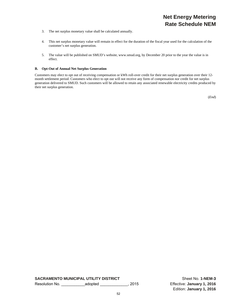# **Net Energy Metering Rate Schedule NEM**

- 3. The net surplus monetary value shall be calculated annually.
- 4. This net surplus monetary value will remain in effect for the duration of the fiscal year used for the calculation of the customer's net surplus generation.
- 5. The value will be published on SMUD's website, www.smud.org, by December 20 prior to the year the value is in effect.

#### **B. Opt-Out of Annual Net Surplus Generation**

Customers may elect to opt out of receiving compensation or kWh roll-over credit for their net surplus generation over their 12 month settlement period. Customers who elect to opt out will not receive any form of compensation nor credit for net surplus generation delivered to SMUD. Such customers will be allowed to retain any associated renewable electricity credits produced by their net surplus generation.

(*End*)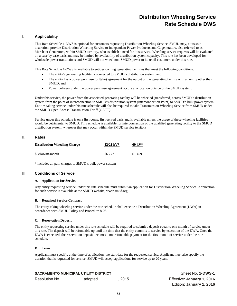# **Distribution Wheeling Service Rate Schedule DWS**

#### **I. Applicability**

This Rate Schedule 1-DWS is optional for customers requesting Distribution Wheeling Service. SMUD may, at its sole discretion, provide Distribution Wheeling Service to Independent Power Producers and Cogenerators, also referred to as Merchant Generators, within SMUD territory, who establish a need for this service. Wheeling service requests will be evaluated on a case by case basis and may be limited by availability of distribution system capacity. This rate has been developed for wholesale power transactions and SMUD will not wheel non-SMUD power to its retail customers under this rate.

This Rate Schedule 1-DWS is available to entities owning generating facilities that meet the following conditions:

- The entity's generating facility is connected to SMUD's distribution system; and
- The entity has a power purchase (offtake) agreement for the output of the generating facility with an entity other than SMUD; and
- Power delivery under the power purchase agreement occurs at a location outside of the SMUD system.

Under this service, the power from the associated generating facility will be wheeled (transferred) across SMUD's distribution system from the point of interconnection to SMUD's distribution system (Interconnection Point) to SMUD's bulk power system. Entities taking service under this rate schedule will also be required to take Transmission Wheeling Service from SMUD under the SMUD Open Access Transmission Tariff (OATT).

Service under this schedule is on a first-come, first-served basis and is available unless the usage of these wheeling facilities would be detrimental to SMUD. This schedule is available for interconnection of the qualified generating facility to the SMUD distribution system, wherever that may occur within the SMUD service territory.

#### **II. Rates**

| <b>Distribution Wheeling Charge</b> | $12/21 \text{ kV}^*$ | $69~{\rm kV^*}$ |  |
|-------------------------------------|----------------------|-----------------|--|
| \$/kilowatt-month                   | \$6.277              | \$1.459         |  |

\* includes all path charges to SMUD's bulk power system

#### **III. Conditions of Service**

#### **A. Application for Service**

Any entity requesting service under this rate schedule must submit an application for Distribution Wheeling Service. Application for such service is available at the SMUD website, www.smud.org.

#### **B. Required Service Contract**

The entity taking wheeling service under the rate schedule shall execute a Distribution Wheeling Agreement (DWA) in accordance with SMUD Policy and Procedure 8-05.

#### **C. Reservation Deposit**

The entity requesting service under this rate schedule will be required to submit a deposit equal to one month of service under this rate. The deposit will be refundable up until the time that the entity commits to service by execution of the DWA. Once the DWA is executed, the reservation deposit becomes a nonrefundable payment for the first month of service under the rate schedule.

#### **D. Term**

Applicant must specify, at the time of application, the start date for the requested service. Applicant must also specify the duration that is requested for service. SMUD will accept applications for service up to 20 years.

| <b>SACRAMENTO MUNICIPAL UTILITY DISTRICT</b> |         |      | Sheet No. 1-DWS-1          |
|----------------------------------------------|---------|------|----------------------------|
| Resolution No.                               | adopted | 2015 | Effective: January 1, 2016 |

Effective: January 1, 2016 Edition: **January 1, 2016**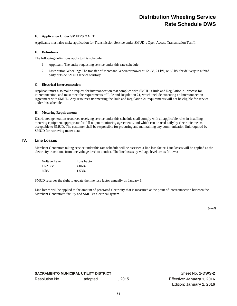# **Distribution Wheeling Service Rate Schedule DWS**

#### **E. Application Under SMUD'S OATT**

Applicants must also make application for Transmission Service under SMUD's Open Access Transmission Tariff.

#### **F. Definitions**

The following definitions apply to this schedule:

- 1. Applicant: The entity requesting service under this rate schedule.
- 2. Distribution Wheeling: The transfer of Merchant Generator power at 12 kV, 21 kV, or 69 kV for delivery to a third party outside SMUD service territory.

#### **G. Electrical Interconnection**

Applicant must also make a request for interconnection that complies with SMUD's Rule and Regulation 21 process for interconnection, and must meet the requirements of Rule and Regulation 21, which include executing an Interconnection Agreement with SMUD. Any resources *not* meeting the Rule and Regulation 21 requirements will not be eligible for service under this schedule.

#### **H. Metering Requirements**

Distributed generation resources receiving service under this schedule shall comply with all applicable rules in installing metering equipment appropriate for full output monitoring agreements, and which can be read daily by electronic means acceptable to SMUD. The customer shall be responsible for procuring and maintaining any communication link required by SMUD for retrieving meter data.

#### **IV. Line Losses**

Merchant Generators taking service under this rate schedule will be assessed a line loss factor. Line losses will be applied as the electricity transitions from one voltage level to another. The line losses by voltage level are as follows:

| Voltage Level | Loss Factor |
|---------------|-------------|
| 12/21kV       | 4.06%       |
| 69kV          | 1.53%       |

SMUD reserves the right to update the line loss factor annually on January 1.

Line losses will be applied to the amount of generated electricity that is measured at the point of interconnection between the Merchant Generator's facility and SMUD's electrical system.

*(End)* 

**SACRAMENTO MUNICIPAL UTILITY DISTRICT SHEET NO SHEET NO. 1-DWS-2** Resolution No. \_\_\_\_\_\_\_\_\_\_ adopted \_\_\_\_\_\_\_\_\_, 2015 Effective: **January 1, 2016**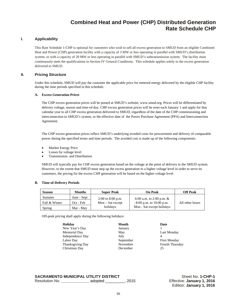### **Combined Heat and Power (CHP) Distributed Generation Rate Schedule CHP**

#### **I. Applicability**

This Rate Schedule 1-CHP is optional for customers who wish to sell all excess generation to SMUD from an eligible Combined Heat and Power (CHP) generation facility with a capacity of 3 MW or less operating in parallel with SMUD's distribution system, or with a capacity of 20 MW or less operating in parallel with SMUD's subtransmission system. The facility must continuously meet the qualifications in Section IV General Conditions. This schedule applies solely to the excess generation delivered to SMUD.

#### **II. Pricing Structure**

Under this schedule, SMUD will pay the customer the applicable price for metered energy delivered by the eligible CHP facility during the time periods specified in this schedule.

#### **A. Excess Generation Prices**

The CHP excess generation prices will be posted at SMUD's website, www.smud.org. Prices will be differentiated by delivery voltage, season and time-of-day. CHP excess generation prices will be reset each January 1 and apply for that calendar year to all CHP excess generation delivered to SMUD, regardless of the date of the CHP commissioning and interconnection to SMUD's system, or the effective date of the Power Purchase Agreement (PPA) and Interconnection Agreement.

The CHP excess generation prices reflect SMUD's underlying avoided costs for procurement and delivery of comparable power during the specified terms and time periods. The avoided cost is made up of the following components:

- Market Energy Price
- Losses by voltage level
- Transmission and Distribution

SMUD will typically pay for CHP excess generation based on the voltage at the point of delivery to the SMUD system. However, to the extent that SMUD must step up the excess generation to a higher voltage level in order to serve its customers, the pricing for the excess CHP generation will be based on the higher voltage level.

#### **B. Time-of-Delivery Periods**

| <b>Season</b> | <b>Months</b> | <b>Super Peak</b>   | On Peak                    | <b>Off Peak</b> |
|---------------|---------------|---------------------|----------------------------|-----------------|
| Summer        | June - Sept   | $2:00$ to 8:00 p.m. | 6:00 a.m. to 2:00 p.m. $&$ |                 |
| Fall & Winter | Oct - Feb     | $Mon - Sat$ except  | $8:00$ p.m. to 10:00 p.m.  | All other hours |
| Spring        | Mar - May     | holidays            | Mon - Sat except holidays  |                 |

Off-peak pricing shall apply during the following holidays:

| Holiday                 | <b>Month</b> | Date    |
|-------------------------|--------------|---------|
| New Year's Day          | January      |         |
| Memorial Day            | May          | Last 1  |
| Independence Day        | July         |         |
| Labor Day               | September    | First 1 |
| <b>Thanksgiving Day</b> | November     | Fourt   |
| Christmas Day           | December     | 25      |
|                         |              |         |

May Last Monday September First Monday November Fourth Thursday<br>December 25

|                | <b>SACRAMENTO MUNICIPAL UTILITY DISTRICT</b> |        |
|----------------|----------------------------------------------|--------|
| Resolution No. | adopted                                      | . 2015 |

**Sheet No. 1-CHP-1** Effective: January 1, 2016 Edition: **January 1, 2016**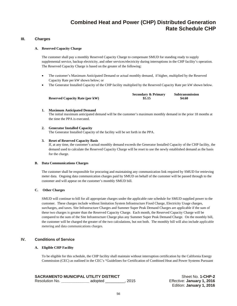### **Combined Heat and Power (CHP) Distributed Generation Rate Schedule CHP**

#### **III. Charges**

#### **A. Reserved Capacity Charge**

The customer shall pay a monthly Reserved Capacity Charge to compensate SMUD for standing ready to supply supplemental service, backup electricity, and other services/electricity during interruptions in the CHP facility's operation. The Reserved Capacity Charge is based on the greater of the following:

- The customer's Maximum Anticipated Demand or actual monthly demand, if higher, multiplied by the Reserved Capacity Rate per kW shown below; or
- The Generator Installed Capacity of the CHP facility multiplied by the Reserved Capacity Rate per kW shown below.

|                                        | <b>Secondary &amp; Primary</b> | Subtransmission |
|----------------------------------------|--------------------------------|-----------------|
| <b>Reserved Capacity Rate (per kW)</b> | \$5.15                         | \$4.60          |

#### **1. Maximum Anticipated Demand**

The initial maximum anticipated demand will be the customer's maximum monthly demand in the prior 18 months at the time the PPA is executed.

#### **2. Generator Installed Capacity**

The Generator Installed Capacity of the facility will be set forth in the PPA.

#### **3. Reset of Reserved Capacity Basis**

If, at any time, the customer's actual monthly demand exceeds the Generator Installed Capacity of the CHP facility, the demand used to calculate the Reserved Capacity Charge will be reset to use the newly established demand as the basis for the charge.

#### **B. Data Communications Charges**

The customer shall be responsible for procuring and maintaining any communication link required by SMUD for retrieving meter data. Ongoing data communication charges paid by SMUD on behalf of the customer will be passed through to the customer and will appear on the customer's monthly SMUD bill.

#### **C. Other Charges**

SMUD will continue to bill for all appropriate charges under the applicable rate schedule for SMUD supplied power to the customer. These charges include without limitation System Infrastructure Fixed Charge, Electricity Usage charges, surcharges, and taxes. Site Infrastructure Charges and Summer Super Peak Demand Charges are applicable if the sum of these two charges is greater than the Reserved Capacity Charge. Each month, the Reserved Capacity Charge will be compared to the sum of the Site Infrastructure Charge plus any Summer Super Peak Demand Charge. On the monthly bill, the customer will be charged the greater of the two calculations, but not both. The monthly bill will also include applicable metering and data communications charges.

#### **IV. Conditions of Service**

#### **A. Eligible CHP Facility**

To be eligible for this schedule, the CHP facility shall maintain without interruption certification by the California Energy Commission (CEC) as outlined in the CEC's "Guidelines for Certification of Combined Heat and Power Systems Pursuant

| <b>SACRAMENTO MUNICIPAL UTILITY DISTRICT</b> |         |        |
|----------------------------------------------|---------|--------|
| Resolution No.                               | adopted | . 2015 |

**Sheet No. 1-CHP-2** Effective: January 1, 2016 Edition: **January 1, 2016**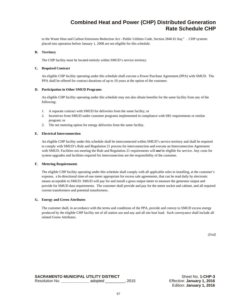### **Combined Heat and Power (CHP) Distributed Generation Rate Schedule CHP**

to the Waste Heat and Carbon Emissions Reduction Act - Public Utilities Code, Section 2840 *Et Seq*." . CHP systems placed into operation before January 1, 2008 are not eligible for this schedule.

#### **B. Territory**

The CHP facility must be located entirely within SMUD's service territory.

#### **C. Required Contract**

An eligible CHP facility operating under this schedule shall execute a Power Purchase Agreement (PPA) with SMUD. The PPA shall be offered for contract durations of up to 10 years at the option of the customer.

#### **D. Participation in Other SMUD Programs**

An eligible CHP facility operating under this schedule may not also obtain benefits for the same facility from any of the following:

- 1. A separate contract with SMUD for deliveries from the same facility; or
- 2. Incentives from SMUD under customer programs implemented in compliance with SB1 requirements or similar program; or
- 3. The net metering option for energy deliveries from the same facility.

#### **E. Electrical Interconnection**

An eligible CHP facility under this schedule shall be interconnected within SMUD's service territory and shall be required to comply with SMUD's Rule and Regulation 21 process for interconnection and execute an Interconnection Agreement with SMUD. Facilities not meeting the Rule and Regulation 21 requirements will *not* be eligible for service. Any costs for system upgrades and facilities required for interconnection are the responsibility of the customer.

#### **F. Metering Requirements**

The eligible CHP facility operating under this schedule shall comply with all applicable rules in installing, at the customer's expense, a bi-directional time-of-use meter appropriate for excess sale agreements, that can be read daily by electronic means acceptable to SMUD. SMUD will pay for and install a gross output meter to measure the generator output and provide for SMUD data requirements. The customer shall provide and pay for the meter socket and cabinet, and all required current transformers and potential transformers.

#### **G. Energy and Green Attributes**

The customer shall, in accordance with the terms and conditions of the PPA, provide and convey to SMUD excess energy produced by the eligible CHP facility net of all station use and any and all site host load. Such conveyance shall include all related Green Attributes.

*(End)*

 **SACRAMENTO MUNICIPAL UTILITY DISTRICT SHEET SHEET ASSESSED AT A SHEET NO. 1-CHP-3** Resolution No. **\_\_\_\_\_\_\_\_\_\_\_\_\_** adopted \_\_\_\_\_\_\_\_\_, 2015 Effective: **January 1, 2016**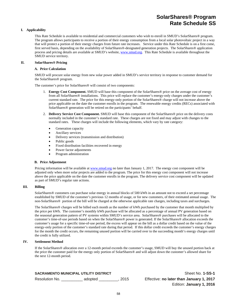### **SolarShares® Program Rate Schedule SS**

#### **I. Applicability**

This Rate Schedule is available to residential and commercial customers who wish to enroll in SMUD's SolarShares® program. The program allows participants to receive a portion of their energy consumption from a local solar photovoltaic project in a way that will protect a portion of their energy charges from future rate increases. Service under this Rate Schedule is on a first come, first served basis, depending on the availability of SolarShares®-designated generation projects. The SolarShares® application process and pricing details are available at SMUD's website, www.smud.org. This Rate Schedule is available throughout the SMUD service territory.

#### **II. SolarShares® Pricing**

#### **A. Price Calculation**

SMUD will procure solar energy from new solar power added in SMUD's service territory in response to customer demand for the SolarShares® program.

The customer's price for SolarShares® will consist of two components:

- 1. **Energy Cost Component.** SMUD will base this component of the SolarShares® price on the average cost of energy from all SolarShares® installations. This price will replace the customer's energy-only charges under the customer's current standard rate. The price for this energy-only portion of the SolarShares® charge will not increase above the price applicable on the date the customer enrolls in the program. The renewable energy credits (RECs) associated with SolarShares® generation will be retired on the participants' behalf.
- 2. **Delivery Service Cost Component.** SMUD will base this component of the SolarShares® price on the delivery costs normally included in the customer's standard rate. These charges are not fixed and may adjust with changes to the standard rates. These charges will include the following elements, which vary by rate category:
	- Generation capacity
	- Ancillary services
	- Delivery services (transmission and distribution)
	- Public goods
	- Fixed distribution facilities recovered in energy
	- Power factor adjustments
	- Program administration

#### **B. Price Adjustment**

Pricing information will be available at www.smud.org no later than January 1, 2017. The energy cost component will be adjusted only when more solar projects are added to the program. The price for this energy cost component will not increase above the price applicable on the date the customer enrolls in the program. The delivery service cost component will be updated as part of SMUD's regular rate actions.

#### **III. Billing**

SolarShares® customers can purchase solar energy in annual blocks of 500 kWh in an amount not to exceed a set percentage established by SMUD of the customer's previous 12 months of usage, or for new customers, of their estimated annual usage. The non-SolarShares® portion of the bill will be charged at the otherwise applicable rate charges, including taxes and surcharges.

The SolarShares® charges will be billed each month as the number of kWh purchased by the customer that month multiplied by the price per kWh. The customer's monthly kWh purchase will be allocated as a percentage of annual PV generation based on the seasonal generation pattern of PV systems within SMUD's service area. SolarShares® purchases will be allocated to the customer's time-of-use periods based on when the SolarShares® power is generated. If the SolarShares® allocation exceeds the customer's usage for a specific time-of-use period, the excess will appear on the bill as a dollar credit based on the value of the energy-only portion of the customer's standard rate during that period. If this dollar credit exceeds the customer's energy charges for the month the credit occurs, the remaining unused portion will be carried over to the succeeding month's energy charges until the credit is fully utilized.

#### **IV. Settlement Method**

If the SolarShares® allocation over a 12-month period exceeds the customer's usage, SMUD will buy the unused portion back at the price the customer paid for the energy only portion of SolarShares® and will adjust down the customer's allowed share for the next 12-month period.

| <b>SACRAMENTO MUNICIPAL UTILITY DISTRICT</b> |         |        |  |
|----------------------------------------------|---------|--------|--|
| Resolution No.                               | adopted | . 2015 |  |

**Sheet No. 1-SS-1** Effective: no later than January 1, 2017 Edition: **January 1, 2016**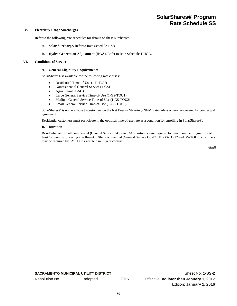#### **V. Electricity Usage Surcharges**

Refer to the following rate schedules for details on these surcharges.

- A. **Solar Surcharge.** Refer to Rate Schedule 1-SB1.
- B. **Hydro Generation Adjustment (HGA).** Refer to Rate Schedule 1-HGA.

#### **VI. Conditions of Service**

#### **A. General Eligibility Requirements**

SolarShares® is available for the following rate classes:

- Residential Time-of-Use (1-R-TOU)
- Nonresidential General Service (1-GS)
- Agricultural (1-AG)
- Large General Service Time-of-Use (1-GS-TOU1)
- Medium General Service Time-of-Use (1-GS-TOU2)
- Small General Service Time-of-Use (1-GS-TOU3)

SolarShares® is not available to customers on the Net Energy Metering (NEM) rate unless otherwise covered by contractual agreement.

Residential customers must participate in the optional time-of-use rate as a condition for enrolling in SolarShares®.

#### **B. Duration**

Residential and small commercial (General Service 1-GS and AG) customers are required to remain on the program for at least 12 months following enrollment. Other commercial (General Service GS-TOU1, GS-TOU2 and GS-TOU3) customers may be required by SMUD to execute a multiyear contract.

*(End)*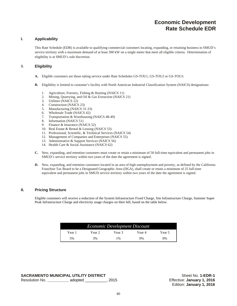### **Economic Development Rate Schedule EDR**

#### **I. Applicability**

This Rate Schedule (EDR) is available to qualifying commercial customers locating, expanding, or retaining business in SMUD's service territory with a maximum demand of at least 300 kW on a single meter that meet all eligible criteria. Determination of eligibility is at SMUD's sole discretion.

#### II. **Eligibility**

- **A.** Eligible customers are those taking service under Rate Schedules GS-TOU1, GS-TOU2 or GS-TOU3.
- **B.** Eligibility is limited to customer's facility with North American Industrial Classification System (NAICS) designations:
	- 1. Agriculture, Forestry, Fishing & Hunting (NAICS 11)
	- 2. Mining, Quarrying, and Oil & Gas Extraction (NAICS 21)
	- 3. Utilities (NAICS 22)
	- 4. Construction (NAICS 23)
	- 5. Manufacturing (NAICS 31-33)
	- 6. Wholesale Trade (NAICS 42)
	- 7. Transportation & Warehousing (NAICS 48-49)
	- 8. Information (NAICS 51)
	- 9. Finance & Insurance (NAICS 52)
	- 10. Real Estate & Rental & Leasing (NAICS 53)
	- 11. Professional, Scientific, & Technical Services (NAICS 54)
	- 12. Management of Companies and Enterprises (NAICS 55)
	- 13. Administrative & Support Services (NAICS 56)
	- 14. Health Care & Social Assistance (NAICS 62)
- **C.** New, expanding, and retention customers must create or retain a minimum of 50 full-time equivalent and permanent jobs in SMUD's service territory within two years of the date the agreement is signed.
- **D.** New, expanding, and retention customers located in an area of high unemployment and poverty, as defined by the California Franchise Tax Board to be a Designated Geographic Area (DGA), shall create or retain a minimum of 25 full-time equivalent and permanent jobs in SMUD service territory within two years of the date the agreement is signed.

#### **II. Pricing Structure**

Eligible customers will receive a reduction of the System Infrastructure Fixed Charge, Site Infrastructure Charge, Summer Super Peak Infrastructure Charge and electricity usage charges on their bill, based on the table below.

| <b>Economic Development Discount</b> |         |        |        |        |
|--------------------------------------|---------|--------|--------|--------|
| Year 1                               | Year 2. | Year 3 | Year 4 | Year 5 |
| 5%                                   | 3%      | 1%     | $0\%$  | $0\%$  |

|                | <b>SACRAMENTO MUNICIPAL UTILITY DISTRICT</b> |        |
|----------------|----------------------------------------------|--------|
| Resolution No. | adopted                                      | , 2015 |

Sheet No. **1-EDR-1** Resolution No. **\_\_\_\_\_\_\_\_\_\_** adopted \_\_\_\_\_\_\_\_\_\_, 2015 Effective: **January 1, 2016**  Edition: **January 1, 2016**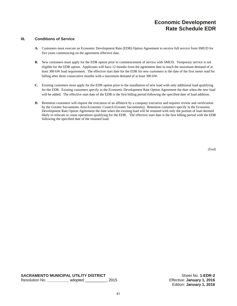### **Economic Development Rate Schedule EDR**

#### **III. Conditions of Service**

- **A.** Customers must execute an Economic Development Rate (EDR) Option Agreement to receive full service from SMUD for five years commencing on the agreement effective date.
- **B.** New customers must apply for the EDR option prior to commencement of service with SMUD. Temporary service is not eligible for the EDR option. Applicants will have 12 months from the agreement date to reach the maximum demand of at least 300 kW load requirement. The effective start date for the EDR for new customers is the date of the first meter read for billing after three consecutive months with a maximum demand of at least 300 kW.
- **C.** Existing customers must apply for the EDR option prior to the installation of new load with only additional load qualifying for the EDR. Existing customers specify in the Economic Development Rate Option Agreement the date when the new load will be added. The effective start date of the EDR is the first billing period following the specified date of load addition.
- **D.** Retention customers will require the execution of an affidavit by a company executive and requires review and verification by the Greater Sacramento Area Economic Council (Greater Sacramento). Retention customers specify in the Economic Development Rate Option Agreement the date when the existing load will be retained with only the portion of load deemed likely to relocate or cease operations qualifying for the EDR. The effective start date is the first billing period with the EDR following the specified date of the retained load.

 *(End)*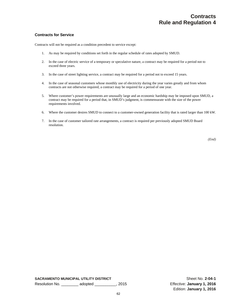#### **Contracts for Service**

Contracts will not be required as a condition precedent to service except:

- 1. As may be required by conditions set forth in the regular schedule of rates adopted by SMUD.
- 2. In the case of electric service of a temporary or speculative nature, a contract may be required for a period not to exceed three years.
- 3. In the case of street lighting service, a contract may be required for a period not to exceed 15 years.
- 4. In the case of seasonal customers whose monthly use of electricity during the year varies greatly and from whom contracts are not otherwise required, a contract may be required for a period of one year.
- 5. Where customer's power requirements are unusually large and an economic hardship may be imposed upon SMUD, a contract may be required for a period that, in SMUD's judgment, is commensurate with the size of the power requirements involved.
- 6. Where the customer desires SMUD to connect to a customer-owned generation facility that is rated larger than 100 kW.
- 7. In the case of customer tailored rate arrangements, a contract is required per previously adopted SMUD Board resolution.

*(End)*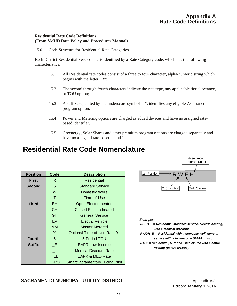#### **Residential Rate Code Definitions (From SMUD Rate Policy and Procedures Manual)**

15.0 Code Structure for Residential Rate Categories

Each District Residential Service rate is identified by a Rate Category code, which has the following characteristics:

- 15.1 All Residential rate codes consist of a three to four character, alpha-numeric string which begins with the letter "R";
- 15.2 The second through fourth characters indicate the rate type, any applicable tier allowance, or TOU option;
- 15.3 A suffix, separated by the underscore symbol "\_", identifies any eligible Assistance program option;
- 15.4 Power and Metering options are charged as added devices and have no assigned ratebased identifier.
- 15.5 Greenergy, Solar Shares and other premium program options are charged separately and have no assigned rate-based identifier.

# **Residential Rate Code Nomenclature**

| <b>Position</b> | Code       | <b>Description</b>                               |  |
|-----------------|------------|--------------------------------------------------|--|
| <b>First</b>    | R          | Residential                                      |  |
| <b>Second</b>   | S          | <b>Standard Service</b>                          |  |
|                 | W          | Domestic Wells                                   |  |
|                 | т          | Time-of-Use                                      |  |
| <b>Third</b>    | EH.        | <b>Open Electric-heated</b>                      |  |
|                 | CН         | <b>Closed Electric-heated</b>                    |  |
|                 | GH         | <b>General Service</b>                           |  |
|                 | EV         | Electric Vehicle                                 |  |
|                 | <b>MM</b>  | Master-Metered                                   |  |
|                 | 01         | <b>Optional Time-of-Use Rate 01</b>              |  |
| <b>Fourth</b>   | 5          | 5-Period TOU                                     |  |
| <b>Suffix</b>   | -E         | <b>EAPR Low-Income</b>                           |  |
|                 | - 11       | <b>Medical Discount Rate</b>                     |  |
|                 | -EL.       | <b>EAPR &amp; MED Rate</b>                       |  |
|                 | <b>SPO</b> | <b>SmartSacramento<sup>®</sup> Pricing Pilot</b> |  |



*Examples:*

- *RSEH\_L = Residential standard service, electric heating, with a medical discount.*
- *RWGH\_E = Residential with a domestic well, general service with a low-income (EAPR) discount.*
- *RTC5 = Residential, 5 Period Time-of-Use with electric heating (before 5/11/96).*

### **SACRAMENTO MUNICIPAL UTILITY DISTRICT** And the substantial propendix A-1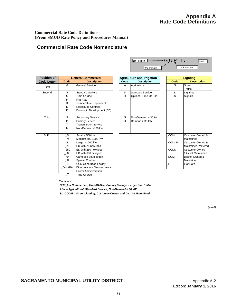### **Appendix A Rate Code Definitions**

Suffix

\*GJUP\_L∢

**2nd Position** 3rd Position

1st Position

#### **Commercial Rate Code Definitions (From SMUD Rate Policy and Procedures Manual)**

### **Commercial Rate Code Nomenclature**

| <b>Position of</b> |              | <b>General Commercial</b>      |      | <b>Agriculture and Irrigation</b>     |  |
|--------------------|--------------|--------------------------------|------|---------------------------------------|--|
| <b>Code Letter</b> | Code         | <b>Description</b>             | Code | <b>Description</b>                    |  |
| First              | G            | <b>General Service</b>         | A    | Agriculture                           |  |
| Second             | S            | <b>Standard Service</b>        | S    | <b>Standard Service</b>               |  |
|                    | U            | Time-Of-Use                    | O    | Optional Time-Of-Use                  |  |
|                    | F            | <b>Flat Rate</b>               |      |                                       |  |
|                    | D            | <b>Temperature Dependent</b>   |      |                                       |  |
|                    | N            | <b>Negotiated Contract</b>     |      |                                       |  |
|                    | E            | Economic Development (ED)      |      |                                       |  |
| Third              | S            | Secondary Service              | N    | $\textsf{Non-Demand} < 30 \text{ kw}$ |  |
|                    | P            | <b>Primary Service</b>         | D    | Demand > 30 kW                        |  |
|                    | T            | <b>Transmission Service</b>    |      |                                       |  |
|                    | N            | Non-Demand < 20 kW             |      |                                       |  |
| Suffix             | $\_S$        | Small $<$ 500 kW               |      |                                       |  |
|                    | $\_M$        | Medium 500-1000 kW             |      |                                       |  |
|                    | $\perp$      | Large $> 1000$ kW              |      |                                       |  |
|                    | 25           | ED with 25 new jobs            |      |                                       |  |
|                    | 250          | ED with 250 new jobs           |      |                                       |  |
|                    | 600          | ED with 600 new jobs           |      |                                       |  |
|                    | 04           | Campbell Soup cogen            |      |                                       |  |
|                    | 99           | <b>Special Contract</b>        |      |                                       |  |
|                    | $-19$        | <b>UCD Generation Facility</b> |      |                                       |  |
|                    | <b>DWAPA</b> | Direct Access, Western Area    |      |                                       |  |
|                    |              | Power Administration           |      |                                       |  |
|                    | $\top$       | Time-Of-Use                    |      |                                       |  |

| <b>osition</b> of | <b>General Commercial</b> |                                | <b>Agriculture and Irrigation</b> |                         |             | <b>Lighting</b>          |  |  |
|-------------------|---------------------------|--------------------------------|-----------------------------------|-------------------------|-------------|--------------------------|--|--|
| de Letter         | Code                      | <b>Description</b>             | Code                              | <b>Description</b>      | Code        | <b>Description</b>       |  |  |
| First             | G                         | <b>General Service</b>         | A                                 | Agriculture             | S           | <b>Street</b><br>Traffic |  |  |
| Second            | S                         | <b>Standard Service</b>        | S                                 | <b>Standard Service</b> |             | Lighting                 |  |  |
|                   | U                         | Time-Of-Use                    | O                                 | Optional Time-Of-Use    | S           | Signals                  |  |  |
|                   | F                         | <b>Flat Rate</b>               |                                   |                         |             |                          |  |  |
|                   | D                         | <b>Temperature Dependent</b>   |                                   |                         |             |                          |  |  |
|                   | N                         | <b>Negotiated Contract</b>     |                                   |                         |             |                          |  |  |
|                   | E                         | Economic Development (ED)      |                                   |                         |             |                          |  |  |
| Third             | S                         | <b>Secondary Service</b>       | N                                 | Non-Demand $<$ 30 kw    |             |                          |  |  |
|                   | P                         | <b>Primary Service</b>         | D                                 | Demand > 30 kW          |             |                          |  |  |
|                   | т                         | <b>Transmission Service</b>    |                                   |                         |             |                          |  |  |
|                   | N                         | Non-Demand $<$ 20 kW           |                                   |                         |             |                          |  |  |
| Suffix            | $\_S$                     | Small $<$ 500 kW               |                                   |                         | COM         | Customer Owned &         |  |  |
|                   | $\_M$                     | Medium 500-1000 kW             |                                   |                         |             | Maintained               |  |  |
|                   | ᅩ                         | Large $> 1000$ kW              |                                   |                         | COM_M       | Customer Owned &         |  |  |
|                   | $\_25$                    | ED with 25 new jobs            |                                   |                         |             | Maintained. Metered      |  |  |
|                   | $-250$                    | ED with 250 new jobs           |                                   |                         | <b>CODM</b> | <b>Customer Owned</b>    |  |  |
|                   | $-600$                    | ED with 600 new jobs           |                                   |                         |             | /District Maintained     |  |  |
|                   | $\sqrt{04}$               | Campbell Soup cogen            |                                   |                         | <b>DOM</b>  | District Owned &         |  |  |
|                   | $-99$                     | <b>Special Contract</b>        |                                   |                         |             | Maintained               |  |  |
|                   | $-19$                     | <b>UCD Generation Facility</b> |                                   |                         | F           | <b>Flat Rate</b>         |  |  |
|                   | <b>NUMBA</b>              | Diraat Aanoon Wastern Aroo     |                                   |                         |             |                          |  |  |

*Examples:*

*GUP\_L = Commercial, Time-Of-Use, Primary Voltage, Larger than 1 MW ASN = Agricultural, Standard Service, Non-Demand < 30 kW*

*SL\_CODM = Street Lighting, Customer-Owned and District Maintained*

*(End)*

### **SACRAMENTO MUNICIPAL UTILITY DISTRICT** Appendix A-2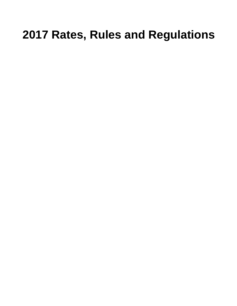# **2017 Rates, Rules and Regulations**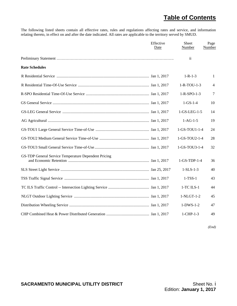# **Table of Contents**

The following listed sheets contain all effective rates, rules and regulations affecting rates and service, and information relating thereto, in effect on and after the date indicated. All rates are applicable to the territory served by SMUD.

|                                                      | Effective<br>Date | <b>Sheet</b><br>Number | Page<br>Number |
|------------------------------------------------------|-------------------|------------------------|----------------|
|                                                      |                   | $\mathbf{ii}$          |                |
| <b>Rate Schedules</b>                                |                   |                        |                |
|                                                      |                   | $1 - R - 1 - 3$        | $\mathbf{1}$   |
|                                                      |                   | $1-R-TOU-1-3$          | $\overline{4}$ |
|                                                      |                   | $1 - R - SPO - 1 - 3$  | 7              |
|                                                      |                   | $1-GS-1-4$             | 10             |
|                                                      |                   | $1-GS-LEG-1-5$         | 14             |
|                                                      |                   | $1-AG-1-5$             | 19             |
|                                                      |                   | 1-GS-TOU1-1-4          | 24             |
|                                                      |                   | 1-GS-TOU2-1-4          | 28             |
|                                                      |                   | 1-GS-TOU3-1-4          | 32             |
| GS-TDP General Service Temperature Dependent Pricing |                   | $1-GS-TDP-1-4$         | 36             |
|                                                      |                   | $1-SLS-1-3$            | 40             |
|                                                      |                   | $1-TSS-1$              | 43             |
|                                                      |                   | 1-TC ILS-1             | 44             |
|                                                      |                   | 1-NLGT-1-2             | 45             |
|                                                      |                   | $1-DWS-1-2$            | 47             |
|                                                      |                   | $1$ -CHP- $1-3$        | 49             |

*(End)*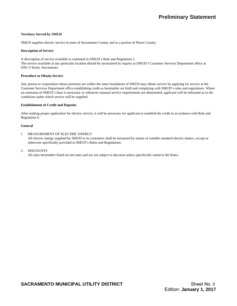#### **Territory Served by SMUD**

SMUD supplies electric service in most of Sacramento County and in a portion of Placer County.

#### **Description of Service**

A description of service available is contained in SMUD's Rule and Regulation 2. The service available at any particular location should be ascertained by inquiry at SMUD's Customer Services Department office at 6301 S Street, Sacramento.

#### **Procedure to Obtain Service**

Any person or corporation whose premises are within the outer boundaries of SMUD may obtain service by applying for service at the Customer Services Department office establishing credit as hereinafter set forth and complying with SMUD's rules and regulations. Where an extension of SMUD's lines is necessary or whenever unusual service requirements are determined, applicant will be informed as to the conditions under which service will be supplied.

#### **Establishment of Credit and Deposits**

After making proper application for electric service, it will be necessary for applicant to establish his credit in accordance with Rule and Regulation 6.

#### **General**

#### l. MEASUREMENT OF ELECTRIC ENERGY

 All electric energy supplied by SMUD to its customers shall be measured by means of suitable standard electric meters, except as otherwise specifically provided in SMUD's Rules and Regulations.

#### 2. DISCOUNTS

All rates hereinafter listed are net rates and are not subject to discount unless specifically stated in the Rates.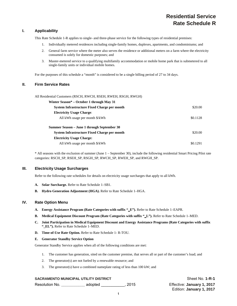# **Residential Service Rate Schedule R**

# **I. Applicability**

This Rate Schedule 1-R applies to single- and three-phase service for the following types of residential premises:

- 1. Individually metered residences including single-family homes, duplexes, apartments, and condominiums; and
- 2. General farm service where the meter also serves the residence or additional meters on a farm where the electricity consumed is solely for domestic purposes; and
- 3. Master-metered service to a qualifying multifamily accommodation or mobile home park that is submetered to all single-family units or individual mobile homes.

For the purposes of this schedule a "month" is considered to be a single billing period of 27 to 34 days.

# **II. Firm Service Rates**

All Residential Customers (RSCH, RWCH, RSEH, RWEH, RSGH, RWGH)

| Winter Season* – October 1 through May 31    |          |
|----------------------------------------------|----------|
| System Infrastructure Fixed Charge per month | \$20.00  |
| <b>Electricity Usage Charge:</b>             |          |
| All kWh usage per month \$/kWh               | \$0.1128 |
| Summer Season – June 1 through September 30  |          |
| System Infrastructure Fixed Charge per month | \$20.00  |
| <b>Electricity Usage Charge:</b>             |          |
| All kWh usage per month \$/kWh               | \$0.1291 |

\* All seasons with the exclusion of summer (June 1 – September 30), include the following residential Smart Pricing Pilot rate categories: RSCH\_SP, RSEH\_SP, RSGH\_SP, RWCH\_SP, RWEH\_SP, and RWGH\_SP.

# **III. Electricity Usage Surcharges**

Refer to the following rate schedules for details on electricity usage surcharges that apply to all kWh.

- **A. Solar Surcharge.** Refer to Rate Schedule 1–SB1.
- **B. Hydro Generation Adjustment (HGA).** Refer to Rate Schedule 1–HGA.

# **IV. Rate Option Menu**

- **A. Energy Assistance Program (Rate Categories with suffix "\_E").** Refer to Rate Schedule 1–EAPR.
- **B. Medical Equipment Discount Program (Rate Categories with suffix "\_L").** Refer to Rate Schedule 1–MED.
- **C. Joint Participation in Medical Equipment Discount and Energy Assistance Programs (Rate Categories with suffix "\_EL").** Refer to Rate Schedule 1–MED.
- **D. Time-of-Use Rate Option.** Refer to Rate Schedule 1- R-TOU.

#### **E. Generator Standby Service Option**

Generator Standby Service applies when all of the following conditions are met:

- 1. The customer has generation, sited on the customer premise, that serves all or part of the customer's load; and
- 2. The generator(s) are not fueled by a renewable resource; and
- 3. The generator(s) have a combined nameplate rating of less than 100 kW; and

# **SACRAMENTO MUNICIPAL UTILITY DISTRICT** Shape The Sheet No. 1-R-1

Resolution No. **\_\_\_\_\_\_\_\_\_\_\_** adopted \_\_\_\_\_\_\_\_\_\_\_, 2015 Effective: **January 1, 2017**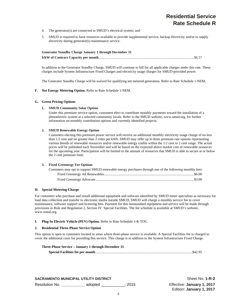# **Residential Service Rate Schedule R**

- 4. The generator(s) are connected to SMUD's electrical system; and
- 5. SMUD is required to have resources available to provide supplemental service, backup electricity and/or to supply electricity during generator(s) maintenance service.

| <b>Generator Standby Charge January 1 through December 31</b> |  |
|---------------------------------------------------------------|--|
|                                                               |  |

In addition to the Generator Standby Charge, SMUD will continue to bill for all applicable charges under this rate. These charges include System Infrastructure Fixed Charges and electricity usage charges for SMUD-provided power.

The Generator Standby Charge will be waived for qualifying net metered generation. Refer to Rate Schedule 1-NEM.

#### **F. Net Energy Metering Option.** Refer to Rate Schedule 1-NEM.

### **G. Green Pricing Options**

# **1. SMUD Community Solar Option**

Under this premium service option, customers elect to contribute monthly payments toward the installation of a photoelectric system at a selected community locale. Refer to the SMUD website, www.smud.org, for further information on monthly contribution options and currently identified projects.

#### **2. SMUD Renewable Energy Option**

Customers electing this premium power service will receive an additional monthly electricity usage charge of no less than 1/2 cent and no greater than 2 cents per kWh. SMUD may offer up to three premium rate options representing various blends of renewable resources and/or renewable energy credits within the 1/2 cent to 2 cent range. The actual prices will be published each November and will be based on the expected above market cost of renewable resources for the upcoming year. Participation will be limited to the amount of resources that SMUD is able to secure at or below the 2 cent premium limit.

#### **3. Fixed Greenergy Fee Options**

| Customers may opt to support SMUD renewable energy purchases through one of the following monthly fees: |  |
|---------------------------------------------------------------------------------------------------------|--|
|                                                                                                         |  |
|                                                                                                         |  |

### **H. Special Metering Charge**

For customers who purchase and install additional equipment and software identified by SMUD meter specialists as necessary for load data collection and transfer to electronic media outside SMUD, SMUD will charge a monthly service fee to cover maintenance, software support and licensing fees. Payment for this nonstandard equipment and service will be made through provisions in Rule and Regulation 2, Section IV. Special Facilities. The fee schedule is available at SMUD's website, www.smud.org.

# **I. Plug-In Electric Vehicle (PEV) Option.** Refer to Rate Schedule 1-R-TOU.

#### **J. Residential Three-Phase Service Option**

This option is open to customers located in areas where three-phase service is available. A Special Facilities fee is charged to cover the additional costs for providing this service. This charge is in addition to the System Infrastructure Fixed Charge.

| Three-Phase Service – January 1 through December 31 |  |
|-----------------------------------------------------|--|
|                                                     |  |

**SACRAMENTO MUNICIPAL UTILITY DISTRICT** Shape The Sheet No. 1-R-2 Resolution No. **\_\_\_\_\_\_\_\_\_\_\_** adopted \_\_\_\_\_\_\_\_\_\_\_, 2015 Effective: **January 1, 2017**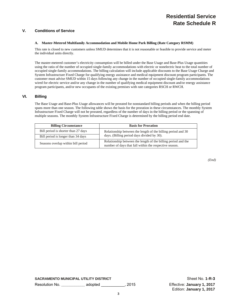# **V. Conditions of Service**

# **A. Master-Metered Multifamily Accommodation and Mobile Home Park Billing (Rate Category RSMM)**

This rate is closed to new customers unless SMUD determines that it is not reasonable or feasible to provide service and meter the individual units directly.

The master-metered customer's electricity consumption will be billed under the Base Usage and Base-Plus Usage quantities using the ratio of the number of occupied single-family accommodations with electric or nonelectric heat to the total number of occupied single-family accommodations. The billing calculation will include applicable discounts to the Base Usage Charge and System Infrastructure Fixed Charge for qualifying energy assistance and medical equipment discount program participants. The customer must advise SMUD within 15 days following any change in the number of occupied single-family accommodations wired for electric service and/or any change in the number of qualifying medical equipment discount and/or energy assistance program participants, and/or new occupants of the existing premises with rate categories RSCH or RWCH.

# **VI. Billing**

The Base Usage and Base-Plus Usage allowances will be prorated for nonstandard billing periods and when the billing period spans more than one season. The following table shows the basis for the proration in these circumstances. The monthly System Infrastructure Fixed Charge will not be prorated, regardless of the number of days in the billing period or the spanning of multiple seasons. The monthly System Infrastructure Fixed Charge is determined by the billing period end date.

| <b>Billing Circumstance</b>         | <b>Basis for Proration</b>                                                                                              |
|-------------------------------------|-------------------------------------------------------------------------------------------------------------------------|
| Bill period is shorter than 27 days | Relationship between the length of the billing period and 30                                                            |
| Bill period is longer than 34 days  | days. (Billing period days divided by 30).                                                                              |
| Seasons overlap within bill period  | Relationship between the length of the billing period and the<br>number of days that fall within the respective season. |

*(End)*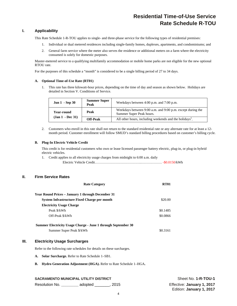# **Residential Time-of-Use Service Rate Schedule R-TOU**

# **I. Applicability**

This Rate Schedule 1-R-TOU applies to single- and three-phase service for the following types of residential premises:

- 1. Individual or dual metered residences including single-family homes, duplexes, apartments, and condominiums; and
- 2. General farm service where the meter also serves the residence or additional meters on a farm where the electricity consumed is solely for domestic purposes.

Master-metered service to a qualifying multifamily accommodation or mobile home parks are not eligible for the new optional RTOU rate.

For the purposes of this schedule a "month" is considered to be a single billing period of 27 to 34 days.

#### **A. Optional Time-of-Use Rate (RT01)**

1. This rate has three kilowatt-hour prices, depending on the time of day and season as shown below. Holidays are detailed in Section V. Conditions of Service.

| <b>Jun 1</b> - Sep 30 | <b>Summer Super</b><br>Peak | Weekdays between 4:00 p.m. and 7:00 p.m.                                               |
|-----------------------|-----------------------------|----------------------------------------------------------------------------------------|
| Year-round            | Peak                        | Weekdays between 9:00 a.m. and 9:00 p.m. except during the<br>Summer Super Peak hours. |
| $(Jan 1 - Dec 31)$    | <b>Off-Peak</b>             | All other hours, including weekends and the holidays <sup>1</sup> .                    |

2. Customers who enroll in this rate shall not return to the standard residential rate or any alternate rate for at least a 12 month period. Customer enrollment will follow SMUD's standard billing procedures based on customer's billing cycle.

# **B. Plug-In Electric Vehicle Credit**

This credit is for residential customers who own or lease licensed passenger battery electric, plug-in, or plug-in hybrid electric vehicles.

1. Credit applies to all electricity usage charges from midnight to 6:00 a.m. daily Electric Vehicle Credit………………………………….……………… -\$0.0150/kWh

# **II. Firm Service Rates**

| <b>Rate Category</b>                                          | <b>RT01</b> |
|---------------------------------------------------------------|-------------|
| <b>Year Round Prices – January 1 through December 31</b>      |             |
| System Infrastructure Fixed Charge per month                  | \$20.00     |
| <b>Electricity Usage Charge</b>                               |             |
| Peak \$/kWh                                                   | \$0.1485    |
| Off-Peak \$/kWh                                               | \$0.0866    |
| Summer Electricity Usage Charge - June 1 through September 30 |             |
| Summer Super Peak \$/kWh                                      | \$0.3161    |

# **III. Electricity Usage Surcharges**

Refer to the following rate schedules for details on these surcharges.

- **A. Solar Surcharge.** Refer to Rate Schedule 1–SB1.
- **B. Hydro Generation Adjustment (HGA).** Refer to Rate Schedule 1–HGA**.**

# **SACRAMENTO MUNICIPAL UTILITY DISTRICT SHOW SHOW SHEET SHEET NO. 1-R-TOU-1**

Resolution No. **\_\_\_\_\_\_\_\_** adopted \_\_\_\_\_\_\_, 2015 Effective: **January 1, 2017**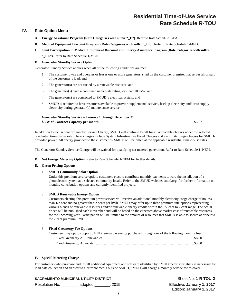# **Residential Time-of-Use Service Rate Schedule R-TOU**

# **IV. Rate Option Menu**

- **A. Energy Assistance Program (Rate Categories with suffix "\_E").** Refer to Rate Schedule 1-EAPR.
- **B.** Medical Equipment Discount Program (Rate Categories with suffix "L"). Refer to Rate Schedule 1-MED.
- **C. Joint Participation in Medical Equipment Discount and Energy Assistance Program (Rate Categories with suffix**

**"\_EL").** Refer to Rate Schedule 1-MED.

# **D. Generator Standby Service Option**

Generator Standby Service applies when all of the following conditions are met:

- 1. The customer owns and operates or leases one or more generators, sited on the customer premise, that serves all or part of the customer's load; and
- 2. The generator(s) are not fueled by a renewable resource; and
- 3. The generator(s) have a combined nameplate rating less than 100 kW; and
- 4. The generator(s) are connected to SMUD's electrical system; and
- 5. SMUD is required to have resources available to provide supplemental service, backup electricity and/ or to supply electricity during generator(s) maintenance service.

| <b>Generator Standby Service – January 1 through December 31</b> |  |
|------------------------------------------------------------------|--|
|                                                                  |  |

In addition to the Generator Standby Service Charge, SMUD will continue to bill for all applicable charges under the selected residential time-of-use rate. These charges include System Infrastructure Fixed Charges and electricity usage charges for SMUDprovided power. All energy provided to the customer by SMUD will be billed at the applicable residential time-of-use rates.

The Generator Standby Service Charge will be waived for qualifying net metered generation. Refer to Rate Schedule 1–NEM.

**D. Net Energy Metering Option.** Refer to Rate Schedule 1-NEM for further details.

#### **E. Green Pricing Options**

# 1. **SMUD Community Solar Option**

Under this premium service option, customers elect to contribute monthly payments toward the installation of a photoelectric system at a selected community locale. Refer to the SMUD website, smud.org, for further information on monthly contribution options and currently identified projects.

# 2. **SMUD Renewable Energy Option**

Customers electing this premium power service will receive an additional monthly electricity usage charge of no less than 1/2 cent and no greater than 2 cents per kWh. SMUD may offer up to three premium rate options representing various blends of renewable resources and/or renewable energy credits within the 1/2 cent to 2 cent range. The actual prices will be published each November and will be based on the expected above market cost of renewable resources for the upcoming year. Participation will be limited to the amount of resources that SMUD is able to secure at or below the 2 cent premium limit.

# 3. **Fixed Greenergy Fee Options**

| Customers may opt to support SMUD renewable energy purchases through one of the following monthly fees: |  |
|---------------------------------------------------------------------------------------------------------|--|
|                                                                                                         |  |
|                                                                                                         |  |

# **F. Special Metering Charge**

For customers who purchase and install additional equipment and software identified by SMUD meter specialists as necessary for load data collection and transfer to electronic media outside SMUD, SMUD will charge a monthly service fee to cover

# **SACRAMENTO MUNICIPAL UTILITY DISTRICT SHEET NO SHEET ASSESSMENT OF A SHEET NO. 1-R-TOU-2**

Resolution No. **\_\_\_\_\_\_\_\_** adopted \_\_\_\_\_\_\_, 2015 Effective: **January 1, 2017**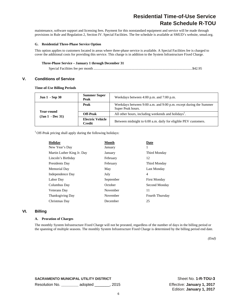# **Residential Time-of-Use Service Rate Schedule R-TOU**

maintenance, software support and licensing fees. Payment for this nonstandard equipment and service will be made through provisions in Rule and Regulation 2, Section IV. Special Facilities. The fee schedule is available at SMUD's website, smud.org.

#### **G. Residential Three-Phase Service Option**

This option applies to customers located in areas where three-phase service is available. A Special Facilities fee is charged to cover the additional costs for providing this service. This charge is in addition to the System Infrastructure Fixed Charge.

# **Three-Phase Service – January 1 through December 31**

Special Facilities fee per month ................................................................................................................ \$42.95

# **V. Conditions of Service**

**Time-of-Use Billing Periods** 

| <b>Jun 1</b> - Sep 30            | <b>Summer Super</b><br>Peak              | Weekdays between 4:00 p.m. and 7:00 p.m.                                               |
|----------------------------------|------------------------------------------|----------------------------------------------------------------------------------------|
|                                  | Peak                                     | Weekdays between 9:00 a.m. and 9:00 p.m. except during the Summer<br>Super Peak hours. |
| Year-round<br>$(Jan 1 - Dec 31)$ | <b>Off-Peak</b>                          | All other hours, including weekends and holidays <sup>1</sup> .                        |
|                                  | <b>Electric Vehicle</b><br><b>Credit</b> | Between midnight to 6:00 a.m. daily for eligible PEV customers.                        |

<sup>1</sup> Off-Peak pricing shall apply during the following holidays:

| <b>Holiday</b>             | Month     | Date                   |
|----------------------------|-----------|------------------------|
| New Year's Day             | January   | 1                      |
| Martin Luther King Jr. Day | January   | Third Monday           |
| Lincoln's Birthday         | February  | 12                     |
| Presidents Day             | February  | Third Monday           |
| Memorial Day               | May       | Last Monday            |
| Independence Day           | July      | 4                      |
| Labor Day                  | September | <b>First Monday</b>    |
| Columbus Day               | October   | Second Monday          |
| Veterans Day               | November  | 11                     |
| <b>Thanksgiving Day</b>    | November  | <b>Fourth Thursday</b> |
| Christmas Day              | December  | 25                     |
|                            |           |                        |

## **VI. Billing**

# **A. Proration of Charges**

The monthly System Infrastructure Fixed Charge will not be prorated, regardless of the number of days in the billing period or the spanning of multiple seasons. The monthly System Infrastructure Fixed Charge is determined by the billing period end date.

*(End)*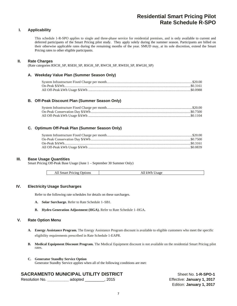# **Residential Smart Pricing Pilot Rate Schedule R-SPO**

# **I. Applicability**

This schedule 1-R-SPO applies to single and three-phase service for residential premises, and is only available to current and deferred participants of the Smart Pricing pilot study. They apply solely during the summer season. Participants are billed on their otherwise applicable rates during the remaining months of the year. SMUD may, at its sole discretion, extend the Smart Pricing rates to other eligible participants.

# **II. Rate Charges**

(Rate categories RSCH\_SP, RSEH\_SP, RSGH\_SP, RWCH\_SP, RWEH\_SP, RWGH\_SP)

# **A. Weekday Value Plan (Summer Season Only)**

# **B. Off-Peak Discount Plan (Summer Season Only)**

# **C. Optimum Off-Peak Plan (Summer Season Only)**

# **III. Base Usage Quantities**

Smart Pricing Off-Peak Base Usage (June 1 – September 30 Summer Only)

| Jpt10ns<br>Pricing<br>Smart<br>AL | $ -$<br>– Sage<br>AП<br>A.<br>A |
|-----------------------------------|---------------------------------|
|-----------------------------------|---------------------------------|

# **IV. Electricity Usage Surcharges**

Refer to the following rate schedules for details on these surcharges.

- **A. Solar Surcharge.** Refer to Rate Schedule 1–SB1.
- **B. Hydro Generation Adjustment (HGA).** Refer to Rate Schedule 1–HGA**.**

# **V. Rate Option Menu**

- **A. Energy Assistance Program.** The Energy Assistance Program discount is available to eligible customers who meet the specific eligibility requirements prescribed in Rate Schedule 1-EAPR.
- **B. Medical Equipment Discount Program.** The Medical Equipment discount is not available on the residential Smart Pricing pilot rates.
- **C. Generator Standby Service Option**  Generator Standby Service applies when all of the following conditions are met:

# **SACRAMENTO MUNICIPAL UTILITY DISTRICT** Sheet No. 1-R-SPO-1

| Resolution No. | adopted | , 2015 |
|----------------|---------|--------|
|                |         |        |

Effective: **January 1, 2017** Edition: **January 1, 2017**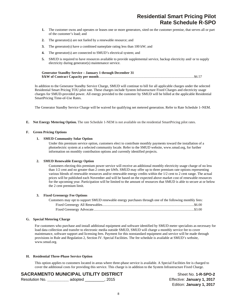# **Residential Smart Pricing Pilot Rate Schedule R-SPO**

- **1.** The customer owns and operates or leases one or more generators, sited on the customer premise, that serves all or part of the customer's load; and
- **2.** The generator(s) are not fueled by a renewable resource; and
- **3.** The generator(s) have a combined nameplate rating less than 100 kW; and
- **4.** The generator(s) are connected to SMUD's electrical system; and
- **5.** SMUD is required to have resources available to provide supplemental service, backup electricity and/ or to supply electricity during generator(s) maintenance service.

| <b>Generator Standby Service - January 1 through December 31</b> |  |
|------------------------------------------------------------------|--|
|                                                                  |  |

In addition to the Generator Standby Service Charge, SMUD will continue to bill for all applicable charges under the selected Residential Smart Pricing TOU pilot rate. These charges include System Infrastructure Fixed Charges and electricity usage charges for SMUD-provided power. All energy provided to the customer by SMUD will be billed at the applicable Residential SmartPricing Time-of-Use Rates.

The Generator Standby Service Charge will be waived for qualifying net metered generation. Refer to Rate Schedule 1–NEM.

**E. Net Energy Metering Option.** The rate Schedule 1-NEM is not available on the residential SmartPricing pilot rates.

#### **F. Green Pricing Options**

### **1. SMUD Community Solar Option**

Under this premium service option, customers elect to contribute monthly payments toward the installation of a photoelectric system at a selected community locale. Refer to the SMUD website, www.smud.org, for further information on monthly contribution options and currently identified projects.

### **2. SMUD Renewable Energy Option**

Customers electing this premium power service will receive an additional monthly electricity usage charge of no less than 1/2 cent and no greater than 2 cents per kWh. SMUD may offer up to three premium rate options representing various blends of renewable resources and/or renewable energy credits within the 1/2 cent to 2 cent range. The actual prices will be published each November and will be based on the expected above market cost of renewable resources for the upcoming year. Participation will be limited to the amount of resources that SMUD is able to secure at or below the 2 cent premium limit.

#### **3. Fixed Greenergy Fee Options**

| Customers may opt to support SMUD renewable energy purchases through one of the following monthly fees: |  |
|---------------------------------------------------------------------------------------------------------|--|
|                                                                                                         |  |
|                                                                                                         |  |

### **G. Special Metering Charge**

For customers who purchase and install additional equipment and software identified by SMUD meter specialists as necessary for load data collection and transfer to electronic media outside SMUD, SMUD will charge a monthly service fee to cover maintenance, software support and licensing fees. Payment for this nonstandard equipment and service will be made through provisions in Rule and Regulation 2, Section IV. Special Facilities. The fee schedule is available at SMUD's website, www.smud.org.

#### **H. Residential Three-Phase Service Option**

This option applies to customers located in areas where three-phase service is available. A Special Facilities fee is charged to cover the additional costs for providing this service. This charge is in addition to the System Infrastructure Fixed Charge.

# **SACRAMENTO MUNICIPAL UTILITY DISTRICT** Sheet No. 1-R-SPO-2

| Resolution No. | adopted | , 2015 |
|----------------|---------|--------|
|                |         |        |

Effective: **January 1, 2017** Edition: **January 1, 2017**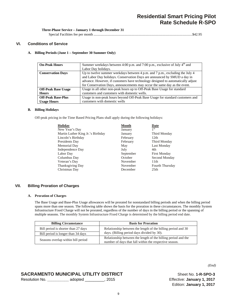Special Facilities fee per month ................................................................................................................ \$42.95

# **VI. Conditions of Service**

## **A. Billing Periods (June 1 – September 30 Summer Only)**

| <b>On-Peak Hours</b>       | Summer weekdays between 4:00 p.m. and 7:00 p.m., exclusive of July $4th$ and    |
|----------------------------|---------------------------------------------------------------------------------|
|                            | Labor Day holidays.                                                             |
| <b>Conservation Days</b>   | Up to twelve summer weekdays between 4 p.m. and 7 p.m., excluding the July 4    |
|                            | and Labor Day holidays. Conservation Days are announced by SMUD a day in        |
|                            | advance. However, if customers have technology designed to automatically adjust |
|                            | for Conservation Days, announcements may occur the same day as the event.       |
| <b>Off-Peak Base Usage</b> | Usage in all other non-peak hours up to Off-Peak Base Usage for standard        |
| <b>Hours</b>               | customers and customers with domestic wells.                                    |
| <b>Off-Peak Base-Plus</b>  | Usage in non-peak hours beyond Off-Peak Base Usage for standard customers and   |
| <b>Usage Hours</b>         | customers with domestic wells                                                   |

### **B. Billing Holidays**

Off-peak pricing in the Time Based Pricing Plans shall apply during the following holidays:

| Holiday                           | <b>Month</b> | Date                |
|-----------------------------------|--------------|---------------------|
| New Year's Day                    | January      | 1 <sup>st</sup>     |
| Martin Luther King Jr.'s Birthday | January      | Third Monday        |
| Lincoln's Birthday                | February     | 12th                |
| Presidents Day                    | February     | Third Monday        |
| Memorial Day                      | May          | Last Monday         |
| Independence Day                  | July         | 4th                 |
| Labor Day                         | September    | <b>First Monday</b> |
| Columbus Day                      | October      | Second Monday       |
| Veteran's Day                     | November     | 11th                |
| Thanksgiving Day                  | November     | Fourth Thursday     |
| Christmas Day                     | December     | 25 <sub>th</sub>    |

# **VII. Billing Proration of Charges**

#### **A. Proration of Charges**

The Base Usage and Base-Plus Usage allowances will be prorated for nonstandard billing periods and when the billing period spans more than one season. The following table shows the basis for the proration in these circumstances. The monthly System Infrastructure Fixed Charge will not be prorated, regardless of the number of days in the billing period or the spanning of multiple seasons. The monthly System Infrastructure Fixed Charge is determined by the billing period end date.

| <b>Billing Circumstance</b>         | <b>Basis for Proration</b>                                                                                              |
|-------------------------------------|-------------------------------------------------------------------------------------------------------------------------|
| Bill period is shorter than 27 days | Relationship between the length of the billing period and 30                                                            |
| Bill period is longer than 34 days  | days. (Billing period days divided by 30).                                                                              |
| Seasons overlap within bill period  | Relationship between the length of the billing period and the<br>number of days that fall within the respective season. |

# **SACRAMENTO MUNICIPAL UTILITY DISTRICT** Sheet No. 1-R-SPO-3

| Resolution No. | adopted | . 2015 |
|----------------|---------|--------|
|                |         |        |

Effective: January 1, 2017 Edition: **January 1, 2017**

*(End)*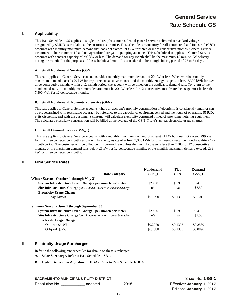# **General Service Rate Schedule GS**

# **I. Applicability**

This Rate Schedule 1-GS applies to single- or three-phase nonresidential general service delivered at standard voltages designated by SMUD as available at the customer's premise. This schedule is mandatory for all commercial and industrial (C&I) accounts with monthly maximum demand that does not exceed 299 kW for three or more consecutive months. General Service customers include commercial and nonagricultural irrigation pumping accounts. This schedule also applies to General Service accounts with contract capacity of 299 kW or less. The demand for any month shall be the maximum 15-minute kW delivery during the month. For the purposes of this schedule a "month" is considered to be a single billing period of 27 to 34 days.

# **A. Small Nondemand Service (GSN\_T)**

This rate applies to General Service accounts with a monthly maximum demand of 20 kW or less. Whenever the monthly maximum demand exceeds 20 kW for *any* three consecutive months and the monthly energy usage is at least 7,300 kWh for *any*  three consecutive months within a 12-month period, the account will be billed on the applicable demand rate. To return to the nondemand rate, the monthly maximum demand must be 20 kW or less for 12-consecutive months **or** the usage must be less than 7,300 kWh for 12 consecutive months.

#### **B. Small Nondemand, Nonmetered Service (GFN)**

This rate applies to General Service accounts where an account's monthly consumption of electricity is consistently small or can be predetermined with reasonable accuracy by reference to the capacity of equipment served and the hours of operation, SMUD, at its discretion, and with the customer's consent, will calculate electricity consumed in lieu of providing metering equipment. The calculated electricity consumption will be billed at the average of the GSN\_T rate's annual electricity usage charges.

# **C. Small Demand Service (GSS\_T)**

This rate applies to General Service accounts with a monthly maximum demand of at least 21 kW but does not exceed 299 kW for *any* three consecutive months **and** monthly energy usage of at least 7,300 kWh for *any* three consecutive months within a 12 month period. The customer will be billed on this demand rate unless the monthly usage is less than 7,300 for 12 consecutive months; or the maximum demand falls below 21 kW for 12 consecutive months; or the monthly maximum demand exceeds 299 kW for three consecutive months.

# **II. Firm Service Rates**

|                                                                               | <b>Nondemand</b> | Flat       | Demand   |
|-------------------------------------------------------------------------------|------------------|------------|----------|
| <b>Rate Category</b>                                                          | GSN T            | <b>GFN</b> | GSS T    |
| Winter Season - October 1 through May 31                                      |                  |            |          |
| System Infrastructure Fixed Charge - per month per meter                      | \$20.00          | \$8.90     | \$24.30  |
| <b>Site Infrastructure Charge</b> (per 12 months max kW or contract capacity) | n/a              | n/a        | \$7.50   |
| <b>Electricity Usage Charge</b>                                               |                  |            |          |
| All day \$/kWh                                                                | \$0.1290         | \$0.1303   | \$0.1011 |
| Summer Season - June 1 through September 30                                   |                  |            |          |
| System Infrastructure Fixed Charge - per month per meter                      | \$20.00          | \$8.90     | \$24.30  |
| <b>Site Infrastructure Charge</b> (per 12 months max kW or contract capacity) | n/a              | n/a        | \$7.50   |
| <b>Electricity Usage Charge</b>                                               |                  |            |          |
| On-peak \$/kWh                                                                | \$0.2979         | \$0.1303   | \$0.2580 |
| Off-peak \$/kWh                                                               | \$0.1088         | \$0.1303   | \$0.0896 |

# **III. Electricity Usage Surcharges**

Refer to the following rate schedules for details on these surcharges:

- **A. Solar Surcharge.** Refer to Rate Schedule 1-SB1.
- **B. Hydro Generation Adjustment (HGA).** Refer to Rate Schedule 1-HGA.

## **SACRAMENTO MUNICIPAL UTILITY DISTRICT SHEET NO SHEET NO. 1-GS-1**

Resolution No. **\_\_\_\_\_\_\_\_\_\_\_** adopted\_\_\_\_\_\_\_\_\_\_, 2015 Effective: **January 1, 2017**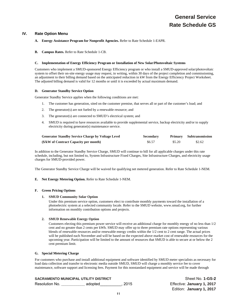# **IV. Rate Option Menu**

# **A. Energy Assistance Program for Nonprofit Agencies.** Refer to Rate Schedule 1-EAPR.

**B. Campus Rates.** Refer to Rate Schedule 1-CB.

### **C. Implementation of Energy Efficiency Program or Installation of New Solar/Photovoltaic Systems**

Customers who implement a SMUD-sponsored Energy Efficiency program or who install a SMUD-approved solar/photovoltaic system to offset their on-site energy usage may request, in writing, within 30 days of the project completion and commissioning, an adjustment to their billing demand based on the anticipated reduction in kW from the Energy Efficiency Project Worksheet. The adjusted billing demand is valid for 12 months or until it is exceeded by actual maximum demand.

# **D. Generator Standby Service Option**

Generator Standby Service applies when the following conditions are met:

- 1. The customer has generation, sited on the customer premise, that serves all or part of the customer's load; and
- 2. The generator(s) are not fueled by a renewable resource; and
- 3. The generator(s) are connected to SMUD's electrical system; and
- 4. SMUD is required to have resources available to provide supplemental service, backup electricity and/or to supply electricity during generator(s) maintenance service.

| <b>Generator Standby Service Charge by Voltage Level</b> | <b>Secondary</b> |        | <b>Primary</b> Subtransmission |
|----------------------------------------------------------|------------------|--------|--------------------------------|
| (\$/kW of Contract Capacity per month)                   | \$6.57           | \$5.20 | \$2.62                         |

In addition to the Generator Standby Service Charge, SMUD will continue to bill for all applicable charges under this rate schedule, including, but not limited to, System Infrastructure Fixed Charges, Site Infrastructure Charges, and electricity usage charges for SMUD-provided power.

The Generator Standby Service Charge will be waived for qualifying net metered generation. Refer to Rate Schedule 1-NEM.

# **E. Net Energy Metering Option.** Refer to Rate Schedule 1-NEM.

# **F. Green Pricing Options**

# **1. SMUD Community Solar Option**

Under this premium service option, customers elect to contribute monthly payments toward the installation of a photoelectric system at a selected community locale. Refer to the SMUD website, www.smud.org, for further information on monthly contribution options and projects.

# **2. SMUD Renewable Energy Option**

Customers electing this premium power service will receive an additional charge for monthly energy of no less than 1/2 cent and no greater than 2 cents per kWh. SMUD may offer up to three premium rate options representing various blends of renewable resources and/or renewable energy credits within the 1/2 cent to 2 cent range. The actual prices will be published each November and will be based on the expected above market cost of renewable resources for the upcoming year. Participation will be limited to the amount of resources that SMUD is able to secure at or below the 2 cent premium limit.

#### **G. Special Metering Charge**

For customers who purchase and install additional equipment and software identified by SMUD meter specialists as necessary for load data collection and transfer to electronic media outside SMUD, SMUD will charge a monthly service fee to cover maintenance, software support and licensing fees. Payment for this nonstandard equipment and service will be made through

|                | <b>SACRAMENTO MUNICIPAL UTILITY DISTRICT</b> |      | Sheet No. 1-GS-2           |
|----------------|----------------------------------------------|------|----------------------------|
| Resolution No. | adopted                                      | 2015 | Effective: January 1, 2017 |
|                |                                              |      | Edition: January 1, 2017   |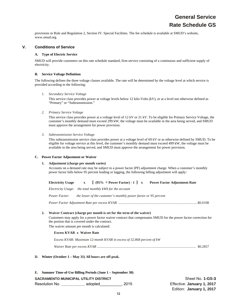provisions in Rule and Regulation 2, Section IV. Special Facilities. The fee schedule is available at SMUD's website, www.smud.org.

# **V. Conditions of Service**

# **A. Type of Electric Service**

SMUD will provide customers on this rate schedule standard, firm service consisting of a continuous and sufficient supply of electricity.

# **B. Service Voltage Definition**

The following defines the three voltage classes available. The rate will be determined by the voltage level at which service is provided according to the following:

*1. Secondary Service Voltage* 

This service class provides power at voltage levels below 12 kilo-Volts (kV), or at a level not otherwise defined as "Primary" or "Subtransmission."

*2. Primary Service Voltage* 

This service class provides power at a voltage level of 12 kV or 21 kV. To be eligible for Primary Service Voltage, the customer's monthly demand must exceed 299 kW, the voltage must be available in the area being served, and SMUD must approve the arrangement for power provision.

*3. Subtransmission Service Voltage* 

This subtransmission service class provides power at a voltage level of 69 kV or as otherwise defined by SMUD. To be eligible for voltage service at this level, the customer's monthly demand must exceed 499 kW, the voltage must be available in the area being served, and SMUD must approve the arrangement for power provision.

# **C. Power Factor Adjustment or Waiver**

# **1. Adjustment (charge per month varies)**

Accounts on a demand rate may be subject to a power factor (PF) adjustment charge. When a customer's monthly power factor falls below 95 percent leading or lagging, the following billing adjustment will apply:

| <b>Electricity Usage</b> |  | $[$ (95% $\div$ Power Factor) - 1 ] x | <b>Power Factor Adjustment Rate</b> |
|--------------------------|--|---------------------------------------|-------------------------------------|
|--------------------------|--|---------------------------------------|-------------------------------------|

*Electricity Usage*: *the total monthly kWh for the account* 

*Power Factor: the lesser of the customer's monthly power factor or 95 percent* 

*Power Factor Adjustment Rate per excess KVAR* .......................................................................................... \$0.0108

# **2. Waiver Contract (charge per month is set for the term of the waiver)**

Customers may apply for a power factor waiver contract that compensates SMUD for the power factor correction for the portion that is covered under the contract.

The waiver amount per month is calculated:

# **Excess KVAR x Waiver Rate**

*Excess KVAR: Maximum 12-month KVAR in excess of 32.868 percent of kW* 

*Waiver Rate per excess KVAR* ................................................................................................................ \$0.2857

**D. Winter (October 1 – May 31) All hours are off-peak.** 

|                | E. Summer Time-of-Use Billing Periods (June 1 – September 30) |      |                            |
|----------------|---------------------------------------------------------------|------|----------------------------|
|                | SACRAMENTO MUNICIPAL UTILITY DISTRICT                         |      | Sheet No. 1-GS-3           |
| Resolution No. | adopted                                                       | 2015 | Effective: January 1, 2017 |
|                |                                                               |      | Edition: January 1, 2017   |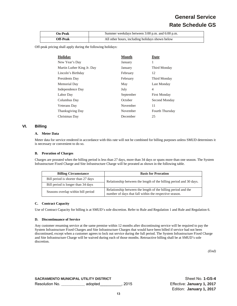# **General Service Rate Schedule GS**

| <b>On-Peak</b>  | Summer weekdays between 3:00 p.m. and 6:00 p.m. |
|-----------------|-------------------------------------------------|
| <b>Off-Peak</b> | All other hours, including holidays shown below |

Off-peak pricing shall apply during the following holidays:

| <b>Holiday</b>             | <b>Month</b> | Date                |
|----------------------------|--------------|---------------------|
| New Year's Day             | January      | 1                   |
| Martin Luther King Jr. Day | January      | Third Monday        |
| Lincoln's Birthday         | February     | 12                  |
| Presidents Day             | February     | Third Monday        |
| Memorial Day               | May          | Last Monday         |
| Independence Day           | July         | 4                   |
| Labor Day                  | September    | <b>First Monday</b> |
| Columbus Day               | October      | Second Monday       |
| Veterans Day               | November     | 11                  |
| <b>Thanksgiving Day</b>    | November     | Fourth Thursday     |
| Christmas Day              | December     | 25                  |

# **VI. Billing**

# **A. Meter Data**

Meter data for service rendered in accordance with this rate will not be combined for billing purposes unless SMUD determines it is necessary or convenient to do so.

#### **B. Proration of Charges**

Charges are prorated when the billing period is less than 27 days, more than 34 days or spans more than one season. The System Infrastructure Fixed Charge and Site Infrastructure Charge will be prorated as shown in the following table.

| <b>Billing Circumstance</b>         | <b>Basis for Proration</b>                                                                                              |  |
|-------------------------------------|-------------------------------------------------------------------------------------------------------------------------|--|
| Bill period is shorter than 27 days | Relationship between the length of the billing period and 30 days.                                                      |  |
| Bill period is longer than 34 days  |                                                                                                                         |  |
| Seasons overlap within bill period  | Relationship between the length of the billing period and the<br>number of days that fall within the respective season. |  |

# **C. Contract Capacity**

Use of Contract Capacity for billing is at SMUD's sole discretion. Refer to Rule and Regulation 1 and Rule and Regulation 6.

#### **D. Discontinuance of Service**

Any customer resuming service at the same premise within 12 months after discontinuing service will be required to pay the System Infrastructure Fixed Charges and Site Infrastructure Charges that would have been billed if service had not been discontinued, except when a customer agrees to lock out service during the full period. The System Infrastructure Fixed Charge and Site Infrastructure Charge will be waived during each of those months. Retroactive billing shall be at SMUD's sole discretion.

*(End)* 

**SACRAMENTO MUNICIPAL UTILITY DISTRICT SHEET NO SHEET NO 1-GS-4** Resolution No. **\_\_\_\_\_\_\_\_\_\_\_** adopted\_\_\_\_\_\_\_\_\_\_, 2015 Effective: **January 1, 2017**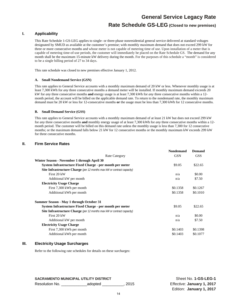# **Rate Schedule GS-LEG (Closed to new premises)**

# **I. Applicability**

This Rate Schedule 1-GS-LEG applies to single- or three-phase nonresidential general service delivered at standard voltages designated by SMUD as available at the customer's premise; with monthly maximum demand that does not exceed 299 kW for three or more consecutive months and whose meter is not capable of metering time of use. Upon installation of a meter that is capable of metering time-of-use periods, the customer will immediately be placed on the Rate Schedule GS. The demand for any month shall be the maximum 15-minute kW delivery during the month. For the purposes of this schedule a "month" is considered to be a single billing period of 27 to 34 days.

This rate schedule was closed to new premises effective January 1, 2012.

### **A. Small Nondemand Service (GSN)**

This rate applies to General Service accounts with a monthly maximum demand of 20 kW or less. Whenever monthly usage is at least 7,300 kWh for *any* three consecutive months a demand meter will be installed. If monthly maximum demand exceeds 20 kW for *any* three consecutive months **and** energy usage is at least 7,300 kWh for *any* three consecutive months within a 12 month period, the account will be billed on the applicable demand rate. To return to the nondemand rate, the monthly maximum demand must be 20 kW or less for 12-consecutive months **or** the usage must be less than 7,300 kWh for 12 consecutive months.

# **B. Small Demand Service (GSS)**

This rate applies to General Service accounts with a monthly maximum demand of at least 21 kW but does not exceed 299 kW for *any* three consecutive months **and** monthly energy usage of at least 7,300 kWh for *any* three consecutive months within a 12 month period. The customer will be billed on this demand rate unless the monthly usage is less than 7,300 for 12 consecutive months; or the maximum demand falls below 21 kW for 12 consecutive months or the monthly maximum kW exceeds 299 kW for three consecutive months.

# **II. Firm Service Rates**

| <b>Rate Category</b>                                                          | <b>Nondemand</b><br><b>GSN</b> | <b>Demand</b><br><b>GSS</b> |
|-------------------------------------------------------------------------------|--------------------------------|-----------------------------|
| Winter Season - November 1 through April 30                                   |                                |                             |
| System Infrastructure Fixed Charge - per month per meter                      | \$9.05                         | \$22.65                     |
| <b>Site Infrastructure Charge</b> (per 12 months max kW or contract capacity) |                                |                             |
| First 20 kW                                                                   | n/a                            | \$0.00                      |
| Additional kW per month                                                       | n/a                            | \$7.50                      |
| <b>Electricity Usage Charge</b>                                               |                                |                             |
| First 7,300 kWh per month                                                     | \$0.1358                       | \$0.1267                    |
| Additional kWh per month                                                      | \$0.1358                       | \$0.1010                    |
| Summer Season - May 1 through October 31                                      |                                |                             |
| System Infrastructure Fixed Charge - per month per meter                      | \$9.05                         | \$22.65                     |
| <b>Site Infrastructure Charge</b> (per 12 months max kW or contract capacity) |                                |                             |
| First 20 kW                                                                   | n/a                            | \$0.00                      |
| Additional kW per month                                                       | n/a                            | \$7.50                      |
| <b>Electricity Usage Charge</b>                                               |                                |                             |
| First 7,300 kWh per month                                                     | \$0.1403                       | \$0.1398                    |
| Additional kWh per month                                                      | \$0.1403                       | \$0.1077                    |
|                                                                               |                                |                             |

# **III. Electricity Usage Surcharges**

Refer to the following rate schedules for details on these surcharges:

**SACRAMENTO MUNICIPAL UTILITY DISTRICT SHEET NO SHEET ALSO SHEET NO SHEET ALSO SHEET ALSO SHEET ALSO SHEET ALSO SHEET ALSO SHEET ALSO SHEET ALSO SHEET ALSO SHEET ALSO SHEET ALSO SHEET ALSO SHEET ALSO SHEET ALSO SHEET ALSO** 

Resolution No. \_\_\_\_\_\_\_\_\_\_\_\_adopted \_\_\_\_\_\_\_\_\_\_, 2015 Effective: **January 1, 2017**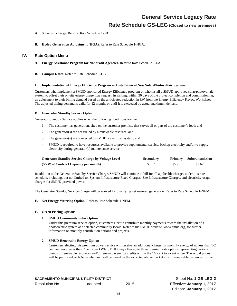# **Rate Schedule GS-LEG (Closed to new premises)**

- **A. Solar Surcharge.** Refer to Rate Schedule 1-SB1.
- **B. Hydro Generation Adjustment (HGA).** Refer to Rate Schedule 1-HGA.

# **IV. Rate Option Menu**

- **A. Energy Assistance Program for Nonprofit Agencies.** Refer to Rate Schedule 1-EAPR.
- **B. Campus Rates.** Refer to Rate Schedule 1-CB.

#### **C. Implementation of Energy Efficiency Program or Installation of New Solar/Photovoltaic Systems**

Customers who implement a SMUD-sponsored Energy Efficiency program or who install a SMUD-approved solar/photovoltaic system to offset their on-site energy usage may request, in writing, within 30 days of the project completion and commissioning, an adjustment to their billing demand based on the anticipated reduction in kW from the Energy Efficiency Project Worksheet. The adjusted billing demand is valid for 12 months or until it is exceeded by actual maximum demand.

# **D. Generator Standby Service Option**

Generator Standby Service applies when the following conditions are met:

- 1. The customer has generation, sited on the customer premise, that serves all or part of the customer's load; and
- 2. The generator(s) are not fueled by a renewable resource; and
- 3. The generator(s) are connected to SMUD's electrical system; and
- 4. SMUD is required to have resources available to provide supplemental service, backup electricity and/or to supply electricity during generator(s) maintenance service.

| <b>Generator Standby Service Charge by Voltage Level</b> | <b>Secondary</b> |        | Primary Subtransmission |
|----------------------------------------------------------|------------------|--------|-------------------------|
| (\$/kW of Contract Capacity per month)                   | \$6.57           | \$5.20 | \$2.62                  |

In addition to the Generator Standby Service Charge, SMUD will continue to bill for all applicable charges under this rate schedule, including, but not limited to, System Infrastructure Fixed Charges, Site Infrastructure Charges, and electricity usage charges for SMUD-provided power.

The Generator Standby Service Charge will be waived for qualifying net metered generation. Refer to Rate Schedule 1-NEM.

# **E. Net Energy Metering Option.** Refer to Rate Schedule 1-NEM.

### **F. Green Pricing Options**

# **1. SMUD Community Solar Option**

Under this premium service option, customers elect to contribute monthly payments toward the installation of a photoelectric system at a selected community locale. Refer to the SMUD website, www.smud.org, for further information on monthly contribution options and projects.

# **2. SMUD Renewable Energy Option**

Customers electing this premium power service will receive an additional charge for monthly energy of no less than 1/2 cent and no greater than 2 cents per kWh. SMUD may offer up to three premium rate options representing various blends of renewable resources and/or renewable energy credits within the 1/2 cent to 2 cent range. The actual prices will be published each November and will be based on the expected above market cost of renewable resources for the

**SACRAMENTO MUNICIPAL UTILITY DISTRICT SHEET SHEET SHEET SHEET SHEET SHEET SHEET ALSO SHEET ALSO SHEET ALSO SHEET ALSO SHEET ALSO SHEET ALSO SHEET ALSO SHEET ALSO SHEET ALSO SHEET ALSO SHEET ALSO SHEET ALSO SHEET ALSO SHEE** 

Resolution No. \_\_\_\_\_\_\_\_\_\_\_\_adopted \_\_\_\_\_\_\_\_\_\_, 2015 Effective: **January 1, 2017**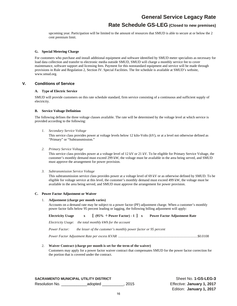# **Rate Schedule GS-LEG (Closed to new premises)**

upcoming year. Participation will be limited to the amount of resources that SMUD is able to secure at or below the 2 cent premium limit.

# **G. Special Metering Charge**

For customers who purchase and install additional equipment and software identified by SMUD meter specialists as necessary for load data collection and transfer to electronic media outside SMUD, SMUD will charge a monthly service fee to cover maintenance, software support and licensing fees. Payment for this nonstandard equipment and service will be made through provisions in Rule and Regulation 2, Section IV. Special Facilities. The fee schedule is available at SMUD's website, www.smud.org.

# **V. Conditions of Service**

# **A. Type of Electric Service**

SMUD will provide customers on this rate schedule standard, firm service consisting of a continuous and sufficient supply of electricity.

# **B. Service Voltage Definition**

The following defines the three voltage classes available. The rate will be determined by the voltage level at which service is provided according to the following:

*1. Secondary Service Voltage* 

This service class provides power at voltage levels below 12 kilo-Volts (kV), or at a level not otherwise defined as "Primary" or "Subtransmission."

*2. Primary Service Voltage* 

This service class provides power at a voltage level of 12 kV or 21 kV. To be eligible for Primary Service Voltage, the customer's monthly demand must exceed 299 kW, the voltage must be available in the area being served, and SMUD must approve the arrangement for power provision.

*3. Subtransmission Service Voltage* 

This subtransmission service class provides power at a voltage level of 69 kV or as otherwise defined by SMUD. To be eligible for voltage service at this level, the customer's monthly demand must exceed 499 kW, the voltage must be available in the area being served, and SMUD must approve the arrangement for power provision.

#### **C. Power Factor Adjustment or Waiver**

### 1. **Adjustment (charge per month varies)**

Accounts on a demand rate may be subject to a power factor (PF) adjustment charge. When a customer's monthly power factor falls below 95 percent leading or lagging, the following billing adjustment will apply:

**Electricity Usage x [ (95% ÷ Power Factor) - 1 ] x Power Factor Adjustment Rate** 

*Electricity Usage*: *the total monthly kWh for the account* 

*Power Factor: the lesser of the customer's monthly power factor or 95 percent* 

*Power Factor Adjustment Rate per excess KVAR* .......................................................................................... \$0.0108

#### 2. **Waiver Contract (charge per month is set for the term of the waiver)**

Customers may apply for a power factor waiver contract that compensates SMUD for the power factor correction for the portion that is covered under the contract.

**SACRAMENTO MUNICIPAL UTILITY DISTRICT SHOW SHOW SHEEG-3** Sheet No. 1-GS-LEG-3 Resolution No. \_\_\_\_\_\_\_\_\_\_\_\_adopted \_\_\_\_\_\_\_\_\_\_, 2015 Effective: **January 1, 2017**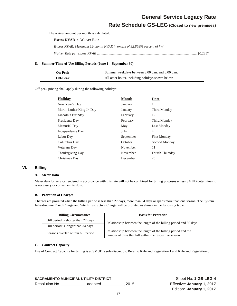**Rate Schedule GS-LEG (Closed to new premises)**

The waiver amount per month is calculated:

**Excess KVAR x Waiver Rate** 

*Excess KVAR: Maximum 12-month KVAR in excess of 32.868% percent of kW* 

*Waiver Rate per excess KVAR* .................................................................................................................. \$0.2857

# **D. Summer Time-of-Use Billing Periods (June 1 – September 30)**

| On-Peak         | Summer weekdays between 3:00 p.m. and 6:00 p.m. |
|-----------------|-------------------------------------------------|
| <b>Off-Peak</b> | All other hours, including holidays shown below |

Off-peak pricing shall apply during the following holidays:

| <b>Holiday</b>             | <b>Month</b> | Date                |
|----------------------------|--------------|---------------------|
| New Year's Day             | January      |                     |
| Martin Luther King Jr. Day | January      | Third Monday        |
| Lincoln's Birthday         | February     | 12                  |
| Presidents Day             | February     | Third Monday        |
| Memorial Day               | May          | Last Monday         |
| Independence Day           | July         | 4                   |
| Labor Day                  | September    | <b>First Monday</b> |
| Columbus Day               | October      | Second Monday       |
| <b>Veterans</b> Day        | November     | 11                  |
| <b>Thanksgiving Day</b>    | November     | Fourth Thursday     |
| Christmas Day              | December     | 25                  |

# **VI. Billing**

# **A. Meter Data**

Meter data for service rendered in accordance with this rate will not be combined for billing purposes unless SMUD determines it is necessary or convenient to do so.

# **B. Proration of Charges**

Charges are prorated when the billing period is less than 27 days, more than 34 days or spans more than one season. The System Infrastructure Fixed Charge and Site Infrastructure Charge will be prorated as shown in the following table.

| <b>Billing Circumstance</b>         | <b>Basis for Proration</b>                                                                                              |
|-------------------------------------|-------------------------------------------------------------------------------------------------------------------------|
| Bill period is shorter than 27 days | Relationship between the length of the billing period and 30 days.                                                      |
| Bill period is longer than 34 days  |                                                                                                                         |
| Seasons overlap within bill period  | Relationship between the length of the billing period and the<br>number of days that fall within the respective season. |

# **C. Contract Capacity**

Use of Contract Capacity for billing is at SMUD's sole discretion. Refer to Rule and Regulation 1 and Rule and Regulation 6.

**SACRAMENTO MUNICIPAL UTILITY DISTRICT SHEET ASSESSED ASSESSED ASSESSED AT A SHEET ASSESSED ASSESSED ASSESS** Resolution No. \_\_\_\_\_\_\_\_\_\_\_\_adopted \_\_\_\_\_\_\_\_\_\_, 2015 Effective: **January 1, 2017**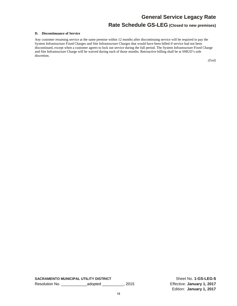# **Rate Schedule GS-LEG (Closed to new premises)**

### **D. Discontinuance of Service**

Any customer resuming service at the same premise within 12 months after discontinuing service will be required to pay the System Infrastructure Fixed Charges and Site Infrastructure Charges that would have been billed if service had not been discontinued, except when a customer agrees to lock out service during the full period. The System Infrastructure Fixed Charge and Site Infrastructure Charge will be waived during each of those months. Retroactive billing shall be at SMUD's sole discretion.

*(End)*

**SACRAMENTO MUNICIPAL UTILITY DISTRICT** Sheet No. **1-GS-LEG-5** Resolution No. \_\_\_\_\_\_\_\_\_\_\_\_adopted \_\_\_\_\_\_\_\_\_\_, 2015 Effective: **January 1, 2017**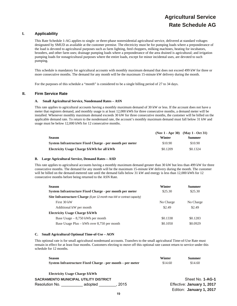# **Agricultural Service Rate Schedule AG**

# **I. Applicability**

This Rate Schedule 1-AG applies to single- or three-phase nonresidential agricultural service, delivered at standard voltages designated by SMUD as available at the customer premise. The electricity must be for pumping loads where a preponderance of the load is devoted to agricultural purposes such as farm lighting, feed choppers, milking machines, heating for incubators, brooders, and other farm uses; drainage pumping loads where a preponderance of the area drained is agricultural; and irrigation pumping loads for nonagricultural purposes where the entire loads, except for minor incidental uses, are devoted to such pumping.

This schedule is mandatory for agricultural accounts with monthly maximum demand that does not exceed 499 kW for three or more consecutive months. The demand for any month will be the maximum 15-minute kW delivery during the month.

For the purposes of this schedule a "month" is considered to be a single billing period of 27 to 34 days.

# **II. Firm Service Rate**

#### **A. Small Agricultural Service, Nondemand Rates – ASN**

This rate applies to agricultural accounts having a monthly maximum demand of 30 kW or less. If the account does not have a meter that registers demand, and monthly usage is at least 12,000 kWh for three consecutive months, a demand meter will be installed. Whenever monthly maximum demand exceeds 30 kW for three consecutive months, the customer will be billed on the applicable demand rate. To return to the nondemand rate, the account's monthly maximum demand must fall below 31 kW and usage must be below 12,000 kWh for 12 consecutive months.

|                                                          |          | $(Nov 1 - Apr 30)$ $(Mav 1 - Oct 31)$ |
|----------------------------------------------------------|----------|---------------------------------------|
| <b>Season</b>                                            | Winter   | <b>Summer</b>                         |
| System Infrastructure Fixed Charge - per month per meter | \$10.90  | \$10.90                               |
| Electricity Usage Charge \$/kWh for all kWh              | \$0.1209 | \$0.1324                              |

#### **B. Large Agricultural Service, Demand Rates – ASD**

This rate applies to agricultural accounts having a monthly maximum demand greater than 30 kW but less than 499 kW for three consecutive months. The demand for any month will be the maximum 15-minute kW delivery during the month. The customer will be billed on the demand-metered rate until the demand falls below 31 kW and energy is less than 12,000 kWh for 12 consecutive months before being returned to the ASN Rate.

| <b>Season</b>                                                                   | Winter    | Summer    |  |
|---------------------------------------------------------------------------------|-----------|-----------|--|
| System Infrastructure Fixed Charge - per month per meter                        | \$25.30   | \$25.30   |  |
| <b>Site Infrastructure Charge</b> (\$ per 12-month max kW or contract capacity) |           |           |  |
| First 30 kW                                                                     | No Charge | No Charge |  |
| Additional kW per month                                                         | \$2.49    | \$2.49    |  |
| <b>Electricity Usage Charge \$/kWh</b>                                          |           |           |  |
| Base Usage $-8,750$ kWh per month                                               | \$0.1338  | \$0.1283  |  |
| Base Usage Plus – kWh over 8,750 per month                                      | \$0.1050  | \$0.0929  |  |

#### **C. Small Agricultural Optional Time-of-Use – AON**

This optional rate is for small agricultural nondemand accounts. Transfers to the small agricultural Time-of-Use Rate must remain in effect for at least four months. Customers electing to move off this optional rate cannot return to service under this schedule for 12 months.

| <b>Season</b>                         |                                                            |      | Winter  | <b>Summer</b>              |  |
|---------------------------------------|------------------------------------------------------------|------|---------|----------------------------|--|
|                                       | System Infrastructure Fixed Charge - per month – per meter |      | \$14.60 | \$14.60                    |  |
|                                       | <b>Electricity Usage Charge \$/kWh</b>                     |      |         |                            |  |
| SACRAMENTO MUNICIPAL UTILITY DISTRICT |                                                            |      |         | Sheet No. 1-AG-1           |  |
| Resolution No.                        | adopted                                                    | 2015 |         | Effective: January 1, 2017 |  |
|                                       |                                                            |      |         | Edition: January 1, 2017   |  |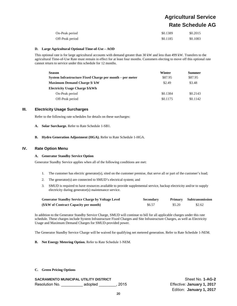# **Agricultural Service Rate Schedule AG**

| On-Peak period  | \$0.1389 | \$0.2015 |
|-----------------|----------|----------|
| Off-Peak period | \$0.1185 | \$0.1083 |

### **D. Large Agricultural Optional Time-of-Use – AOD**

This optional rate is for large agricultural accounts with demand greater than 30 kW and less than 499 kW. Transfers to the agricultural Time-of-Use Rate must remain in effect for at least four months. Customers electing to move off this optional rate cannot return to service under this schedule for 12 months.

| <b>Season</b>                                            | Winter   | <b>Summer</b> |
|----------------------------------------------------------|----------|---------------|
| System Infrastructure Fixed Charge per month – per meter | \$87.95  | \$87.95       |
| <b>Maximum Demand Charge \$/ kW</b>                      | \$2.49   | \$3.48        |
| <b>Electricity Usage Charge \$/kWh</b>                   |          |               |
| On-Peak period                                           | \$0.1384 | \$0.2143      |
| Off-Peak period                                          | \$0.1175 | \$0.1142      |

# **III. Electricity Usage Surcharges**

Refer to the following rate schedules for details on these surcharges:

- **A. Solar Surcharge.** Refer to Rate Schedule 1-SB1.
- **B. Hydro Generation Adjustment (HGA).** Refer to Rate Schedule 1-HGA.

# **IV. Rate Option Menu**

#### **A. Generator Standby Service Option**

Generator Standby Service applies when all of the following conditions are met:

- 1. The customer has electric generator(s), sited on the customer premise, that serve all or part of the customer's load;
- 2. The generator(s) are connected to SMUD's electrical system; and
- 3. SMUD is required to have resources available to provide supplemental service, backup electricity and/or to supply electricity during generator(s) maintenance service.

| <b>Generator Standby Service Charge by Voltage Level</b> | <b>Secondary</b> |        | <b>Primary</b> Subtransmission |
|----------------------------------------------------------|------------------|--------|--------------------------------|
| (\$/kW of Contract Capacity per month)                   | \$6.57           | \$5.20 | \$2.62                         |

In addition to the Generator Standby Service Charge, SMUD will continue to bill for all applicable charges under this rate schedule. These charges include System Infrastructure Fixed Charges and Site Infrastructure Charges, as well as Electricity Usage and Maximum Demand Charges for SMUD-provided power.

The Generator Standby Service Charge will be waived for qualifying net metered generation. Refer to Rate Schedule 1-NEM.

**B. Net Energy Metering Option.** Refer to Rate Schedule 1-NEM.

# **C. Green Pricing Options**

**SACRAMENTO MUNICIPAL UTILITY DISTRICT SHEET NO SHEET NO. 1-AG-2** Resolution No. \_\_\_\_\_\_\_\_\_\_ adopted \_\_\_\_\_\_\_\_, 2015 Effective: **January 1, 2017**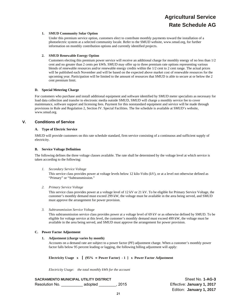# **1. SMUD Community Solar Option**

Under this premium service option, customers elect to contribute monthly payments toward the installation of a photoelectric system at a selected community locale. Refer to the SMUD website, www.smud.org, for further information on monthly contribution options and currently identified projects.

# **2. SMUD Renewable Energy Option**

Customers electing this premium power service will receive an additional charge for monthly energy of no less than 1/2 cent and no greater than 2 cents per kWh. SMUD may offer up to three premium rate options representing various blends of renewable resources and/or renewable energy credits within the 1/2 cent to 2 cent range. The actual prices will be published each November and will be based on the expected above market cost of renewable resources for the upcoming year. Participation will be limited to the amount of resources that SMUD is able to secure at or below the 2 cent premium limit.

# **D. Special Metering Charge**

For customers who purchase and install additional equipment and software identified by SMUD meter specialists as necessary for load data collection and transfer to electronic media outside SMUD, SMUD will charge a monthly service fee to cover maintenance, software support and licensing fees. Payment for this nonstandard equipment and service will be made through provisions in Rule and Regulation 2, Section IV. Special Facilities. The fee schedule is available at SMUD's website, www.smud.org.

# **V. Conditions of Service**

# **A. Type of Electric Service**

SMUD will provide customers on this rate schedule standard, firm service consisting of a continuous and sufficient supply of electricity.

# **B. Service Voltage Definition**

The following defines the three voltage classes available. The rate shall be determined by the voltage level at which service is taken according to the following:

*1. Secondary Service Voltage* 

This service class provides power at voltage levels below 12 kilo-Volts (kV), or at a level not otherwise defined as "Primary" or "Subtransmission."

*2. Primary Service Voltage* 

This service class provides power at a voltage level of 12 kV or 21 kV. To be eligible for Primary Service Voltage, the customer's monthly demand must exceed 299 kW, the voltage must be available in the area being served, and SMUD must approve the arrangement for power provision.

*3. Subtransmission Service Voltage* 

This subtransmission service class provides power at a voltage level of 69 kV or as otherwise defined by SMUD. To be eligible for voltage service at this level, the customer's monthly demand must exceed 499 kW, the voltage must be available in the area being served, and SMUD must approve the arrangement for power provision.

# **C. Power Factor Adjustment**

# **1. Adjustment (charge varies by month)**

Accounts on a demand rate are subject to a power factor (PF) adjustment charge. When a customer's monthly power factor falls below 95 percent leading or lagging, the following billing adjustment will apply:

**Electricity Usage x [ (95% Power Factor) - 1 ] x Power Factor Adjustment** 

*Electricity Usage*: *the total monthly kWh for the account*

**SACRAMENTO MUNICIPAL UTILITY DISTRICT SHOT CONSUMING SHEET NO. 1-AG-3** Resolution No. \_\_\_\_\_\_\_\_\_\_ adopted \_\_\_\_\_\_\_\_, 2015 Effective: **January 1, 2017**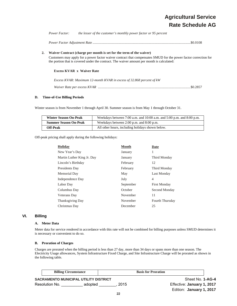# **Agricultural Service Rate Schedule AG**

| Power Factor: | the lesser of the customer's monthly power factor or 95 percent |
|---------------|-----------------------------------------------------------------|
|               |                                                                 |

*Power Factor Adjustment Rate* ............................................................................................................... \$0.0108

# **2. Waiver Contract (charge per month is set for the term of the waiver)**

Customers may apply for a power factor waiver contract that compensates SMUD for the power factor correction for the portion that is covered under the contract. The waiver amount per month is calculated:

# **Excess KVAR x Waiver Rate**

| Excess KVAR: Maximum 12-month KVAR in excess of 32.868 percent of kW |
|----------------------------------------------------------------------|
|                                                                      |

# **D. Time-of-Use Billing Periods**

Winter season is from November 1 through April 30. Summer season is from May 1 through October 31.

| <b>Winter Season On-Peak</b> | Weekdays between $7:00$ a.m. and $10:00$ a.m. and $5:00$ p.m. and $8:00$ p.m. |
|------------------------------|-------------------------------------------------------------------------------|
| <b>Summer Season On-Peak</b> | Weekdays between 2:00 p.m. and 8:00 p.m.                                      |
| Off-Peak                     | All other hours, including holidays shown below.                              |

Off-peak pricing shall apply during the following holidays:

| Holiday                    | <b>Month</b> | Date                |
|----------------------------|--------------|---------------------|
| New Year's Day             | January      | 1                   |
| Martin Luther King Jr. Day | January      | Third Monday        |
| Lincoln's Birthday         | February     | 12                  |
| Presidents Day             | February     | Third Monday        |
| Memorial Day               | May          | Last Monday         |
| Independence Day           | July         | 4                   |
| Labor Day                  | September    | <b>First Monday</b> |
| Columbus Day               | October      | Second Monday       |
| Veterans Day               | November     | 11                  |
| <b>Thanksgiving Day</b>    | November     | Fourth Thursday     |
| Christmas Day              | December     | 25                  |

# **VI. Billing**

# **A. Meter Data**

Meter data for service rendered in accordance with this rate will not be combined for billing purposes unless SMUD determines it is necessary or convenient to do so.

### **B. Proration of Charges**

Charges are prorated when the billing period is less than 27 day, more than 34 days or spans more than one season. The Electricity Usage allowances, System Infrastructure Fixed Charge, and Site Infrastructure Charge will be prorated as shown in the following table.

| <b>Billing Circumstance</b>           |         |        | <b>Basis for Proration</b> |
|---------------------------------------|---------|--------|----------------------------|
| SACRAMENTO MUNICIPAL UTILITY DISTRICT |         |        |                            |
| Resolution No.                        | adopted | . 2015 |                            |

Sheet No. **1-AG-4** Effective: January 1, 2017 Edition: **January 1, 2017**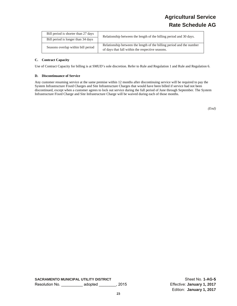# **Agricultural Service Rate Schedule AG**

| Bill period is shorter than 27 days | Relationship between the length of the billing period and 30 days.                                                       |  |
|-------------------------------------|--------------------------------------------------------------------------------------------------------------------------|--|
| Bill period is longer than 34 days  |                                                                                                                          |  |
| Seasons overlap within bill period  | Relationship between the length of the billing period and the number<br>of days that fall within the respective seasons. |  |

# **C. Contract Capacity**

Use of Contract Capacity for billing is at SMUD's sole discretion. Refer to Rule and Regulation 1 and Rule and Regulation 6.

# **D. Discontinuance of Service**

Any customer resuming service at the same premise within 12 months after discontinuing service will be required to pay the System Infrastructure Fixed Charges and Site Infrastructure Charges that would have been billed if service had not been discontinued, except when a customer agrees to lock out service during the full period of June through September. The System Infrastructure Fixed Charge and Site Infrastructure Charge will be waived during each of those months.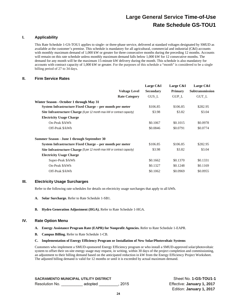# **I. Applicability**

This Rate Schedule 1-GS-TOU1 applies to single- or three-phase service, delivered at standard voltages designated by SMUD as available at the customer's premise. This schedule is mandatory for all agricultural, commercial and industrial (C&I) accounts with monthly maximum demand of 1,000 kW or greater for three consecutive months during the preceding 12 months. Accounts will remain on this rate schedule unless monthly maximum demand falls below 1,000 kW for 12 consecutive months. The demand for any month will be the maximum 15-minute kW delivery during the month. This schedule is also mandatory for accounts with contract capacity of 1,000 kW or greater. For the purposes of this schedule a "month" is considered to be a single billing period of 27 to 34 days.

# **II. Firm Service Rates**

|                                                                                 | Large C&I        | Large C&I      | Large C&I              |
|---------------------------------------------------------------------------------|------------------|----------------|------------------------|
| <b>Voltage Level</b>                                                            | <b>Secondary</b> | <b>Primary</b> | <b>Subtransmission</b> |
| <b>Rate Category</b>                                                            | GUS L            | <b>GUP L</b>   | GUT L                  |
| Winter Season - October 1 through May 31                                        |                  |                |                        |
| System Infrastructure Fixed Charge - per month per meter                        | \$106.85         | \$106.85       | \$282.95               |
| <b>Site Infrastructure Charge</b> (\$ per 12 month max kW or contract capacity) | \$3.98           | \$3.82         | \$3.04                 |
| <b>Electricity Usage Charge</b>                                                 |                  |                |                        |
| On-Peak \$/kWh                                                                  | \$0.1067         | \$0.1015       | \$0.0978               |
| Off-Peak \$/kWh                                                                 | \$0.0846         | \$0.0791       | \$0.0774               |
| Summer Season - June 1 through September 30                                     |                  |                |                        |
| System Infrastructure Fixed Charge – per month per meter                        | \$106.85         | \$106.85       | \$282.95               |
| <b>Site Infrastructure Charge</b> (\$ per 12 month max kW or contract capacity) | \$3.98           | \$3.82         | \$3.04                 |
| <b>Electricity Usage Charge</b>                                                 |                  |                |                        |
| Super-Peak \$/kWh                                                               | \$0.1662         | \$0.1370       | \$0.1331               |
| On-Peak \$/kWh                                                                  | \$0.1327         | \$0.1248       | \$0.1169               |
| Off-Peak \$/kWh                                                                 | \$0.1062         | \$0.0969       | \$0.0955               |

# **III. Electricity Usage Surcharges**

Refer to the following rate schedules for details on electricity usage surcharges that apply to all kWh.

- **A. Solar Surcharge.** Refer to Rate Schedule 1-SB1.
- **B. Hydro Generation Adjustment (HGA).** Refer to Rate Schedule 1-HGA.

# **IV. Rate Option Menu**

- **A. Energy Assistance Program Rate (EAPR) for Nonprofit Agencies.** Refer to Rate Schedule 1-EAPR.
- **B. Campus Billing.** Refer to Rate Schedule 1-CB.

# **C. Implementation of Energy Efficiency Program or Installation of New Solar/Photovoltaic Systems**

Customers who implement a SMUD-sponsored Energy Efficiency program or who install a SMUD-approved solar/photovoltaic system to offset their on-site energy usage may request, in writing, within 30 days of the project completion and commissioning, an adjustment to their billing demand based on the anticipated reduction in kW from the Energy Efficiency Project Worksheet. The adjusted billing demand is valid for 12 months or until it is exceeded by actual maximum demand.

**SACRAMENTO MUNICIPAL UTILITY DISTRICT** STATE SHEET SHEET NO. 1-GS-TOU1-1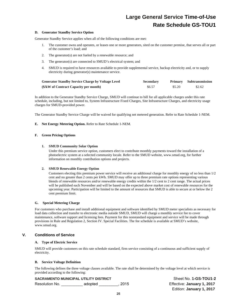#### **D. Generator Standby Service Option**

Generator Standby Service applies when all of the following conditions are met:

- 1. The customer owns and operates, or leases one or more generators, sited on the customer premise, that serves all or part of the customer's load; and
- 2. The generator(s) are not fueled by a renewable resource; and
- 3. The generator(s) are connected to SMUD's electrical system; and
- 4. SMUD is required to have resources available to provide supplemental service, backup electricity and, or to supply electricity during generator(s) maintenance service.

| <b>Generator Standby Service Charge by Voltage Level</b> | <b>Secondary</b> |        | Primary Subtransmission |
|----------------------------------------------------------|------------------|--------|-------------------------|
| (\$/kW of Contract Capacity per month)                   | \$6.57           | \$5.20 | \$2.62                  |

In addition to the Generator Standby Service Charge, SMUD will continue to bill for all applicable charges under this rate schedule, including, but not limited to, System Infrastructure Fixed Charges, Site Infrastructure Charges, and electricity usage charges for SMUD-provided power.

The Generator Standby Service Charge will be waived for qualifying net metered generation. Refer to Rate Schedule 1-NEM.

# **E. Net Energy Metering Option.** Refer to Rate Schedule 1-NEM.

# **F. Green Pricing Options**

# **1. SMUD Community Solar Option**

Under this premium service option, customers elect to contribute monthly payments toward the installation of a photoelectric system at a selected community locale. Refer to the SMUD website, www.smud.org, for further information on monthly contribution options and projects.

#### **2. SMUD Renewable Energy Option**

Customers electing this premium power service will receive an additional charge for monthly energy of no less than 1/2 cent and no greater than 2 cents per kWh. SMUD may offer up to three premium rate options representing various blends of renewable resources and/or renewable energy credits within the 1/2 cent to 2 cent range. The actual prices will be published each November and will be based on the expected above market cost of renewable resources for the upcoming year. Participation will be limited to the amount of resources that SMUD is able to secure at or below the 2 cent premium limit.

# **G. Special Metering Charge**

For customers who purchase and install additional equipment and software identified by SMUD meter specialists as necessary for load data collection and transfer to electronic media outside SMUD, SMUD will charge a monthly service fee to cover maintenance, software support and licensing fees. Payment for this nonstandard equipment and service will be made through provisions in Rule and Regulation 2, Section IV. Special Facilities. The fee schedule is available at SMUD's website, www.smud.org.

# **V. Conditions of Service**

# **A. Type of Electric Service**

SMUD will provide customers on this rate schedule standard, firm service consisting of a continuous and sufficient supply of electricity.

#### **B. Service Voltage Definition**

The following defines the three voltage classes available. The rate shall be determined by the voltage level at which service is provided according to the following:

# **SACRAMENTO MUNICIPAL UTILITY DISTRICT SHEET NO SHEET NO SHEET NO. 1-GS-TOU1-2**

Resolution No. \_\_\_\_\_\_\_\_\_\_ adopted \_\_\_\_\_\_\_\_\_, 2015 Effective: **January 1, 2017**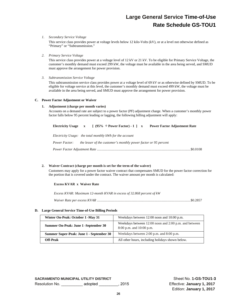# *1. Secondary Service Voltage*

This service class provides power at voltage levels below 12 kilo-Volts (kV), or at a level not otherwise defined as "Primary" or "Subtransmission."

# *2. Primary Service Voltage*

This service class provides power at a voltage level of 12 kV or 21 kV. To be eligible for Primary Service Voltage, the customer's monthly demand must exceed 299 kW, the voltage must be available in the area being served, and SMUD must approve the arrangement for power provision.

# *3. Subtransmission Service Voltage*

This subtransmission service class provides power at a voltage level of 69 kV or as otherwise defined by SMUD. To be eligible for voltage service at this level, the customer's monthly demand must exceed 499 kW, the voltage must be available in the area being served, and SMUD must approve the arrangement for power provision.

# **C. Power Factor Adjustment or Waiver**

# **1. Adjustment (charge per month varies)**

Accounts on a demand rate are subject to a power factor (PF) adjustment charge. When a customer's monthly power factor falls below 95 percent leading or lagging, the following billing adjustment will apply:

|                                                          |  |  | Electricity Usage $x \in (95\% \div Power Factor) - 1$   x Power Factor Adjustment Rate |
|----------------------------------------------------------|--|--|-----------------------------------------------------------------------------------------|
| Electricity Usage: the total monthly kWh for the account |  |  |                                                                                         |
| <i>Power Factor:</i>                                     |  |  | the lesser of the customer's monthly power factor or 95 percent                         |
|                                                          |  |  |                                                                                         |

# **2. Waiver Contract (charge per month is set for the term of the waiver)**

Customers may apply for a power factor waiver contract that compensates SMUD for the power factor correction for the portion that is covered under the contract. The waiver amount per month is calculated:

# **Excess KVAR x Waiver Rate**

*Excess KVAR: Maximum 12-month KVAR in excess of 32.868 percent of kW* 

*Waiver Rate per excess KVAR* .......................................................................................................... \$0.2857

# **D. Large General Service Time-of-Use Billing Periods**

| Winter On-Peak: October 1 -May 31        | Weekdays between 12:00 noon and 10:00 p.m.                                            |
|------------------------------------------|---------------------------------------------------------------------------------------|
| Summer On-Peak: June 1 -September 30     | Weekdays between 12:00 noon and 2:00 p.m. and between<br>$8:00$ p.m. and $10:00$ p.m. |
| Summer Super-Peak: June 1 - September 30 | Weekdays between 2:00 p.m. and 8:00 p.m.                                              |
| Off-Peak                                 | All other hours, including holidays shown below.                                      |

**SACRAMENTO MUNICIPAL UTILITY DISTRICT SHEET NO SHEET NO. 1-GS-TOU1-3** Resolution No. \_\_\_\_\_\_\_\_\_\_ adopted \_\_\_\_\_\_\_\_\_, 2015 Effective: **January 1, 2017**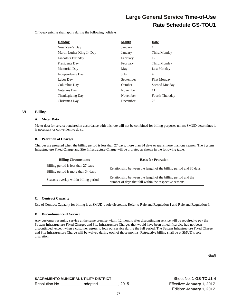Off-peak pricing shall apply during the following holidays:

| <b>Holiday</b>             | Month     | Date                   |
|----------------------------|-----------|------------------------|
| New Year's Day             | January   | 1                      |
| Martin Luther King Jr. Day | January   | Third Monday           |
| Lincoln's Birthday         | February  | 12                     |
| Presidents Day             | February  | Third Monday           |
| Memorial Day               | May       | Last Monday            |
| Independence Day           | July      | 4                      |
| Labor Day                  | September | <b>First Monday</b>    |
| Columbus Day               | October   | Second Monday          |
| Veterans Day               | November  | 11                     |
| <b>Thanksgiving Day</b>    | November  | <b>Fourth Thursday</b> |
| Christmas Day              | December  | 25                     |

# **VI. Billing**

# **A. Meter Data**

Meter data for service rendered in accordance with this rate will not be combined for billing purposes unless SMUD determines it is necessary or convenient to do so.

# **B. Proration of Charges**

Charges are prorated when the billing period is less than 27 days, more than 34 days or spans more than one season. The System Infrastructure Fixed Charge and Site Infrastructure Charge will be prorated as shown in the following table.

| <b>Billing Circumstance</b>           | <b>Basis for Proration</b>                                                                                               |
|---------------------------------------|--------------------------------------------------------------------------------------------------------------------------|
| Billing period is less than 27 days   | Relationship between the length of the billing period and 30 days.                                                       |
| Billing period is more than 34 days   |                                                                                                                          |
| Seasons overlap within billing period | Relationship between the length of the billing period and the<br>number of days that fall within the respective seasons. |

# **C. Contract Capacity**

Use of Contract Capacity for billing is at SMUD's sole discretion. Refer to Rule and Regulation 1 and Rule and Regulation 6.

# **D. Discontinuance of Service**

Any customer resuming service at the same premise within 12 months after discontinuing service will be required to pay the System Infrastructure Fixed Charges and Site Infrastructure Charges that would have been billed if service had not been discontinued, except when a customer agrees to lock out service during the full period. The System Infrastructure Fixed Charge and Site Infrastructure Charge will be waived during each of those months. Retroactive billing shall be at SMUD's sole discretion.

*(End)*

**SACRAMENTO MUNICIPAL UTILITY DISTRICT SHEET NO SHEET NO SHEET NO. 1-GS-TOU1-4** Resolution No. \_\_\_\_\_\_\_\_\_\_ adopted \_\_\_\_\_\_\_\_\_, 2015 Effective: **January 1, 2017**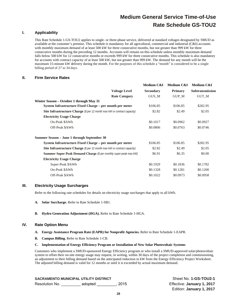# **I. Applicability**

This Rate Schedule 1-GS-TOU2 applies to single- or three-phase service, delivered at standard voltages designated by SMUD as available at the customer's premise. This schedule is mandatory for all agricultural, commercial and industrial (C&I) accounts with monthly maximum demand of at least 500 kW for three consecutive months, but not greater than 999 kW for three consecutive months during the preceding 12 months. Accounts will remain on this schedule unless monthly maximum demand falls below 500 kW for 12 consecutive months or exceeds 999 kW for three consecutive months. This schedule is also mandatory for accounts with contract capacity of at least 500 kW, but not greater than 999 kW. The demand for any month will be the maximum 15-minute kW delivery during the month. For the purposes of this schedule a "month" is considered to be a single billing period of 27 to 34 days.

# **II. Firm Service Rates**

|                                                                                 | Medium C&I       | Medium C&I     | Medium C&I      |
|---------------------------------------------------------------------------------|------------------|----------------|-----------------|
| <b>Voltage Level</b>                                                            | <b>Secondary</b> | <b>Primary</b> | Subtransmission |
| <b>Rate Category</b>                                                            | GUS_M            | GUP M          | GUT_M           |
|                                                                                 |                  |                |                 |
| System Infrastructure Fixed Charge – per month per meter                        | \$106.85         | \$106.85       | \$282.95        |
| Site Infrastructure Charge (\$ per 12 month max kW or contract capacity)        | \$2.82           | \$2.49         | \$2.05          |
|                                                                                 |                  |                |                 |
|                                                                                 | \$0.1017         | \$0.0962       | \$0.0927        |
|                                                                                 | \$0.0806         | \$0.0763       | \$0.0746        |
| Summer Season – June 1 through September 30                                     |                  |                |                 |
| System Infrastructure Fixed Charge – per month per meter                        | \$106.85         | \$106.85       | \$282.95        |
| <b>Site Infrastructure Charge</b> (\$ per 12 month max kW or contract capacity) | \$2.82           | \$2.49         | \$2.05          |
| <b>Summer Super Peak Demand Charge</b> (\$ per monthly super-peak max kW)       | \$6.91           | \$6.35         | \$0.00          |
|                                                                                 |                  |                |                 |
|                                                                                 | \$0.1929         | \$0.1836       | \$0.1782        |
|                                                                                 | \$0.1328         | \$0.1281       | \$0.1200        |
|                                                                                 | \$0.1022         | \$0.0973       | \$0.0958        |
|                                                                                 |                  |                |                 |

# **III. Electricity Usage Surcharges**

Refer to the following rate schedules for details on electricity usage surcharges that apply to all kWh.

- **A. Solar Surcharge.** Refer to Rate Schedule 1-SB1.
- **B. Hydro Generation Adjustment (HGA).** Refer to Rate Schedule 1-HGA.

# **IV. Rate Option Menu**

- **A. Energy Assistance Program Rate (EAPR) for Nonprofit Agencies.** Refer to Rate Schedule 1-EAPR.
- **B. Campus Billing.** Refer to Rate Schedule 1-CB.
- **C. Implementation of Energy Efficiency Program or Installation of New Solar Photovoltaic Systems**

Customers who implement a SMUD-sponsored Energy Efficiency program or who install a SMUD-approved solar/photovoltaic system to offset their on-site energy usage may request, in writing, within 30 days of the project completion and commissioning, an adjustment to their billing demand based on the anticipated reduction in kW from the Energy Efficiency Project Worksheet. The adjusted billing demand is valid for 12 months or until it is exceeded by actual maximum demand.

| <b>SACRAMENTO MUNICIPAL UTILITY DISTRICT</b> |         |        |
|----------------------------------------------|---------|--------|
| Resolution No.                               | adopted | . 2015 |

Sheet No. **1-GS-TOU2-1** Effective: January 1, 2017 Edition: **January 1, 2017**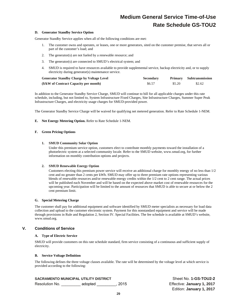#### **D. Generator Standby Service Option**

Generator Standby Service applies when all of the following conditions are met:

- 1. The customer owns and operates, or leases, one or more generators, sited on the customer premise, that serves all or part of the customer's load; and
- 2. The generator(s) are not fueled by a renewable resource; and
- 3. The generator(s) are connected to SMUD's electrical system; and
- 4. SMUD is required to have resources available to provide supplemental service, backup electricity and, or to supply electricity during generator(s) maintenance service.

| <b>Generator Standby Charge by Voltage Level</b> | <b>Secondary</b> |        | <b>Primary</b> Subtransmission |
|--------------------------------------------------|------------------|--------|--------------------------------|
| (\$/kW of Contract Capacity per month)           | \$6.57           | \$5.20 | \$2.62                         |

In addition to the Generator Standby Service Charge, SMUD will continue to bill for all applicable charges under this rate schedule, including, but not limited to, System Infrastructure Fixed Charges, Site Infrastructure Charges, Summer Super Peak Infrastructure Charges, and electricity usage charges for SMUD-provided power.

The Generator Standby Service Charge will be waived for qualifying net metered generation. Refer to Rate Schedule 1-NEM.

#### **E. Net Energy Metering Option.** Refer to Rate Schedule 1-NEM.

#### **F. Green Pricing Options**

#### **1. SMUD Community Solar Option**

Under this premium service option, customers elect to contribute monthly payments toward the installation of a photoelectric system at a selected community locale. Refer to the SMUD website, www.smud.org, for further information on monthly contribution options and projects.

#### **2. SMUD Renewable Energy Option**

Customers electing this premium power service will receive an additional charge for monthly energy of no less than 1/2 cent and no greater than 2 cents per kWh. SMUD may offer up to three premium rate options representing various blends of renewable resources and/or renewable energy credits within the 1/2 cent to 2 cent range. The actual prices will be published each November and will be based on the expected above market cost of renewable resources for the upcoming year. Participation will be limited to the amount of resources that SMUD is able to secure at or below the 2 cent premium limit.

#### **G. Special Metering Charge**

The customer shall pay for additional equipment and software identified by SMUD meter specialists as necessary for load data collection and upload to the customer electronic system. Payment for this nonstandard equipment and service will be made through provisions in Rule and Regulation 2, Section IV. Special Facilities. The fee schedule is available at SMUD's website, www.smud.org.

# **V. Conditions of Service**

#### **A. Type of Electric Service**

SMUD will provide customers on this rate schedule standard, firm service consisting of a continuous and sufficient supply of electricity.

#### **B. Service Voltage Definition**

The following defines the three voltage classes available. The rate will be determined by the voltage level at which service is provided according to the following:

# **SACRAMENTO MUNICIPAL UTILITY DISTRICT SHEET NO SHEET NO. 1-GS-TOU2-2**

Resolution No. \_\_\_\_\_\_\_\_\_ adopted \_\_\_\_\_\_\_\_\_, 2015 Effective: **January 1, 2017**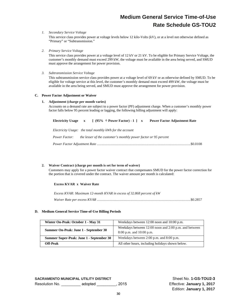# *1. Secondary Service Voltage*

This service class provides power at voltage levels below 12 kilo-Volts (kV), or at a level not otherwise defined as "Primary" or "Subtransmission."

*2. Primary Service Voltage* 

This service class provides power at a voltage level of 12 kV or 21 kV. To be eligible for Primary Service Voltage, the customer's monthly demand must exceed 299 kW, the voltage must be available in the area being served, and SMUD must approve the arrangement for power provision.

*3. Subtransmission Service Voltage* 

This subtransmission service class provides power at a voltage level of 69 kV or as otherwise defined by SMUD. To be eligible for voltage service at this level, the customer's monthly demand must exceed 499 kW, the voltage must be available in the area being served, and SMUD must approve the arrangement for power provision.

# **C. Power Factor Adjustment or Waiver**

# **1. Adjustment (charge per month varies)**

Accounts on a demand rate are subject to a power factor (PF) adjustment charge. When a customer's monthly power factor falls below 95 percent leading or lagging, the following billing adjustment will apply:

| Electricity Usage $x \in (95\% \div Power Factor) - 1$   x |  |  | <b>Power Factor Adjustment Rate</b>                             |  |
|------------------------------------------------------------|--|--|-----------------------------------------------------------------|--|
| Electricity Usage: the total monthly kWh for the account   |  |  |                                                                 |  |
| <i>Power Factor:</i>                                       |  |  | the lesser of the customer's monthly power factor or 95 percent |  |
|                                                            |  |  |                                                                 |  |

# **2. Waiver Contract (charge per month is set for term of waiver)**

Customers may apply for a power factor waiver contract that compensates SMUD for the power factor correction for the portion that is covered under the contract. The waiver amount per month is calculated:

# **Excess KVAR x Waiver Rate**

| Excess KVAR: Maximum 12-month KVAR in excess of 32.868 percent of kW |  |
|----------------------------------------------------------------------|--|
|                                                                      |  |

# **D. Medium General Service Time-of-Use Billing Periods**

| Winter On-Peak: October 1 - May 31       | Weekdays between 12:00 noon and 10:00 p.m.                                            |
|------------------------------------------|---------------------------------------------------------------------------------------|
| Summer On-Peak: June 1 - September 30    | Weekdays between 12:00 noon and 2:00 p.m. and between<br>$8:00$ p.m. and $10:00$ p.m. |
| Summer Super-Peak: June 1 - September 30 | Weekdays between 2:00 p.m. and 8:00 p.m.                                              |
| Off-Peak                                 | All other hours, including holidays shown below.                                      |

**SACRAMENTO MUNICIPAL UTILITY DISTRICT SHEET NO SHEET NO. 1-GS-TOU2-3** Resolution No. \_\_\_\_\_\_\_\_\_ adopted \_\_\_\_\_\_\_\_\_, 2015 Effective: **January 1, 2017**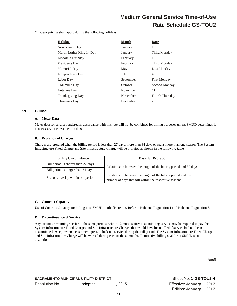Off-peak pricing shall apply during the following holidays:

| <b>Holiday</b>             | Month     | Date                |
|----------------------------|-----------|---------------------|
| New Year's Day             | January   | 1                   |
| Martin Luther King Jr. Day | January   | Third Monday        |
| Lincoln's Birthday         | February  | 12                  |
| Presidents Day             | February  | Third Monday        |
| Memorial Day               | May       | Last Monday         |
| Independence Day           | July      | 4                   |
| Labor Day                  | September | <b>First Monday</b> |
| Columbus Day               | October   | Second Monday       |
| <b>Veterans</b> Day        | November  | 11                  |
| <b>Thanksgiving Day</b>    | November  | Fourth Thursday     |
| Christmas Day              | December  | 25                  |

# **VI. Billing**

# **A. Meter Data**

Meter data for service rendered in accordance with this rate will not be combined for billing purposes unless SMUD determines it is necessary or convenient to do so.

# **B. Proration of Charges**

Charges are prorated when the billing period is less than 27 days, more than 34 days or spans more than one season. The System Infrastructure Fixed Charge and Site Infrastructure Charge will be prorated as shown in the following table.

| <b>Billing Circumstance</b>         | <b>Basis for Proration</b>                                                                                               |  |
|-------------------------------------|--------------------------------------------------------------------------------------------------------------------------|--|
| Bill period is shorter than 27 days | Relationship between the length of the billing period and 30 days.                                                       |  |
| Bill period is longer than 34 days  |                                                                                                                          |  |
| Seasons overlap within bill period  | Relationship between the length of the billing period and the<br>number of days that fall within the respective seasons. |  |

#### **C. Contract Capacity**

Use of Contract Capacity for billing is at SMUD's sole discretion. Refer to Rule and Regulation 1 and Rule and Regulation 6.

#### **D. Discontinuance of Service**

Any customer resuming service at the same premise within 12 months after discontinuing service may be required to pay the System Infrastructure Fixed Charges and Site Infrastructure Charges that would have been billed if service had not been discontinued, except when a customer agrees to lock out service during the full period. The System Infrastructure Fixed Charge and Site Infrastructure Charge will be waived during each of those months. Retroactive billing shall be at SMUD's sole discretion.

*(End)*

**SACRAMENTO MUNICIPAL UTILITY DISTRICT NEXT ASSET ASSET ON A SHEET NO. 1-GS-TOU2-4** Resolution No. \_\_\_\_\_\_\_\_\_ adopted \_\_\_\_\_\_\_\_\_, 2015 Effective: **January 1, 2017**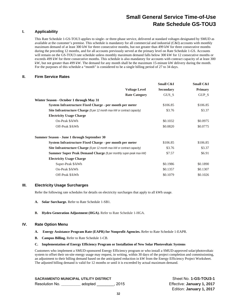# **I. Applicability**

This Rate Schedule 1-GS-TOU3 applies to single- or three-phase service, delivered at standard voltages designated by SMUD as available at the customer's premise. This schedule is mandatory for all commercial and industrial (C&I) accounts with monthly maximum demand of at least 300 kW for three consecutive months, but not greater than 499 kW for three consecutive months during the preceding 12 months, and for all accounts previously served at the primary level on Rate Schedule 1-GS. Accounts will remain on the GS-TOU3 rate schedule unless monthly maximum demand falls below 300 kW for 12 consecutive months or exceeds 499 kW for three consecutive months. This schedule is also mandatory for accounts with contract capacity of at least 300 kW, but not greater than 499 kW. The demand for any month shall be the maximum 15-minute kW delivery during the month. For the purposes of this schedule a "month" is considered to be a single billing period of 27 to 34 days.

# **II. Firm Service Rates**

|                                                                                 | Small C&I        | Small C&I      |
|---------------------------------------------------------------------------------|------------------|----------------|
| <b>Voltage Level</b>                                                            | <b>Secondary</b> | <b>Primary</b> |
| <b>Rate Category</b>                                                            | GUS S            | GUP_S          |
| Winter Season - October 1 through May 31                                        |                  |                |
| System Infrastructure Fixed Charge - per month per meter                        | \$106.85         | \$106.85       |
| <b>Site Infrastructure Charge</b> (\$ per 12 month max kW or contract capacity) | \$3.76           | \$3.37         |
| <b>Electricity Usage Charge</b>                                                 |                  |                |
| On-Peak \$/kWh                                                                  | \$0.1032         | \$0.0975       |
| Off-Peak \$/kWh                                                                 | \$0.0820         | \$0.0775       |
| Summer Season - June 1 through September 30                                     |                  |                |
| System Infrastructure Fixed Charge - per month per meter                        | \$106.85         | \$106.85       |
| Site Infrastructure Charge (\$ per 12 month max kW or contract capacity)        | \$3.76           | \$3.37         |
| <b>Summer Super Peak Demand Charge</b> (\$ per monthly super-peak max kW)       | \$7.57           | \$6.91         |
| <b>Electricity Usage Charge</b>                                                 |                  |                |
| Super-Peak \$/kWh                                                               | \$0.1986         | \$0.1890       |
| On-Peak \$/kWh                                                                  | \$0.1357         | \$0.1307       |
| Off-Peak \$/kWh                                                                 | \$0.1079         | \$0.1026       |

# **III. Electricity Usage Surcharges**

Refer the following rate schedules for details on electricity surcharges that apply to all kWh usage.

- **A. Solar Surcharge.** Refer to Rate Schedule 1-SB1.
- **B. Hydro Generation Adjustment (HGA).** Refer to Rate Schedule 1-HGA.

# **IV. Rate Option Menu**

- **A. Energy Assistance Program Rate (EAPR) for Nonprofit Agencies.** Refer to Rate Schedule 1-EAPR.
- **B. Campus Billing.** Refer to Rate Schedule 1-CB.

### **C. Implementation of Energy Efficiency Program or Installation of New Solar Photovoltaic Systems**

Customers who implement a SMUD-sponsored Energy Efficiency program or who install a SMUD-approved solar/photovoltaic system to offset their on-site energy usage may request, in writing, within 30 days of the project completion and commissioning, an adjustment to their billing demand based on the anticipated reduction in kW from the Energy Efficiency Project Worksheet. The adjusted billing demand is valid for 12 months or until it is exceeded by actual maximum demand.

**SACRAMENTO MUNICIPAL UTILITY DISTRICT SHEET NO SHEET NO. 1-GS-TOU3-1** Resolution No. **\_\_\_\_\_\_\_\_\_** adopted \_\_\_\_\_\_\_\_, 2015 Effective: **January 1, 2017**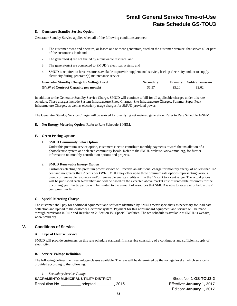### **D. Generator Standby Service Option**

Generator Standby Service applies when all of the following conditions are met:

- 1. The customer owns and operates, or leases one or more generators, sited on the customer premise, that serves all or part of the customer's load; and
- 2. The generator(s) are not fueled by a renewable resource; and
- 3. The generator(s) are connected to SMUD's electrical system; and
- 4. SMUD is required to have resources available to provide supplemental service, backup electricity and, or to supply electricity during generator(s) maintenance service.

| <b>Generator Standby Charge by Voltage Level</b> | <b>Secondary</b> |        | Primary Subtransmission |
|--------------------------------------------------|------------------|--------|-------------------------|
| (\$/kW of Contract Capacity per month)           | \$6.57           | \$5.20 | \$2.62                  |

In addition to the Generator Standby Service Charge, SMUD will continue to bill for all applicable charges under this rate schedule. These charges include System Infrastructure Fixed Charges, Site Infrastructure Charges, Summer Super Peak Infrastructure Charges, as well as electricity usage charges for SMUD-provided power.

The Generator Standby Service Charge will be waived for qualifying net metered generation. Refer to Rate Schedule 1-NEM.

#### **E. Net Energy Metering Option.** Refer to Rate Schedule 1-NEM.

#### **F. Green Pricing Options**

#### **1. SMUD Community Solar Option**

Under this premium service option, customers elect to contribute monthly payments toward the installation of a photoelectric system at a selected community locale. Refer to the SMUD website, www.smud.org, for further information on monthly contribution options and projects.

#### **2. SMUD Renewable Energy Option**

Customers electing this premium power service will receive an additional charge for monthly energy of no less than 1/2 cent and no greater than 2 cents per kWh. SMUD may offer up to three premium rate options representing various blends of renewable resources and/or renewable energy credits within the 1/2 cent to 2 cent range. The actual prices will be published each November and will be based on the expected above market cost of renewable resources for the upcoming year. Participation will be limited to the amount of resources that SMUD is able to secure at or below the 2 cent premium limit.

#### **G. Special Metering Charge**

The customer shall pay for additional equipment and software identified by SMUD meter specialists as necessary for load data collection and upload to the customer electronic system. Payment for this nonstandard equipment and service will be made through provisions in Rule and Regulation 2, Section IV. Special Facilities. The fee schedule is available at SMUD's website, www.smud.org

# **V. Conditions of Service**

#### **A. Type of Electric Service**

SMUD will provide customers on this rate schedule standard, firm service consisting of a continuous and sufficient supply of electricity.

#### **B. Service Voltage Definition**

The following defines the three voltage classes available. The rate will be determined by the voltage level at which service is provided according to the following:

*1. Secondary Service Voltage* 

**SACRAMENTO MUNICIPAL UTILITY DISTRICT NEXT ASSET ASSAULT ASSET ON A SHEET NO. 1-GS-TOU3-2** Resolution No. **\_\_\_\_\_\_\_\_\_** adopted \_\_\_\_\_\_\_\_, 2015 Effective: **January 1, 2017**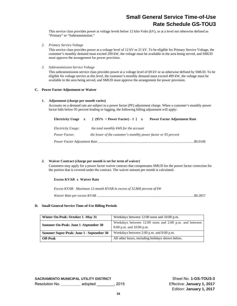This service class provides power at voltage levels below 12 kilo-Volts (kV), or at a level not otherwise defined as "Primary" or "Subtransmission."

*2. Primary Service Voltage* 

This service class provides power at a voltage level of 12 kV or 21 kV. To be eligible for Primary Service Voltage, the customer's monthly demand must exceed 299 kW, the voltage must be available in the area being served, and SMUD must approve the arrangement for power provision.

*3. Subtransmission Service Voltage* 

This subtransmission service class provides power at a voltage level of 69 kV or as otherwise defined by SMUD. To be eligible for voltage service at this level, the customer's monthly demand must exceed 499 kW, the voltage must be available in the area being served, and SMUD must approve the arrangement for power provision.

# **C. Power Factor Adjustment or Waiver**

# **1. Adjustment (charge per month varies)**

Accounts on a demand rate are subject to a power factor (PF) adjustment charge. When a customer's monthly power factor falls below 95 percent leading or lagging, the following billing adjustment will apply:

| Electricity Usage x | $[ (95\% \div Power Factor) - 1 ]$ x                            | <b>Power Factor Adjustment Rate</b> |  |
|---------------------|-----------------------------------------------------------------|-------------------------------------|--|
| Electricity Usage:  | the <i>total monthly kWh for the account</i>                    |                                     |  |
| Power Factor:       | the lesser of the customer's monthly power factor or 95 percent |                                     |  |
|                     |                                                                 | .\$0.0108                           |  |

# **2. Waiver Contract (charge per month is set for term of waiver)**

Customers may apply for a power factor waiver contract that compensates SMUD for the power factor correction for the portion that is covered under the contract. The waiver amount per month is calculated:

# **Excess KVAR x Waiver Rate**

*Excess KVAR: Maximum 12-month KVAR in excess of 32.868 percent of kW Waiver Rate per excess KVAR* .............................................................................................................. \$0.2857

# **D. Small General Service Time-of-Use Billing Periods**

| Winter On-Peak: October 1 -May 31        | Weekdays between 12:00 noon and 10:00 p.m.                                            |  |
|------------------------------------------|---------------------------------------------------------------------------------------|--|
| Summer On-Peak: June 1 -September 30     | Weekdays between 12:00 noon and 2:00 p.m. and between<br>$8:00$ p.m. and $10:00$ p.m. |  |
| Summer Super-Peak: June 1 - September 30 | Weekdays between 2:00 p.m. and 8:00 p.m.                                              |  |
| <b>Off-Peak</b>                          | All other hours, including holidays shown below.                                      |  |

**SACRAMENTO MUNICIPAL UTILITY DISTRICT** Sheet No. **1-GS-TOU3-3** Resolution No. **\_\_\_\_\_\_\_\_\_** adopted \_\_\_\_\_\_\_\_, 2015 Effective: **January 1, 2017**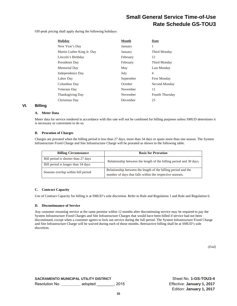Off-peak pricing shall apply during the following holidays:

| <b>Holiday</b>             | <b>Month</b> | <b>Date</b>         |
|----------------------------|--------------|---------------------|
| New Year's Day             | January      | 1                   |
| Martin Luther King Jr. Day | January      | Third Monday        |
| Lincoln's Birthday         | February     | 12                  |
| Presidents Day             | February     | Third Monday        |
| Memorial Day               | May          | Last Monday         |
| Independence Day           | July         | 4                   |
| Labor Day                  | September    | <b>First Monday</b> |
| Columbus Day               | October      | Second Monday       |
| <b>Veterans</b> Day        | November     | 11                  |
| <b>Thanksgiving Day</b>    | November     | Fourth Thursday     |
| Christmas Day              | December     | 25                  |

# **VI. Billing**

# **A. Meter Data**

Meter data for service rendered in accordance with this rate will not be combined for billing purposes unless SMUD determines it is necessary or convenient to do so.

# **B. Proration of Charges**

Charges are prorated when the billing period is less than 27 days, more than 34 days or spans more than one season. The System Infrastructure Fixed Charge and Site Infrastructure Charge will be prorated as shown in the following table.

| <b>Billing Circumstance</b>         | <b>Basis for Proration</b>                                                                                                |
|-------------------------------------|---------------------------------------------------------------------------------------------------------------------------|
| Bill period is shorter than 27 days | Relationship between the length of the billing period and 30 days.                                                        |
| Bill period is longer than 34 days  |                                                                                                                           |
| Seasons overlap within bill period  | Relationship between the length of the billing period and the<br>number of days that falls within the respective seasons. |

# **C. Contract Capacity**

Use of Contract Capacity for billing is at SMUD's sole discretion. Refer to Rule and Regulation 1 and Rule and Regulation 6.

# **D. Discontinuance of Service**

Any customer resuming service at the same premise within 12 months after discontinuing service may be required to pay the System Infrastructure Fixed Charges and Site Infrastructure Charges that would have been billed if service had not been discontinued, except when a customer agrees to lock out service during the full period. The System Infrastructure Fixed Charge and Site Infrastructure Charge will be waived during each of those months. Retroactive billing shall be at SMUD's sole discretion.

*(End)*

**SACRAMENTO MUNICIPAL UTILITY DISTRICT SHEET NO SHEET NO 1-GS-TOU3-4** Resolution No. **\_\_\_\_\_\_\_\_\_** adopted \_\_\_\_\_\_\_\_, 2015 Effective: **January 1, 2017**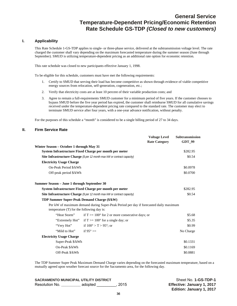# **General Service Temperature-Dependent Pricing/Economic Retention Rate Schedule GS-TDP** *(Closed to new customers)*

# **I. Applicability**

This Rate Schedule 1-GS-TDP applies to single- or three-phase service, delivered at the subtransmission voltage level. The rate charged the customer shall vary depending on the maximum forecasted temperature during the summer season (June through September). SMUD is utilizing temperature-dependent pricing as an additional rate option for economic retention.

This rate schedule was closed to new participants effective January 1, 1998.

To be eligible for this schedule, customers must have met the following requirements:

- 1. Certify to SMUD that serving their load has become competitive as shown through evidence of viable competitive energy sources from relocation, self-generation, cogeneration, etc.;
- 2. Verify that electricity costs are at least 10 percent of their variable production costs; and
- 3. Agree to remain a full-requirements SMUD customer for a minimum period of five years. If the customer chooses to bypass SMUD before the five year period has expired, the customer shall reimburse SMUD for all cumulative savings received under the temperature-dependent pricing rate compared to the standard rate. The customer may elect to terminate SMUD service after four years, with a one-year advance notification, without penalty.

For the purposes of this schedule a "month" is considered to be a single billing period of 27 to 34 days.

# **II. Firm Service Rate**

|                                             |                                                                                       | <b>Voltage Level</b> | <b>Subtransmission</b> |
|---------------------------------------------|---------------------------------------------------------------------------------------|----------------------|------------------------|
|                                             |                                                                                       | <b>Rate Category</b> | GDT_99                 |
| Winter Season – October 1 through May 31    |                                                                                       |                      |                        |
|                                             | System Infrastructure Fixed Charge per month per meter                                |                      | \$282.95               |
|                                             | <b>Site Infrastructure Charge</b> (\$ per 12 month max kW or contract capacity)       |                      | \$0.54                 |
| <b>Electricity Usage Charge</b>             |                                                                                       |                      |                        |
| On-Peak Period \$/kWh                       |                                                                                       |                      | \$0.0978               |
| Off-peak period \$/kWh                      |                                                                                       |                      | \$0.0700               |
| Summer Season - June 1 through September 30 |                                                                                       |                      |                        |
|                                             | System Infrastructure Fixed Charge per month per meter                                |                      | \$282.95               |
|                                             | <b>Site Infrastructure Charge</b> (\$ per 12 month max kW or contract capacity)       |                      | \$0.54                 |
| TDP Summer Super-Peak Demand Charge (\$/kW) |                                                                                       |                      |                        |
|                                             | Per kW of maximum demand during Super-Peak Period per day if forecasted daily maximum |                      |                        |
| temperature (T) for the following day is:   |                                                                                       |                      |                        |
| "Heat Storm"                                | if $T \ge 100^{\circ}$ for 2 or more consecutive days; or                             |                      | \$5.68                 |
| "Extremely Hot"                             | if $T \ge 100^{\circ}$ for a single day; or                                           |                      | \$5.35                 |
| "Very Hot"                                  | if $100^{\circ} > T > 95^{\circ}$ ; or                                                |                      | \$0.99                 |
| "Mild to Hot"                               | if $95^{\circ}$ >=                                                                    |                      | No Charge              |
| <b>Electricity Usage Charge</b>             |                                                                                       |                      |                        |
| Super-Peak \$/kWh                           |                                                                                       |                      | \$0.1331               |
| On-Peak \$/kWh                              |                                                                                       |                      | \$0.1169               |
| Off-Peak \$/kWh                             |                                                                                       |                      | \$0.0881               |

The TDP Summer Super Peak Maximum Demand Charge varies depending on the forecasted maximum temperature, based on a mutually agreed upon weather forecast source for the Sacramento area, for the following day.

**SACRAMENTO MUNICIPAL UTILITY DISTRICT SHEET NO SHEET NO Sheet No. 1-GS-TDP-1** Resolution No. **\_\_\_\_\_\_\_\_\_** adopted \_\_\_\_\_\_\_\_\_, 2015 **Effective: January 1, 2017**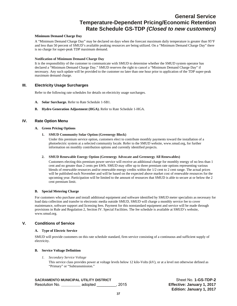## **General Service Temperature-Dependent Pricing/Economic Retention Rate Schedule GS-TDP** *(Closed to new customers)*

#### **Minimum Demand Charge Day**

A "Minimum Demand Charge Day" may be declared on days when the forecast maximum daily temperature is greater than 95°F and less than 50 percent of SMUD's available peaking resources are being utilized. On a "Minimum Demand Charge Day" there is no charge for super-peak TDP maximum demand.

#### **Notification of Minimum Demand Charge Day**

It is the responsibility of the customer to communicate with SMUD to determine whether the SMUD system operator has declared a "Minimum Demand Charge Day." SMUD reserves the right to cancel a "Minimum Demand Charge Day" if necessary. Any such update will be provided to the customer no later than one hour prior to application of the TDP super-peak maximum demand charge.

#### **III. Electricity Usage Surcharges**

Refer to the following rate schedules for details on electricity usage surcharges.

- **A. Solar Surcharge.** Refer to Rate Schedule 1-SB1.
- **B. Hydro Generation Adjustment (HGA).** Refer to Rate Schedule 1-HGA.

#### **IV. Rate Option Menu**

#### **A. Green Pricing Options**

**1. SMUD Community Solar Option (Greenergy Block)** 

Under this premium service option, customers elect to contribute monthly payments toward the installation of a photoelectric system at a selected community locale. Refer to the SMUD website, www.smud.org, for further information on monthly contribution options and currently identified projects.

#### **2. SMUD Renewable Energy Option (Greenergy Advocate and Greenergy All Renewables)**

Customers electing this premium power service will receive an additional charge for monthly energy of no less than 1 cent and no greater than 2 cents per kWh. SMUD may offer up to three premium rate options representing various blends of renewable resources and/or renewable energy credits within the 1/2 cent to 2 cent range. The actual prices will be published each November and will be based on the expected above market cost of renewable resources for the upcoming year. Participation will be limited to the amount of resources that SMUD is able to secure at or below the 2 cent premium limit.

#### **B. Special Metering Charge**

For customers who purchase and install additional equipment and software identified by SMUD meter specialists as necessary for load data collection and transfer to electronic media outside SMUD, SMUD will charge a monthly service fee to cover maintenance, software support and licensing fees. Payment for this nonstandard equipment and service will be made through provisions in Rule and Regulation 2, Section IV. Special Facilities. The fee schedule is available at SMUD's website, www.smud.org.

#### **V. Conditions of Service**

#### **A. Type of Electric Service**

SMUD will provide customers on this rate schedule standard, firm service consisting of a continuous and sufficient supply of electricity.

#### **B. Service Voltage Definition**

*1. Secondary Service Voltage* 

This service class provides power at voltage levels below 12 kilo-Volts (kV), or at a level not otherwise defined as "Primary" or "Subtransmission."

#### **SACRAMENTO MUNICIPAL UTILITY DISTRICT SHEET NO SHEET NO. 1-GS-TDP-2**

Resolution No. **\_\_\_\_\_\_\_\_\_** adopted \_\_\_\_\_\_\_\_\_, 2015 **Effective: January 1, 2017**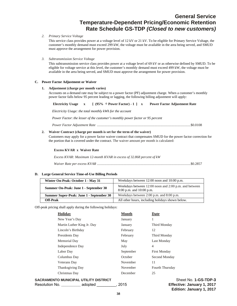## **General Service Temperature-Dependent Pricing/Economic Retention Rate Schedule GS-TDP** *(Closed to new customers)*

#### *2. Primary Service Voltage*

This service class provides power at a voltage level of 12 kV or 21 kV. To be eligible for Primary Service Voltage, the customer's monthly demand must exceed 299 kW, the voltage must be available in the area being served, and SMUD must approve the arrangement for power provision.

*3. Subtransmission Service Voltage* 

This subtransmission service class provides power at a voltage level of 69 kV or as otherwise defined by SMUD. To be eligible for voltage service at this level, the customer's monthly demand must exceed 499 kW, the voltage must be available in the area being served, and SMUD must approve the arrangement for power provision.

#### **C. Power Factor Adjustment or Waiver**

#### **1. Adjustment (charge per month varies)**

Accounts on a demand rate may be subject to a power factor (PF) adjustment charge. When a customer's monthly power factor falls below 95 percent leading or lagging, the following billing adjustment will apply:

*Electricity Usage: the total monthly kWh for the account*

*Power Factor*: *the lesser of the customer's monthly power factor or 95 percent* 

*Power Factor Adjustment Rate* .......................................................................................................... \$0.0108

#### **2. Waiver Contract (charge per month is set for the term of the waiver)**

Customers may apply for a power factor waiver contract that compensates SMUD for the power factor correction for the portion that is covered under the contract. The waiver amount per month is calculated:

#### **Excess KVAR x Waiver Rate**

*Excess KVAR: Maximum 12-month KVAR in excess of 32.868 percent of kW* 

*Waiver Rate per excess KVAR* .......................................................................................................... \$0.2857

#### **D. Large General Service Time-of-Use Billing Periods**

| Winter On-Peak: October 1 - May 31       | Weekdays between 12:00 noon and 10:00 p.m.                                            |
|------------------------------------------|---------------------------------------------------------------------------------------|
| Summer On-Peak: June 1 - September 30    | Weekdays between 12:00 noon and 2:00 p.m. and between<br>$8:00$ p.m. and $10:00$ p.m. |
| Summer Super-Peak: June 1 - September 30 | Weekdays between 2:00 p.m. and 8:00 p.m.                                              |
| Off-Peak                                 | All other hours, including holidays shown below.                                      |

Off-peak pricing shall apply during the following holidays:

| <b>Holidav</b>             | <b>Month</b> | Date                |
|----------------------------|--------------|---------------------|
| New Year's Day             | January      |                     |
| Martin Luther King Jr. Day | January      | Third Monday        |
| Lincoln's Birthday         | February     | 12                  |
| Presidents Day             | February     | Third Monday        |
| Memorial Day               | May          | Last Monday         |
| Independence Day           | July         | $\overline{4}$      |
| Labor Day                  | September    | <b>First Monday</b> |
| Columbus Day               | October      | Second Monday       |
| Veterans Day               | November     | 11                  |
| <b>Thanksgiving Day</b>    | November     | Fourth Thursday     |
| Christmas Day              | December     | 25                  |
|                            |              |                     |

**SACRAMENTO MUNICIPAL UTILITY DISTRICT SHOW ASSETS A SHOW SHEET NO. 1-GS-TDP-3** 

Resolution No. **\_\_\_\_\_\_\_\_\_** adopted \_\_\_\_\_\_\_\_\_, 2015 **Effective: January 1, 2017**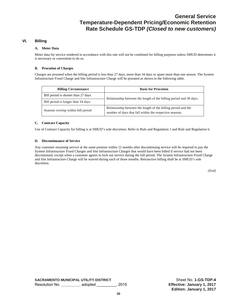#### **VI. Billing**

#### **A. Meter Data**

Meter data for service rendered in accordance with this rate will not be combined for billing purposes unless SMUD determines it is necessary or convenient to do so.

#### **B. Proration of Charges**

Charges are prorated when the billing period is less than 27 days, more than 34 days or spans more than one season. The System Infrastructure Fixed Charge and Site Infrastructure Charge will be prorated as shown in the following table.

| <b>Billing Circumstance</b>         | <b>Basis for Proration</b>                                                                                               |
|-------------------------------------|--------------------------------------------------------------------------------------------------------------------------|
| Bill period is shorter than 27 days | Relationship between the length of the billing period and 30 days.                                                       |
| Bill period is longer than 34 days  |                                                                                                                          |
| Seasons overlap within bill period  | Relationship between the length of the billing period and the<br>number of days that fall within the respective seasons. |

#### **C. Contract Capacity**

Use of Contract Capacity for billing is at SMUD's sole discretion. Refer to Rule and Regulation 1 and Rule and Regulation 6.

#### **D. Discontinuance of Service**

Any customer resuming service at the same premise within 12 months after discontinuing service will be required to pay the System Infrastructure Fixed Charges and Site Infrastructure Charges that would have been billed if service had not been discontinued, except when a customer agrees to lock out service during the full period. The System Infrastructure Fixed Charge and Site Infrastructure Charge will be waived during each of those months. Retroactive billing shall be at SMUD's sole discretion.

*(End)*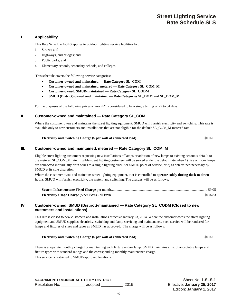#### **I. Applicability**

This Rate Schedule 1-SLS applies to outdoor lighting service facilities for:

- 1. Streets; and
- 2. Highways, and bridges; and
- 3. Public parks; and
- 4. Elementary schools, secondary schools, and colleges.

This schedule covers the following service categories:

- **Customer-owned and maintained Rate Category SL\_COM**
- **Customer-owned and maintained, metered Rate Category SL\_COM\_M**
- **Customer-owned, SMUD-maintained Rate Category SL\_CODM**
- **SMUD (District)-owned and maintained Rate Categories SL\_DOM and SL\_DOM\_M**

For the purposes of the following prices a "month" is considered to be a single billing of 27 to 34 days.

#### **II. Customer-owned and maintained — Rate Category SL\_COM**

Where the customer owns and maintains the street lighting equipment, SMUD will furnish electricity and switching. This rate is available only to new customers and installations that are not eligible for the default SL\_COM\_M metered rate.

#### **III. Customer-owned and maintained, metered — Rate Category SL\_COM\_M**

Eligible street lighting customers requesting new installations of lamps or addition of new lamps to existing accounts default to the metered SL\_COM\_M rate. Eligible street lighting customers will be served under the default rate when 1) five or more lamps are connected individually or in series to a single lighting circuit or SMUD point of service, or 2) as determined necessary by SMUD at its sole discretion.

Where the customer owns and maintains street lighting equipment, that is controlled to **operate solely during dusk to dawn hours**, SMUD will furnish electricity, the meter, and switching. The charges will be as follows:

#### **IV. Customer-owned, SMUD (District)-maintained — Rate Category SL\_CODM (Closed to new customers and installations)**

This rate is closed to new customers and installations effective January 23, 2014. Where the customer owns the street lighting equipment and SMUD supplies electricity, switching and, lamp servicing and maintenance, such service will be rendered for lamps and fixtures of sizes and types as SMUD has approved. The charge will be as follows:

|--|--|

There is a separate monthly charge for maintaining each fixture and/or lamp. SMUD maintains a list of acceptable lamps and fixture types with standard ratings and the corresponding monthly maintenance charge. This service is restricted to SMUD-approved locations.

**SACRAMENTO MUNICIPAL UTILITY DISTRICT SHOW SHOW SHEET SHEET NO. 1-SLS-1** Resolution No. **\_\_\_\_\_\_\_\_\_\_\_** adopted \_\_\_\_\_\_\_\_\_\_, 2015 Effective: **January 25, 2017**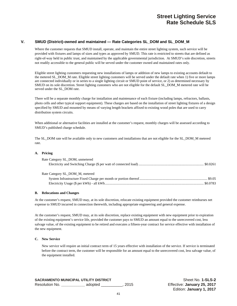#### **V. SMUD (District)-owned and maintained — Rate Categories SL\_DOM and SL\_DOM\_M**

Where the customer requests that SMUD install, operate, and maintain the entire street lighting system, such service will be provided with fixtures and lamps of sizes and types as approved by SMUD. This rate is restricted to streets that are defined as right-of-way held in public trust, and maintained by the applicable governmental jurisdiction. At SMUD's sole discretion, streets not readily accessible to the general public will be served under the customer owned and maintained rates only.

Eligible street lighting customers requesting new installations of lamps or addition of new lamps to existing accounts default to the metered SL\_DOM\_M rate. Eligible street lighting customers will be served under the default rate when 1) five or more lamps are connected individually or in series to a single lighting circuit or SMUD point of service, or 2) as determined necessary by SMUD on its sole discretion. Street lighting customers who are not eligible for the default SL\_DOM\_M metered rate will be served under the SL\_DOM rate.

There will be a separate monthly charge for installation and maintenance of each fixture (including lamps, refractors, ballasts, photo cells and other typical support equipment). These charges are based on the installation of street lighting fixtures of a design specified by SMUD and mounted by means of varying length brackets affixed to existing wood poles that are used to carry distribution system circuits.

When additional or alternative facilities are installed at the customer's request, monthly charges will be assessed according to SMUD's published charge schedule.

The SL\_DOM rate will be available only to new customers and installations that are not eligible for the SL\_DOM\_M metered rate.

#### **A. Pricing**

| Rate Category SL DOM, unmetered |  |
|---------------------------------|--|
|                                 |  |
|                                 |  |
| Rate Category SL DOM M, metered |  |
|                                 |  |
|                                 |  |

#### **B. Relocations and Changes**

At the customer's request, SMUD may, at its sole discretion, relocate existing equipment provided the customer reimburses net expense to SMUD incurred in connection therewith, including appropriate engineering and general expense.

At the customer's request, SMUD may, at its sole discretion, replace existing equipment with new equipment prior to expiration of the existing equipment's service life, provided the customer pays to SMUD an amount equal to the unrecovered cost, less salvage value, of the existing equipment to be retired and executes a fifteen-year contract for service effective with installation of the new equipment.

#### **C. New Service**

New service will require an initial contract term of 15 years effective with installation of the service. If service is terminated before the contract term, the customer will be responsible for an amount equal to the unrecovered cost, less salvage value, of the equipment installed.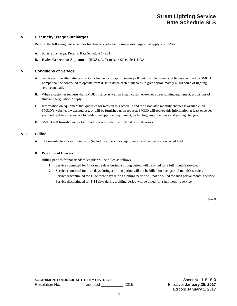# **Street Lighting Service Rate Schedule SLS**

#### **VI. Electricity Usage Surcharges**

Refer to the following rate schedules for details on electricity usage surcharges that apply to all kWh.

- **A. Solar Surcharge.** Refer to Rate Schedule 1–SB1.
- **B. Hydro Generation Adjustment (HGA).** Refer to Rate Schedule 1–HGA.

#### **VII. Conditions of Service**

- **A.** Service will be alternating current at a frequency of approximately 60 hertz, single phase, at voltages specified by SMUD. Lamps shall be controlled to operate from dusk to dawn each night so as to give approximately 4,000 hours of lighting service annually.
- **B.** When a customer requests that SMUD finance as well as install customer-owned street lighting equipment, provisions of Rule and Regulation 2 apply.
- **C.** Information on equipment that qualifies for rates on this schedule and the associated monthly charges is available, on SMUD's website, www.smud.org, or will be furnished upon request. SMUD will review this information at least once per year and update as necessary for additional approved equipment, technology improvements and pricing changes.
- **D.** SMUD will furnish a meter to provide service under the metered rate categories.

#### **VIII. Billing**

**A.** The manufacturer's rating in watts (including all auxiliary equipment) will be used as connected load**.** 

#### **B. Proration of Charges**

Billing periods for nonstandard lengths will be billed as follows:

- **1.** Service connected for 15 or more days during a billing period will be billed for a full month's service.
- **2.** Service connected for 1-14 days during a billing period will not be billed for such partial month's service.
- **3.** Service discontinued for 15 or more days during a billing period will not be billed for such partial month's service.
- **4.** Service discontinued for 1-14 days during a billing period will be billed for a full month's service.

*(End)*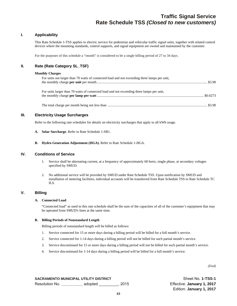# **Traffic Signal Service Rate Schedule TSS** *(Closed to new customers)*

#### **I. Applicability**

This Rate Schedule 1-TSS applies to electric service for pedestrian and vehicular traffic signal units, together with related control devices where the mounting standards, control supports, and signal equipment are owned and maintained by the customer.

For the purposes of this schedule a "month" is considered to be a single billing period of 27 to 34 days.

#### **II. Rate (Rate Category SL\_TSF)**

#### **Monthly Charges**

| For units not larger than 70 watts of connected load and not exceeding three lamps per unit, |  |
|----------------------------------------------------------------------------------------------|--|
| For units larger than 70 watts of connected load and not exceeding three lamps per unit,     |  |
|                                                                                              |  |

#### **III. Electricity Usage Surcharges**

Refer to the following rate schedules for details on electricity surcharges that apply to all kWh usage.

- **A. Solar Surcharge.** Refer to Rate Schedule 1-SB1.
- **B. Hydro Generation Adjustment (HGA).** Refer to Rate Schedule 1-HGA.

#### **IV. Conditions of Service**

- 1. Service shall be alternating current, at a frequency of approximately 60 hertz, single phase, at secondary voltages specified by SMUD.
- 2. No additional service will be provided by SMUD under Rate Schedule TSS. Upon notification by SMUD and installation of metering facilities, individual accounts will be transferred from Rate Schedule TSS to Rate Schedule TC ILS.

#### **V. Billing**

#### **A. Connected Load**

"Connected load" as used in this rate schedule shall be the sum of the capacities of all of the customer's equipment that may be operated from SMUD's lines at the same time.

#### **B. Billing Periods of Nonstandard Length**

Billing periods of nonstandard length will be billed as follows:

- 1. Service connected for 15 or more days during a billing period will be billed for a full month's service.
- 2. Service connected for 1-14 days during a billing period will not be billed for such partial month's service.
- 3. Service discontinued for 15 or more days during a billing period will not be billed for such partial month's service.
- 4. Service discontinued for 1-14 days during a billing period will be billed for a full month's service.

*(End)*

**SACRAMENTO MUNICIPAL UTILITY DISTRICT SHOW AND SHEET SHEET NO. 1-TSS-1** Resolution No. **\_\_\_\_\_\_\_\_\_\_** adopted \_\_\_\_\_\_\_\_\_, 2015 Effective: **January 1, 2017**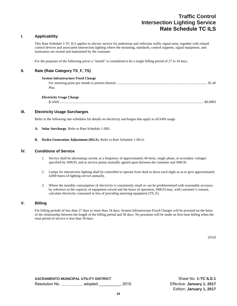# **Traffic Control Intersection Lighting Service Rate Schedule TC ILS**

#### **I. Applicability**

This Rate Schedule 1-TC ILS applies to electric service for pedestrian and vehicular traffic signal units, together with related control devices and associated intersection lighting where the mounting, standards, control supports, signal equipment, and luminaires are owned and maintained by the customer.

For the purposes of the following prices a "month" is considered to be a single billing period of 27 to 34 days.

#### **II. Rate (Rate Category TS\_F, TS)**

| <b>System Infrastructure Fixed Charge</b> |          |
|-------------------------------------------|----------|
|                                           |          |
| Plus                                      |          |
| <b>Electricity Usage Charge</b>           |          |
| $\frac{1}{2}$ / kWh                       | \$0.0983 |

#### **III. Electricity Usage Surcharges**

Refer to the following rate schedules for details on electricity surcharges that apply to all kWh usage.

- **A. Solar Surcharge.** Refer to Rate Schedule 1-SB1.
- **B. Hydro Generation Adjustment (HGA**)**.** Refer to Rate Schedule 1-HGA.

#### **IV. Conditions of Service**

- 1. Service shall be alternating current, at a frequency of approximately 60 hertz, single phase, at secondary voltages specified by SMUD, and at service points mutually agreed upon between the customer and SMUD.
- 2. Lamps for intersection lighting shall be controlled to operate from dusk to dawn each night so as to give approximately 4,000 hours of lighting service annually.
- 3. Where the monthly consumption of electricity is consistently small or can be predetermined with reasonable accuracy by reference to the capacity of equipment served and the hours of operation, SMUD may, with customer's consent, calculate electricity consumed in lieu of providing metering equipment (TS\_F).

#### **V. Billing**

For billing periods of less than 27 days or more than 34 days, System Infrastructure Fixed Charges will be prorated on the basis of the relationship between the length of the billing period and 30 days. No proration will be made on first-time billing when the total period of service is less than 30 days.

*(End)*

**SACRAMENTO MUNICIPAL UTILITY DISTRICT SHOW SHOW SHEET SHEET NO. 1-TC ILS-1** Resolution No. **\_\_\_\_\_\_\_\_\_\_** adopted \_\_\_\_\_\_\_\_\_\_, 2015 Effective: **January 1, 2017**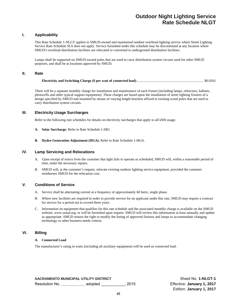# **Outdoor Night Lighting Service Rate Schedule NLGT**

#### **I. Applicability**

This Rate Schedule 1-NLGT applies to SMUD-owned and maintained outdoor overhead lighting service where Street Lighting Service Rate Schedule SLS does not apply. Service furnished under this schedule may be discontinued at any location where SMUD's overhead distribution facilities are relocated or converted to underground distribution facilities.

Lamps shall be supported on SMUD-owned poles that are used to carry distribution system circuits used for other SMUD purposes, and shall be at locations approved by SMUD.

#### **II. Rate**

There will be a separate monthly charge for installation and maintenance of each fixture (including lamps, refractors, ballasts, photocells and other typical support equipment). These charges are based upon the installation of street lighting fixtures of a design specified by SMUD and mounted by means of varying length brackets affixed to existing wood poles that are used to carry distribution system circuits.

#### **III. Electricity Usage Surcharges**

Refer to the following rate schedules for details on electricity surcharges that apply to all kWh usage.

- **A. Solar Surcharge.** Refer to Rate Schedule 1-SB1.
- **B. Hydro Generation Adjustment (HGA).** Refer to Rate Schedule 1-HGA.

#### **IV. Lamp Servicing and Relocations**

- A. Upon receipt of notice from the customer that light fails to operate as scheduled, SMUD will, within a reasonable period of time, make the necessary repairs.
- B. SMUD will, at the customer's request, relocate existing outdoor lighting service equipment, provided the customer reimburses SMUD for the relocation cost.

#### **V. Conditions of Service**

- A. Service shall be alternating current at a frequency of approximately 60 hertz, single phase.
- B. Where new facilities are required in order to provide service for an applicant under this rate, SMUD may require a contract for service for a period not to exceed three years.
- C. Information on equipment that qualifies for this rate schedule and the associated monthly charge is available on the SMUD website, www.smud.org, or will be furnished upon request. SMUD will review this information at least annually and update as appropriate. SMUD retains the right to modify the listing of approved fixtures and lamps to accommodate changing technology or other business needs criteria.

#### **VI. Billing**

#### **A. Connected Load**

The manufacturer's rating in watts (including all auxiliary equipment) will be used as connected load.

**SACRAMENTO MUNICIPAL UTILITY DISTRICT SHEET NO. 1-NLGT-1** Resolution No. **\_\_\_\_\_\_\_\_\_\_\_** adopted \_\_\_\_\_\_\_\_\_\_\_, 2015 Effective: **January 1, 2017**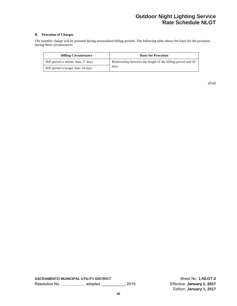# **Outdoor Night Lighting Service Rate Schedule NLGT**

#### **B. Proration of Charges**

The monthly charge will be prorated during nonstandard billing periods. The following table shows the basis for the proration during these circumstances.

| <b>Billing Circumstance</b>         | <b>Basis for Proration</b>                                   |
|-------------------------------------|--------------------------------------------------------------|
| Bill period is shorter than 27 days | Relationship between the length of the billing period and 30 |
| Bill period is longer than 34 days  | days                                                         |

**SACRAMENTO MUNICIPAL UTILITY DISTRICT** SACRAMENTO MUNICIPAL UTILITY DISTRICT Resolution No. **\_\_\_\_\_\_\_\_\_\_\_** adopted \_\_\_\_\_\_\_\_\_\_\_, 2015 Effective: **January 1, 2017**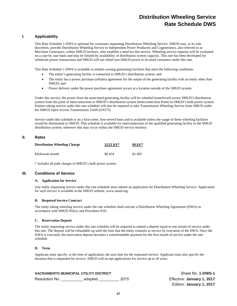# **Distribution Wheeling Service Rate Schedule DWS**

### **I. Applicability**

This Rate Schedule 1-DWS is optional for customers requesting Distribution Wheeling Service. SMUD may, at its sole discretion, provide Distribution Wheeling Service to Independent Power Producers and Cogenerators, also referred to as Merchant Generators, within SMUD territory, who establish a need for this service. Wheeling service requests will be evaluated on a case by case basis and may be limited by availability of distribution system capacity. This rate has been developed for wholesale power transactions and SMUD will not wheel non-SMUD power to its retail customers under this rate.

This Rate Schedule 1-DWS is available to entities owning generating facilities that meet the following conditions:

- The entity's generating facility is connected to SMUD's distribution system; and
- The entity has a power purchase (offtake) agreement for the output of the generating facility with an entity other than SMUD; and
- Power delivery under the power purchase agreement occurs at a location outside of the SMUD system.

Under this service, the power from the associated generating facility will be wheeled (transferred) across SMUD's distribution system from the point of interconnection to SMUD's distribution system (Interconnection Point) to SMUD's bulk power system. Entities taking service under this rate schedule will also be required to take Transmission Wheeling Service from SMUD under the SMUD Open Access Transmission Tariff (OATT).

Service under this schedule is on a first-come, first-served basis and is available unless the usage of these wheeling facilities would be detrimental to SMUD. This schedule is available for interconnection of the qualified generating facility to the SMUD distribution system, wherever that may occur within the SMUD service territory.

#### **II. Rates**

| <b>Distribution Wheeling Charge</b> | $12/21 \text{ kV}^*$ | $69~{\rm kV^*}$ |
|-------------------------------------|----------------------|-----------------|
| \$/kilowatt-month                   | \$6.434              | \$1.495         |

\* includes all path charges to SMUD's bulk power system

#### **III. Conditions of Service**

#### **A. Application for Service**

Any entity requesting service under this rate schedule must submit an application for Distribution Wheeling Service. Application for such service is available at the SMUD website, www.smud.org.

#### **B. Required Service Contract**

The entity taking wheeling service under the rate schedule shall execute a Distribution Wheeling Agreement (DWA) in accordance with SMUD Policy and Procedure 8-05.

#### **C. Reservation Deposit**

The entity requesting service under this rate schedule will be required to submit a deposit equal to one month of service under this rate. The deposit will be refundable up until the time that the entity commits to service by execution of the DWA. Once the DWA is executed, the reservation deposit becomes a nonrefundable payment for the first month of service under the rate schedule.

#### **D. Term**

Applicant must specify, at the time of application, the start date for the requested service. Applicant must also specify the duration that is requested for service. SMUD will accept applications for service up to 20 years.

|                | SACRAMENTO MUNICIPAL UTILITY DISTRICT |        |
|----------------|---------------------------------------|--------|
| Resolution No. | adopted                               | . 2015 |

**Sheet No. 1-DWS-1** Effective: January 1, 2017 Edition: **January 1, 2017**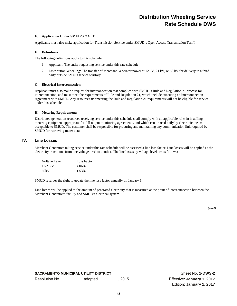# **Distribution Wheeling Service Rate Schedule DWS**

#### **E. Application Under SMUD'S OATT**

Applicants must also make application for Transmission Service under SMUD's Open Access Transmission Tariff.

#### **F. Definitions**

The following definitions apply to this schedule:

- 1. Applicant: The entity requesting service under this rate schedule.
- 2. Distribution Wheeling: The transfer of Merchant Generator power at 12 kV, 21 kV, or 69 kV for delivery to a third party outside SMUD service territory.

#### **G. Electrical Interconnection**

Applicant must also make a request for interconnection that complies with SMUD's Rule and Regulation 21 process for interconnection, and must meet the requirements of Rule and Regulation 21, which include executing an Interconnection Agreement with SMUD. Any resources *not* meeting the Rule and Regulation 21 requirements will not be eligible for service under this schedule.

#### **H. Metering Requirements**

Distributed generation resources receiving service under this schedule shall comply with all applicable rules in installing metering equipment appropriate for full output monitoring agreements, and which can be read daily by electronic means acceptable to SMUD. The customer shall be responsible for procuring and maintaining any communication link required by SMUD for retrieving meter data.

#### **IV. Line Losses**

Merchant Generators taking service under this rate schedule will be assessed a line loss factor. Line losses will be applied as the electricity transitions from one voltage level to another. The line losses by voltage level are as follows:

| Voltage Level | Loss Factor |
|---------------|-------------|
| 12/21kV       | 4.06%       |
| 69kV          | 1.53%       |

SMUD reserves the right to update the line loss factor annually on January 1.

Line losses will be applied to the amount of generated electricity that is measured at the point of interconnection between the Merchant Generator's facility and SMUD's electrical system.

*(End)* 

**SACRAMENTO MUNICIPAL UTILITY DISTRICT SHEET NO SHEET NO. 1-DWS-2** Resolution No. \_\_\_\_\_\_\_\_\_\_ adopted \_\_\_\_\_\_\_\_\_, 2015 Effective: **January 1, 2017**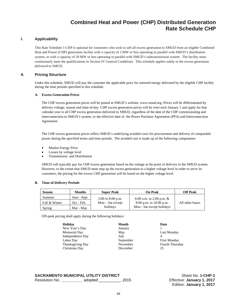# **Combined Heat and Power (CHP) Distributed Generation Rate Schedule CHP**

#### **I. Applicability**

This Rate Schedule 1-CHP is optional for customers who wish to sell all excess generation to SMUD from an eligible Combined Heat and Power (CHP) generation facility with a capacity of 3 MW or less operating in parallel with SMUD's distribution system, or with a capacity of 20 MW or less operating in parallel with SMUD's subtransmission system. The facility must continuously meet the qualifications in Section IV General Conditions. This schedule applies solely to the excess generation delivered to SMUD.

#### **II. Pricing Structure**

Under this schedule, SMUD will pay the customer the applicable price for metered energy delivered by the eligible CHP facility during the time periods specified in this schedule.

#### **A. Excess Generation Prices**

The CHP excess generation prices will be posted at SMUD's website, www.smud.org. Prices will be differentiated by delivery voltage, season and time-of-day. CHP excess generation prices will be reset each January 1 and apply for that calendar year to all CHP excess generation delivered to SMUD, regardless of the date of the CHP commissioning and interconnection to SMUD's system, or the effective date of the Power Purchase Agreement (PPA) and Interconnection Agreement.

The CHP excess generation prices reflect SMUD's underlying avoided costs for procurement and delivery of comparable power during the specified terms and time periods. The avoided cost is made up of the following components:

- Market Energy Price
- Losses by voltage level
- Transmission and Distribution

SMUD will typically pay for CHP excess generation based on the voltage at the point of delivery to the SMUD system. However, to the extent that SMUD must step up the excess generation to a higher voltage level in order to serve its customers, the pricing for the excess CHP generation will be based on the higher voltage level.

#### **B. Time-of-Delivery Periods**

| <b>Season</b> | <b>Months</b> | <b>Super Peak</b>     | On Peak                    | Off Peak        |
|---------------|---------------|-----------------------|----------------------------|-----------------|
| Summer        | June - Sept   | $2:00$ to $8:00$ p.m. | 6:00 a.m. to 2:00 p.m. $&$ |                 |
| Fall & Winter | Oct - Feb     | $Mon - Sat$ except    | $8:00$ p.m. to 10:00 p.m.  | All other hours |
| Spring        | Mar - May     | holidays              | Mon - Sat except holidays  |                 |

Off-peak pricing shall apply during the following holidays:

| Holiday                 | <b>Month</b> | Date    |
|-------------------------|--------------|---------|
| New Year's Day          | January      |         |
| Memorial Day            | May          | Last 1  |
| Independence Day        | July         |         |
| Labor Day               | September    | First 1 |
| <b>Thanksgiving Day</b> | November     | Fourt   |
| Christmas Day           | December     | 25      |
|                         |              |         |

May Last Monday September First Monday November Fourth Thursday

**SACRAMENTO MUNICIPAL UTILITY DISTRICT SHEET CONSUMING SHEET NO. 1-CHP-1** Resolution No. **\_\_\_\_\_\_\_\_\_\_** adopted \_\_\_\_\_\_\_\_\_\_, 2015 Effective: **January 1, 2017**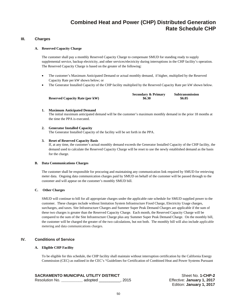# **Combined Heat and Power (CHP) Distributed Generation Rate Schedule CHP**

#### **III. Charges**

#### **A. Reserved Capacity Charge**

The customer shall pay a monthly Reserved Capacity Charge to compensate SMUD for standing ready to supply supplemental service, backup electricity, and other services/electricity during interruptions in the CHP facility's operation. The Reserved Capacity Charge is based on the greater of the following:

- The customer's Maximum Anticipated Demand or actual monthly demand, if higher, multiplied by the Reserved Capacity Rate per kW shown below; or
- The Generator Installed Capacity of the CHP facility multiplied by the Reserved Capacity Rate per kW shown below.

|                                        | <b>Secondary &amp; Primary</b> | Subtransmission |
|----------------------------------------|--------------------------------|-----------------|
| <b>Reserved Capacity Rate (per kW)</b> | \$6.30                         | \$6.05          |

#### **1. Maximum Anticipated Demand**

The initial maximum anticipated demand will be the customer's maximum monthly demand in the prior 18 months at the time the PPA is executed.

#### **2. Generator Installed Capacity**

The Generator Installed Capacity of the facility will be set forth in the PPA.

#### **3. Reset of Reserved Capacity Basis**

If, at any time, the customer's actual monthly demand exceeds the Generator Installed Capacity of the CHP facility, the demand used to calculate the Reserved Capacity Charge will be reset to use the newly established demand as the basis for the charge.

#### **B. Data Communications Charges**

The customer shall be responsible for procuring and maintaining any communication link required by SMUD for retrieving meter data. Ongoing data communication charges paid by SMUD on behalf of the customer will be passed through to the customer and will appear on the customer's monthly SMUD bill.

#### **C. Other Charges**

SMUD will continue to bill for all appropriate charges under the applicable rate schedule for SMUD supplied power to the customer. These charges include without limitation System Infrastructure Fixed Charge, Electricity Usage charges, surcharges, and taxes. Site Infrastructure Charges and Summer Super Peak Demand Charges are applicable if the sum of these two charges is greater than the Reserved Capacity Charge. Each month, the Reserved Capacity Charge will be compared to the sum of the Site Infrastructure Charge plus any Summer Super Peak Demand Charge. On the monthly bill, the customer will be charged the greater of the two calculations, but not both. The monthly bill will also include applicable metering and data communications charges.

#### **IV. Conditions of Service**

#### **A. Eligible CHP Facility**

To be eligible for this schedule, the CHP facility shall maintain without interruption certification by the California Energy Commission (CEC) as outlined in the CEC's "Guidelines for Certification of Combined Heat and Power Systems Pursuant

| <b>SACRAMENTO MUNICIPAL UTILITY DISTRICT</b> |         |        |
|----------------------------------------------|---------|--------|
| Resolution No.                               | adopted | . 2015 |

**Sheet No. 1-CHP-2** Effective: January 1, 2017 Edition: **January 1, 2017**